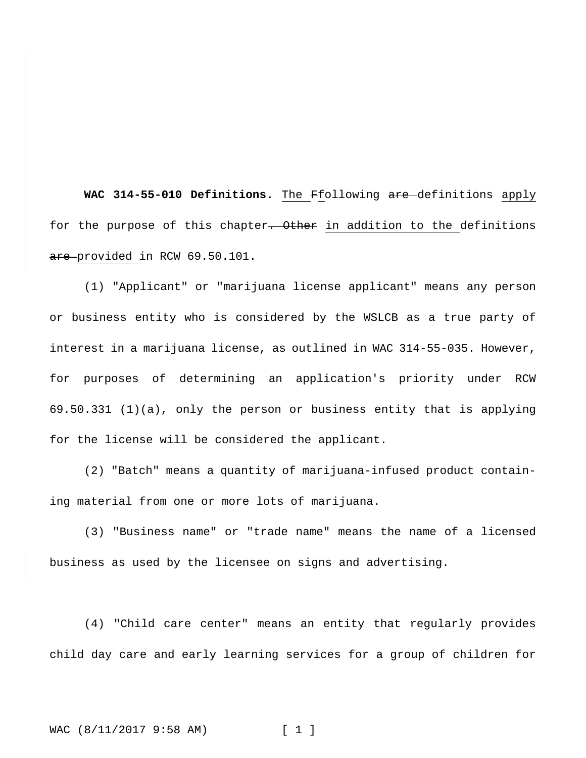**WAC 314-55-010 Definitions.** The Ffollowing are definitions apply for the purpose of this chapter. Other in addition to the definitions are provided in RCW 69.50.101.

(1) "Applicant" or "marijuana license applicant" means any person or business entity who is considered by the WSLCB as a true party of interest in a marijuana license, as outlined in WAC 314-55-035. However, for purposes of determining an application's priority under RCW 69.50.331 (1)(a), only the person or business entity that is applying for the license will be considered the applicant.

(2) "Batch" means a quantity of marijuana-infused product containing material from one or more lots of marijuana.

(3) "Business name" or "trade name" means the name of a licensed business as used by the licensee on signs and advertising.

(4) "Child care center" means an entity that regularly provides child day care and early learning services for a group of children for

# WAC (8/11/2017 9:58 AM) [ 1 ]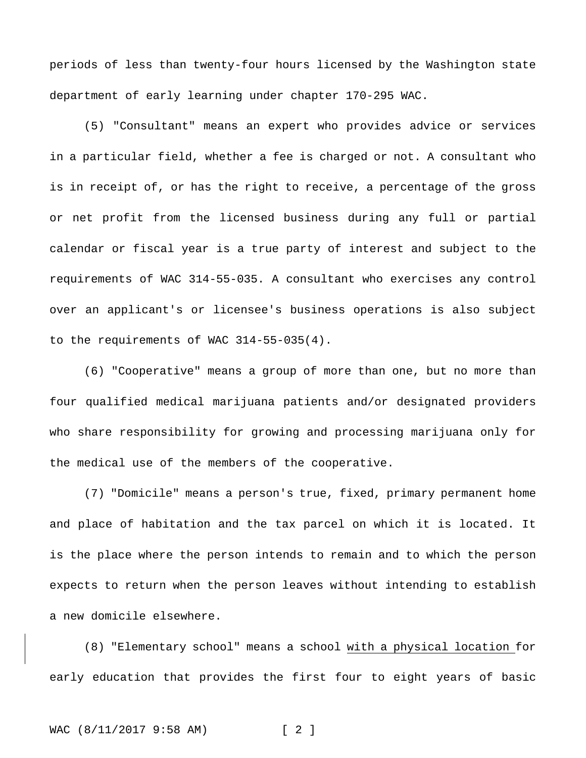periods of less than twenty-four hours licensed by the Washington state department of early learning under chapter 170-295 WAC.

(5) "Consultant" means an expert who provides advice or services in a particular field, whether a fee is charged or not. A consultant who is in receipt of, or has the right to receive, a percentage of the gross or net profit from the licensed business during any full or partial calendar or fiscal year is a true party of interest and subject to the requirements of WAC 314-55-035. A consultant who exercises any control over an applicant's or licensee's business operations is also subject to the requirements of WAC 314-55-035(4).

(6) "Cooperative" means a group of more than one, but no more than four qualified medical marijuana patients and/or designated providers who share responsibility for growing and processing marijuana only for the medical use of the members of the cooperative.

(7) "Domicile" means a person's true, fixed, primary permanent home and place of habitation and the tax parcel on which it is located. It is the place where the person intends to remain and to which the person expects to return when the person leaves without intending to establish a new domicile elsewhere.

(8) "Elementary school" means a school with a physical location for early education that provides the first four to eight years of basic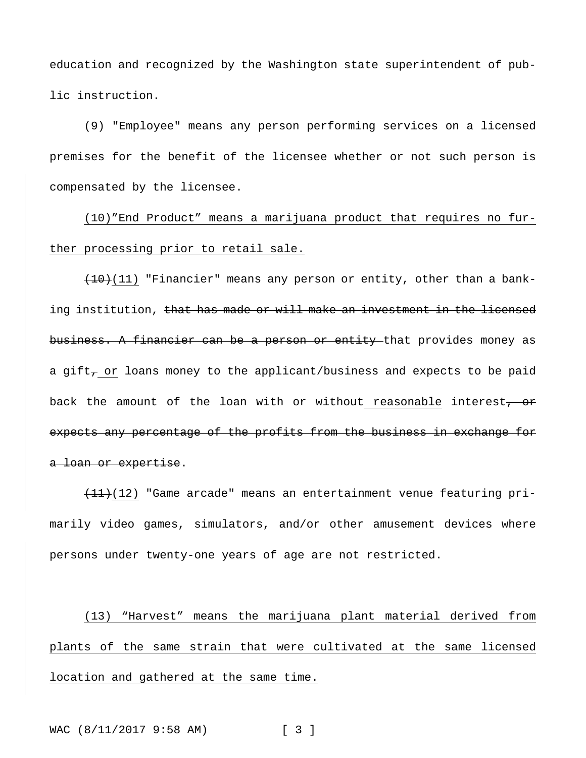education and recognized by the Washington state superintendent of public instruction.

(9) "Employee" means any person performing services on a licensed premises for the benefit of the licensee whether or not such person is compensated by the licensee.

(10)"End Product" means a marijuana product that requires no further processing prior to retail sale.

 $(10)(11)$  "Financier" means any person or entity, other than a banking institution, that has made or will make an investment in the licensed business. A financier can be a person or entity that provides money as a gift<sub> $\tau$ </sub> or loans money to the applicant/business and expects to be paid back the amount of the loan with or without reasonable interest, or expects any percentage of the profits from the business in exchange for a loan or expertise.

 $\overline{+11}$ (12) "Game arcade" means an entertainment venue featuring primarily video games, simulators, and/or other amusement devices where persons under twenty-one years of age are not restricted.

(13) "Harvest" means the marijuana plant material derived from plants of the same strain that were cultivated at the same licensed location and gathered at the same time.

WAC (8/11/2017 9:58 AM) [ 3 ]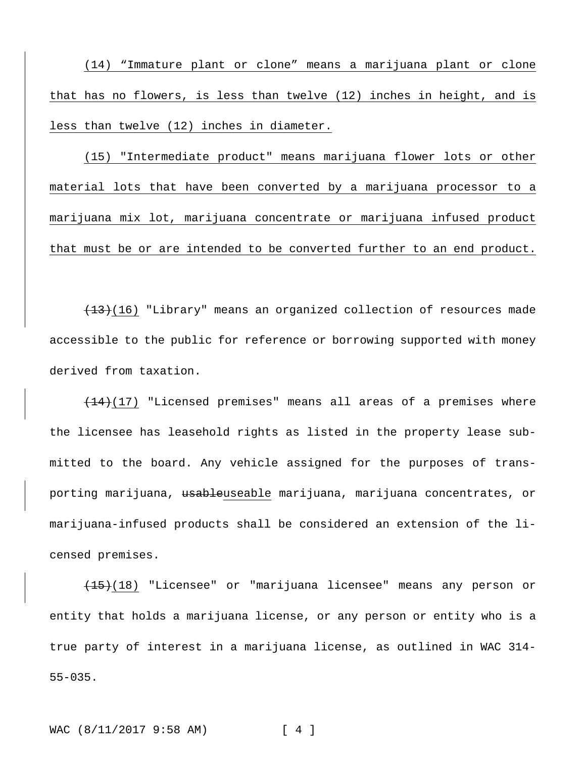(14) "Immature plant or clone" means a marijuana plant or clone that has no flowers, is less than twelve (12) inches in height, and is less than twelve (12) inches in diameter.

(15) "Intermediate product" means marijuana flower lots or other material lots that have been converted by a marijuana processor to a marijuana mix lot, marijuana concentrate or marijuana infused product that must be or are intended to be converted further to an end product.

 $(13)(16)$  "Library" means an organized collection of resources made accessible to the public for reference or borrowing supported with money derived from taxation.

 $(14)$ (17) "Licensed premises" means all areas of a premises where the licensee has leasehold rights as listed in the property lease submitted to the board. Any vehicle assigned for the purposes of transporting marijuana, <del>usable</del>useable marijuana, marijuana concentrates, or marijuana-infused products shall be considered an extension of the licensed premises.

(15)(18) "Licensee" or "marijuana licensee" means any person or entity that holds a marijuana license, or any person or entity who is a true party of interest in a marijuana license, as outlined in WAC 314- 55-035.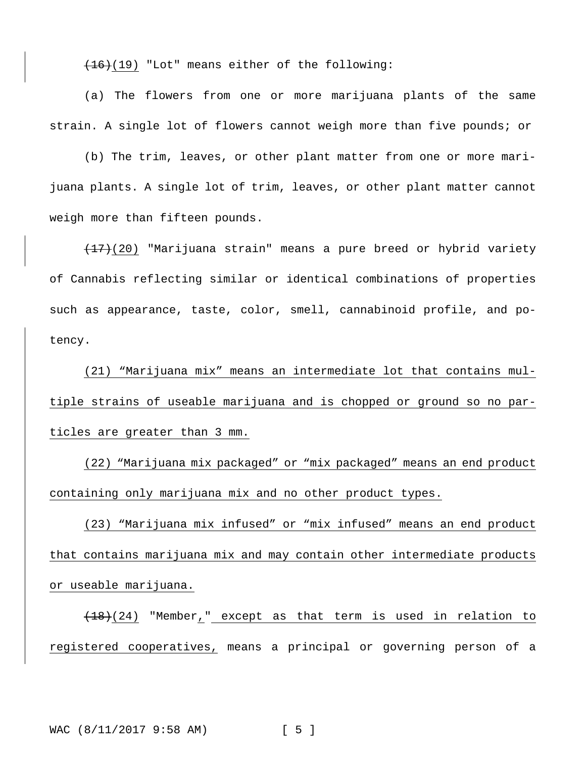$(16)(19)$  "Lot" means either of the following:

(a) The flowers from one or more marijuana plants of the same strain. A single lot of flowers cannot weigh more than five pounds; or

(b) The trim, leaves, or other plant matter from one or more marijuana plants. A single lot of trim, leaves, or other plant matter cannot weigh more than fifteen pounds.

 $(17)(20)$  "Marijuana strain" means a pure breed or hybrid variety of Cannabis reflecting similar or identical combinations of properties such as appearance, taste, color, smell, cannabinoid profile, and potency.

(21) "Marijuana mix" means an intermediate lot that contains multiple strains of useable marijuana and is chopped or ground so no particles are greater than 3 mm.

(22) "Marijuana mix packaged" or "mix packaged" means an end product containing only marijuana mix and no other product types.

(23) "Marijuana mix infused" or "mix infused" means an end product that contains marijuana mix and may contain other intermediate products or useable marijuana.

 $(18)(24)$  "Member," except as that term is used in relation to registered cooperatives, means a principal or governing person of a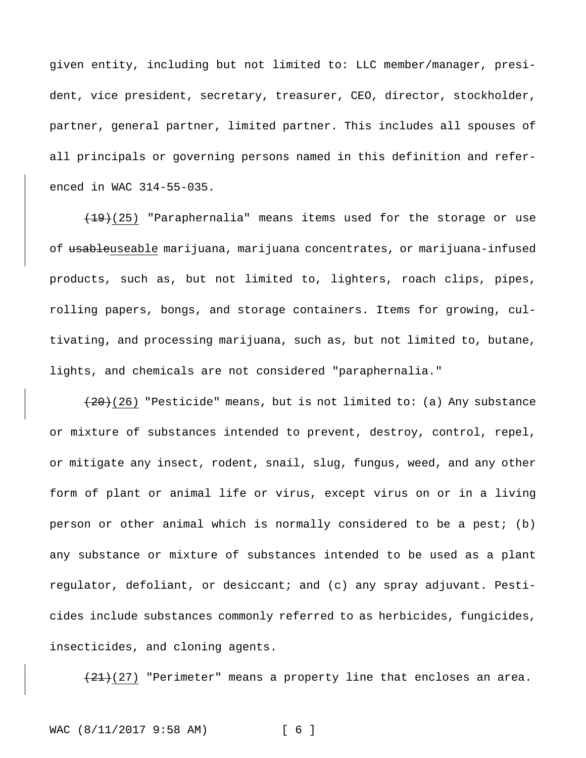given entity, including but not limited to: LLC member/manager, president, vice president, secretary, treasurer, CEO, director, stockholder, partner, general partner, limited partner. This includes all spouses of all principals or governing persons named in this definition and referenced in WAC 314-55-035.

 $(19)(25)$  "Paraphernalia" means items used for the storage or use of usableuseable marijuana, marijuana concentrates, or marijuana-infused products, such as, but not limited to, lighters, roach clips, pipes, rolling papers, bongs, and storage containers. Items for growing, cultivating, and processing marijuana, such as, but not limited to, butane, lights, and chemicals are not considered "paraphernalia."

 $(20)(26)$  "Pesticide" means, but is not limited to: (a) Any substance or mixture of substances intended to prevent, destroy, control, repel, or mitigate any insect, rodent, snail, slug, fungus, weed, and any other form of plant or animal life or virus, except virus on or in a living person or other animal which is normally considered to be a pest; (b) any substance or mixture of substances intended to be used as a plant regulator, defoliant, or desiccant; and (c) any spray adjuvant. Pesticides include substances commonly referred to as herbicides, fungicides, insecticides, and cloning agents.

 $(21)(27)$  "Perimeter" means a property line that encloses an area.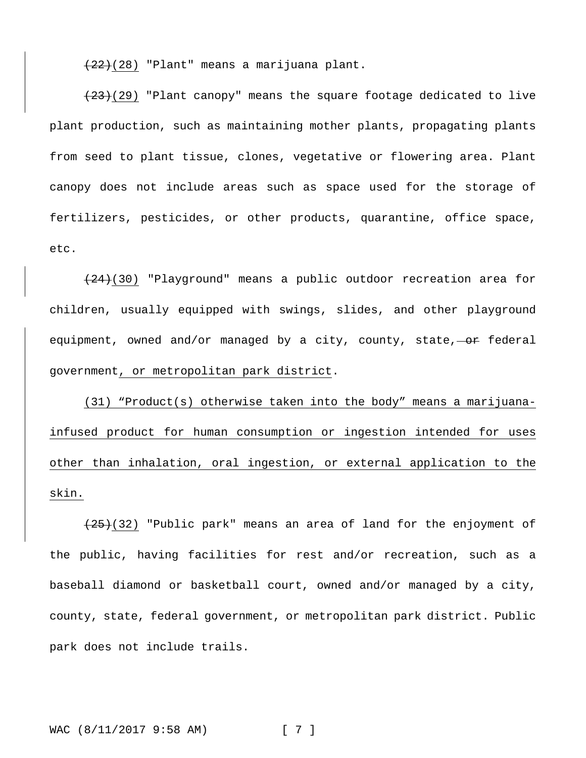(22)(28) "Plant" means a marijuana plant.

 $(23)(29)$  "Plant canopy" means the square footage dedicated to live plant production, such as maintaining mother plants, propagating plants from seed to plant tissue, clones, vegetative or flowering area. Plant canopy does not include areas such as space used for the storage of fertilizers, pesticides, or other products, quarantine, office space, etc.

 $(24)(30)$  "Playground" means a public outdoor recreation area for children, usually equipped with swings, slides, and other playground equipment, owned and/or managed by a city, county, state,  $-$ or federal government, or metropolitan park district.

(31) "Product(s) otherwise taken into the body" means a marijuanainfused product for human consumption or ingestion intended for uses other than inhalation, oral ingestion, or external application to the skin.

 $(25)(32)$  "Public park" means an area of land for the enjoyment of the public, having facilities for rest and/or recreation, such as a baseball diamond or basketball court, owned and/or managed by a city, county, state, federal government, or metropolitan park district. Public park does not include trails.

WAC (8/11/2017 9:58 AM) [ 7 ]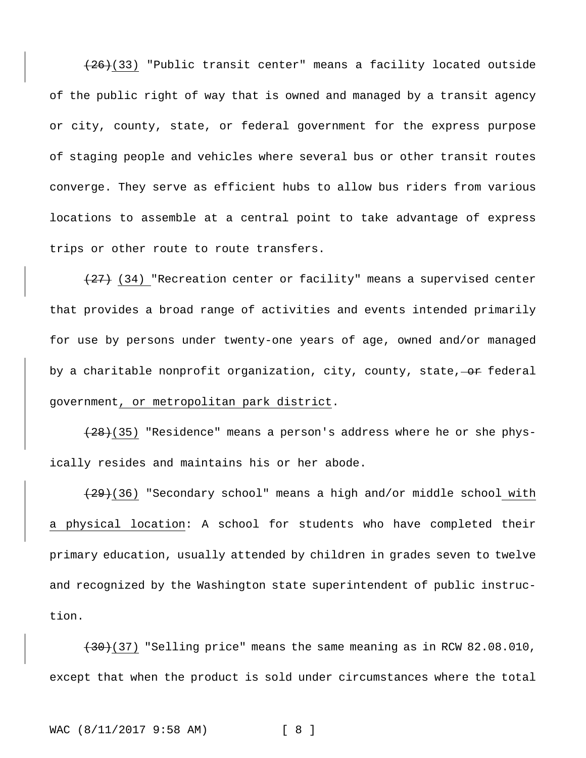$(26)(33)$  "Public transit center" means a facility located outside of the public right of way that is owned and managed by a transit agency or city, county, state, or federal government for the express purpose of staging people and vehicles where several bus or other transit routes converge. They serve as efficient hubs to allow bus riders from various locations to assemble at a central point to take advantage of express trips or other route to route transfers.

 $(27)$  (34) "Recreation center or facility" means a supervised center that provides a broad range of activities and events intended primarily for use by persons under twenty-one years of age, owned and/or managed by a charitable nonprofit organization, city, county, state,  $-$ or federal government, or metropolitan park district.

 $(28)(35)$  "Residence" means a person's address where he or she physically resides and maintains his or her abode.

 $(29)(36)$  "Secondary school" means a high and/or middle school with a physical location: A school for students who have completed their primary education, usually attended by children in grades seven to twelve and recognized by the Washington state superintendent of public instruction.

 $(30)(37)$  "Selling price" means the same meaning as in RCW 82.08.010, except that when the product is sold under circumstances where the total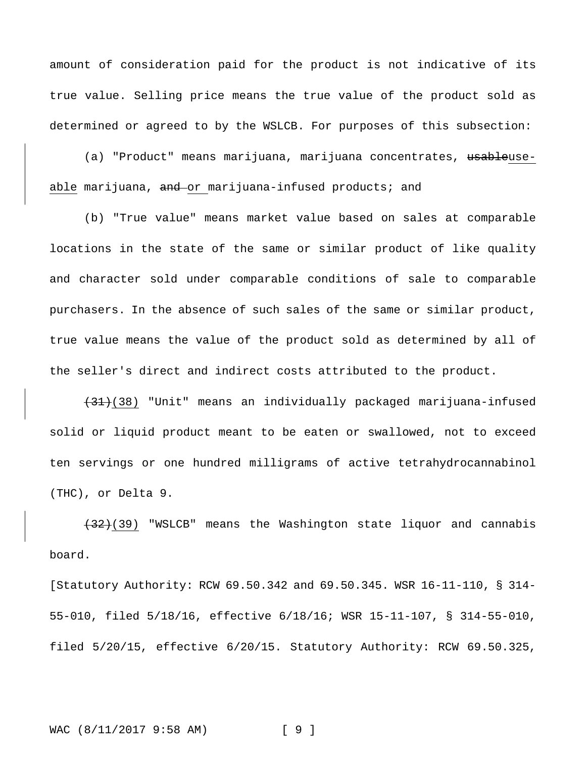amount of consideration paid for the product is not indicative of its true value. Selling price means the true value of the product sold as determined or agreed to by the WSLCB. For purposes of this subsection:

(a) "Product" means marijuana, marijuana concentrates, <del>usable</del>useable marijuana, and or marijuana-infused products; and

(b) "True value" means market value based on sales at comparable locations in the state of the same or similar product of like quality and character sold under comparable conditions of sale to comparable purchasers. In the absence of such sales of the same or similar product, true value means the value of the product sold as determined by all of the seller's direct and indirect costs attributed to the product.

(31)(38) "Unit" means an individually packaged marijuana-infused solid or liquid product meant to be eaten or swallowed, not to exceed ten servings or one hundred milligrams of active tetrahydrocannabinol (THC), or Delta 9.

(32)(39) "WSLCB" means the Washington state liquor and cannabis board.

[Statutory Authority: RCW 69.50.342 and 69.50.345. WSR 16-11-110, § 314- 55-010, filed 5/18/16, effective 6/18/16; WSR 15-11-107, § 314-55-010, filed 5/20/15, effective 6/20/15. Statutory Authority: RCW 69.50.325,

WAC (8/11/2017 9:58 AM) [ 9 ]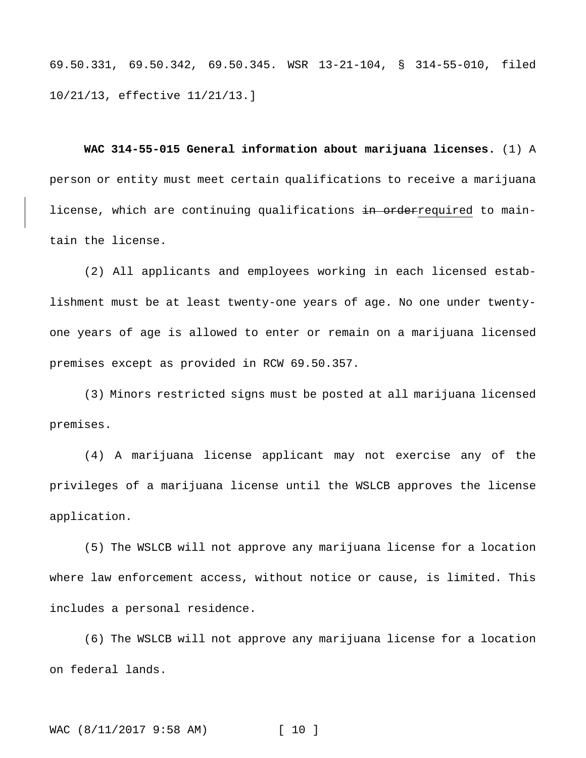69.50.331, 69.50.342, 69.50.345. WSR 13-21-104, § 314-55-010, filed 10/21/13, effective 11/21/13.]

**WAC 314-55-015 General information about marijuana licenses.** (1) A person or entity must meet certain qualifications to receive a marijuana license, which are continuing qualifications in orderrequired to maintain the license.

(2) All applicants and employees working in each licensed establishment must be at least twenty-one years of age. No one under twentyone years of age is allowed to enter or remain on a marijuana licensed premises except as provided in RCW 69.50.357.

(3) Minors restricted signs must be posted at all marijuana licensed premises.

(4) A marijuana license applicant may not exercise any of the privileges of a marijuana license until the WSLCB approves the license application.

(5) The WSLCB will not approve any marijuana license for a location where law enforcement access, without notice or cause, is limited. This includes a personal residence.

(6) The WSLCB will not approve any marijuana license for a location on federal lands.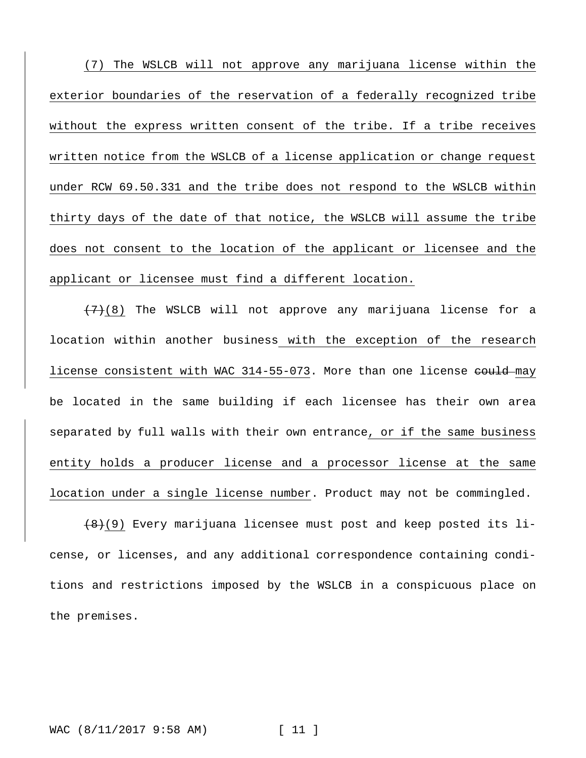(7) The WSLCB will not approve any marijuana license within the exterior boundaries of the reservation of a federally recognized tribe without the express written consent of the tribe. If a tribe receives written notice from the WSLCB of a license application or change request under RCW 69.50.331 and the tribe does not respond to the WSLCB within thirty days of the date of that notice, the WSLCB will assume the tribe does not consent to the location of the applicant or licensee and the applicant or licensee must find a different location.

 $(7)$ (8) The WSLCB will not approve any marijuana license for a location within another business with the exception of the research license consistent with WAC 314-55-073. More than one license eould may be located in the same building if each licensee has their own area separated by full walls with their own entrance, or if the same business entity holds a producer license and a processor license at the same location under a single license number. Product may not be commingled.

 $(8)(9)$  Every marijuana licensee must post and keep posted its license, or licenses, and any additional correspondence containing conditions and restrictions imposed by the WSLCB in a conspicuous place on the premises.

#### WAC (8/11/2017 9:58 AM) [ 11 ]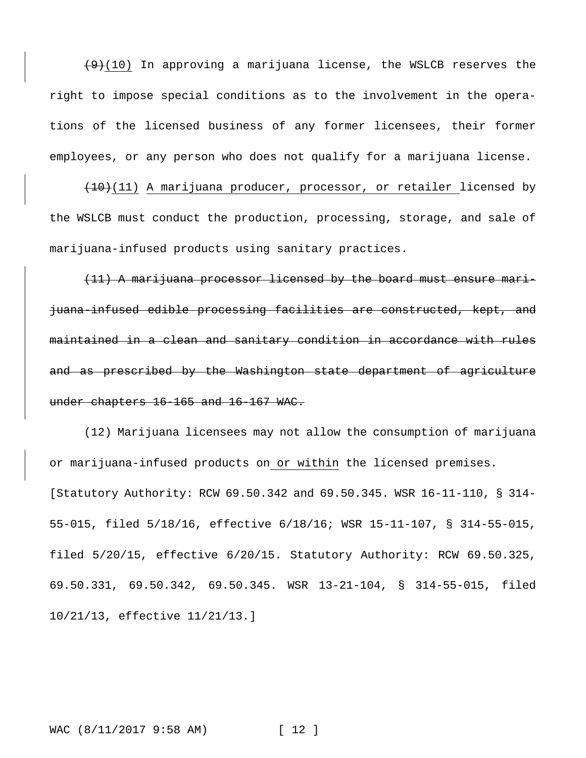$(9)(10)$  In approving a marijuana license, the WSLCB reserves the right to impose special conditions as to the involvement in the operations of the licensed business of any former licensees, their former employees, or any person who does not qualify for a marijuana license.

 $(10)(11)$  A marijuana producer, processor, or retailer licensed by the WSLCB must conduct the production, processing, storage, and sale of marijuana-infused products using sanitary practices.

(11) A marijuana processor licensed by the board must ensure marijuana-infused edible processing facilities are constructed, kept, and maintained in a clean and sanitary condition in accordance with rules and as prescribed by the Washington state department of agriculture under chapters 16-165 and 16-167 WAC.

(12) Marijuana licensees may not allow the consumption of marijuana or marijuana-infused products on or within the licensed premises. [Statutory Authority: RCW 69.50.342 and 69.50.345. WSR 16-11-110, § 314- 55-015, filed 5/18/16, effective 6/18/16; WSR 15-11-107, § 314-55-015, filed 5/20/15, effective 6/20/15. Statutory Authority: RCW 69.50.325, 69.50.331, 69.50.342, 69.50.345. WSR 13-21-104, § 314-55-015, filed 10/21/13, effective 11/21/13.]

#### WAC (8/11/2017 9:58 AM) [ 12 ]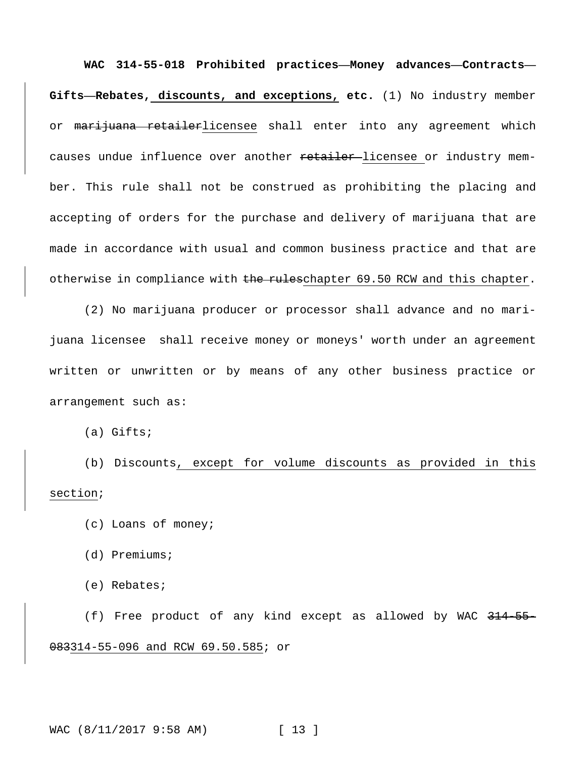**WAC 314-55-018 Prohibited practices—Money advances—Contracts— Gifts—Rebates, discounts, and exceptions, etc.** (1) No industry member or marijuana retailerlicensee shall enter into any agreement which causes undue influence over another retailer-licensee or industry member. This rule shall not be construed as prohibiting the placing and accepting of orders for the purchase and delivery of marijuana that are made in accordance with usual and common business practice and that are otherwise in compliance with the ruleschapter 69.50 RCW and this chapter.

(2) No marijuana producer or processor shall advance and no marijuana licensee shall receive money or moneys' worth under an agreement written or unwritten or by means of any other business practice or arrangement such as:

(a) Gifts;

(b) Discounts, except for volume discounts as provided in this section;

- (c) Loans of money;
- (d) Premiums;
- (e) Rebates;

(f) Free product of any kind except as allowed by WAC 314-55- 083314-55-096 and RCW 69.50.585; or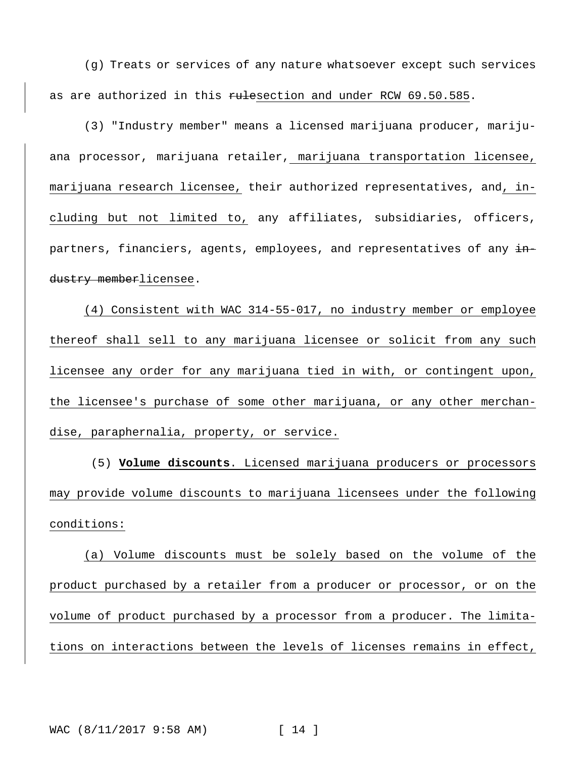(g) Treats or services of any nature whatsoever except such services as are authorized in this rulesection and under RCW 69.50.585.

(3) "Industry member" means a licensed marijuana producer, marijuana processor, marijuana retailer, marijuana transportation licensee, marijuana research licensee, their authorized representatives, and, including but not limited to, any affiliates, subsidiaries, officers, partners, financiers, agents, employees, and representatives of any industry memberlicensee.

(4) Consistent with WAC 314-55-017, no industry member or employee thereof shall sell to any marijuana licensee or solicit from any such licensee any order for any marijuana tied in with, or contingent upon, the licensee's purchase of some other marijuana, or any other merchandise, paraphernalia, property, or service.

(5) **Volume discounts**. Licensed marijuana producers or processors may provide volume discounts to marijuana licensees under the following conditions:

(a) Volume discounts must be solely based on the volume of the product purchased by a retailer from a producer or processor, or on the volume of product purchased by a processor from a producer. The limitations on interactions between the levels of licenses remains in effect,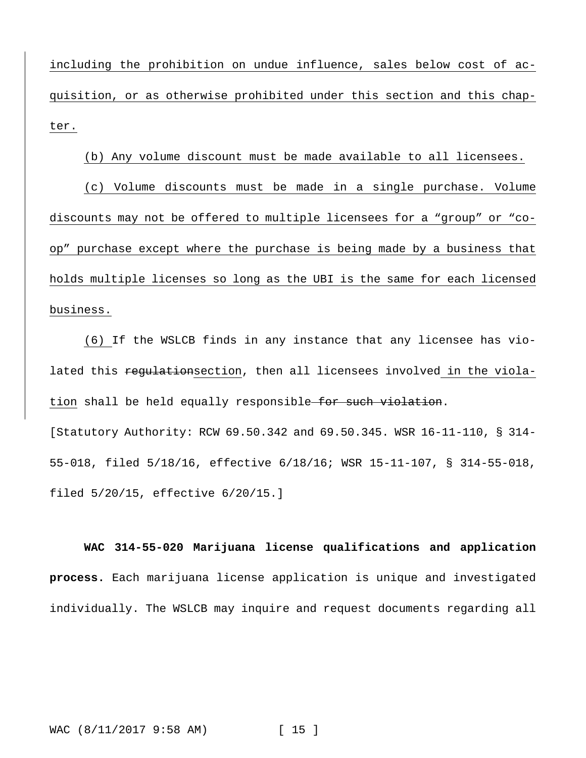including the prohibition on undue influence, sales below cost of acquisition, or as otherwise prohibited under this section and this chapter.

# (b) Any volume discount must be made available to all licensees.

(c) Volume discounts must be made in a single purchase. Volume discounts may not be offered to multiple licensees for a "group" or "coop" purchase except where the purchase is being made by a business that holds multiple licenses so long as the UBI is the same for each licensed business.

(6) If the WSLCB finds in any instance that any licensee has violated this regulationsection, then all licensees involved in the violation shall be held equally responsible for such violation. [Statutory Authority: RCW 69.50.342 and 69.50.345. WSR 16-11-110, § 314- 55-018, filed 5/18/16, effective 6/18/16; WSR 15-11-107, § 314-55-018, filed 5/20/15, effective 6/20/15.]

**WAC 314-55-020 Marijuana license qualifications and application process.** Each marijuana license application is unique and investigated individually. The WSLCB may inquire and request documents regarding all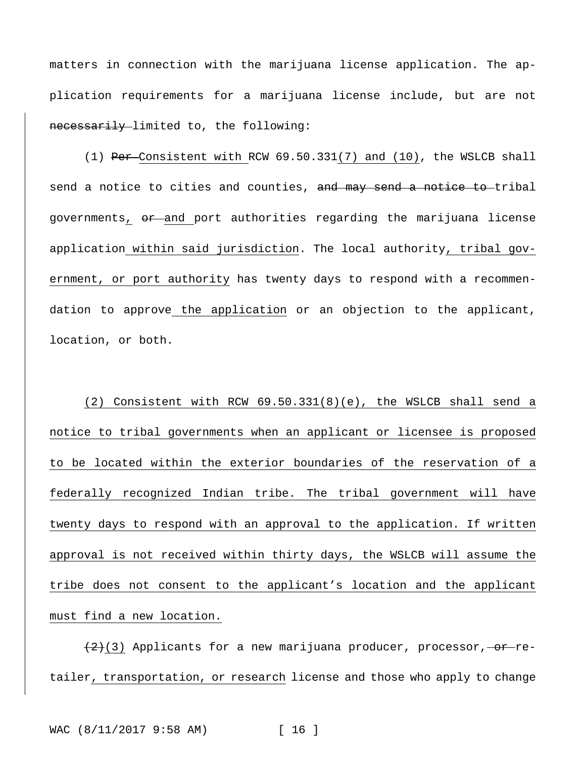matters in connection with the marijuana license application. The application requirements for a marijuana license include, but are not necessarily limited to, the following:

(1) Per Consistent with RCW 69.50.331(7) and (10), the WSLCB shall send a notice to cities and counties, and may send a notice to tribal governments, or and port authorities regarding the marijuana license application within said jurisdiction. The local authority, tribal government, or port authority has twenty days to respond with a recommendation to approve the application or an objection to the applicant, location, or both.

(2) Consistent with RCW 69.50.331(8)(e), the WSLCB shall send a notice to tribal governments when an applicant or licensee is proposed to be located within the exterior boundaries of the reservation of a federally recognized Indian tribe. The tribal government will have twenty days to respond with an approval to the application. If written approval is not received within thirty days, the WSLCB will assume the tribe does not consent to the applicant's location and the applicant must find a new location.

 $(2)(3)$  Applicants for a new marijuana producer, processor, or retailer, transportation, or research license and those who apply to change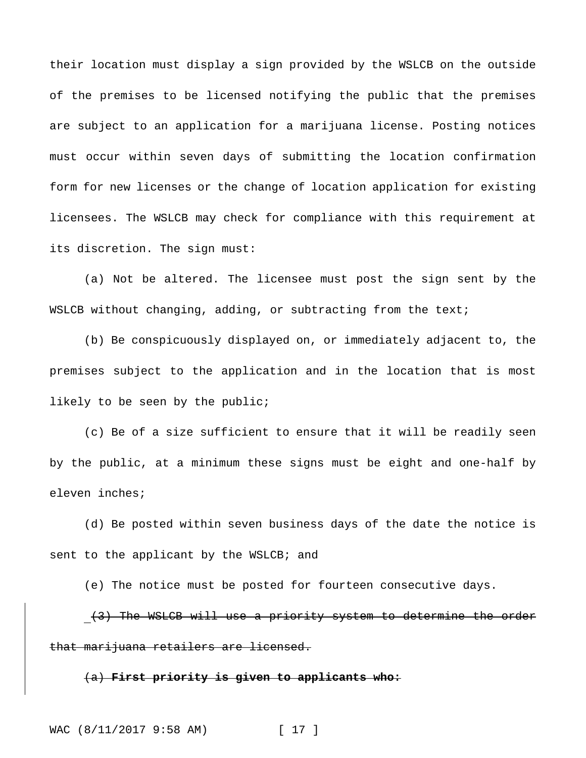their location must display a sign provided by the WSLCB on the outside of the premises to be licensed notifying the public that the premises are subject to an application for a marijuana license. Posting notices must occur within seven days of submitting the location confirmation form for new licenses or the change of location application for existing licensees. The WSLCB may check for compliance with this requirement at its discretion. The sign must:

(a) Not be altered. The licensee must post the sign sent by the WSLCB without changing, adding, or subtracting from the text;

(b) Be conspicuously displayed on, or immediately adjacent to, the premises subject to the application and in the location that is most likely to be seen by the public;

(c) Be of a size sufficient to ensure that it will be readily seen by the public, at a minimum these signs must be eight and one-half by eleven inches;

(d) Be posted within seven business days of the date the notice is sent to the applicant by the WSLCB; and

(e) The notice must be posted for fourteen consecutive days.

(3) The WSLCB will use a priority system to determine the order that marijuana retailers are licensed.

(a) **First priority is given to applicants who:**

WAC (8/11/2017 9:58 AM) [ 17 ]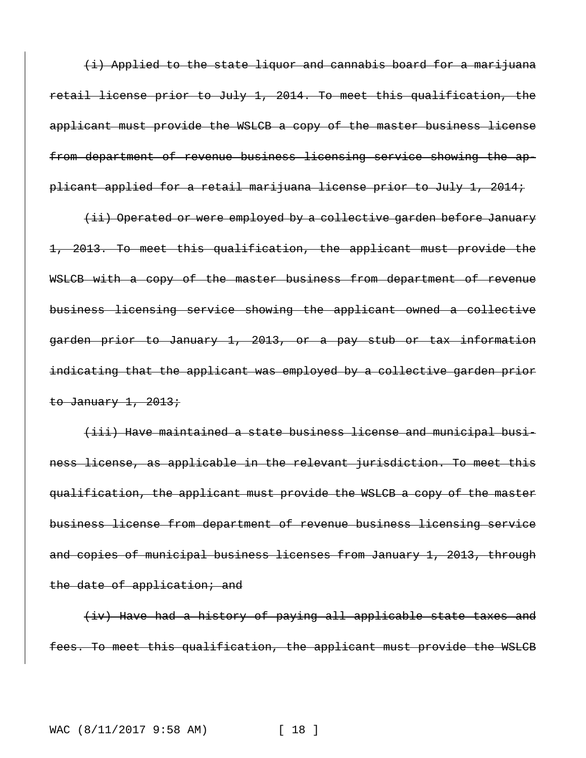(i) Applied to the state liquor and cannabis board for a marijuana retail license prior to July 1, 2014. To meet this qualification, the applicant must provide the WSLCB a copy of the master business license from department of revenue business licensing service showing the applicant applied for a retail marijuana license prior to July 1, 2014;

(ii) Operated or were employed by a collective garden before January 1, 2013. To meet this qualification, the applicant must provide the WSLCB with a copy of the master business from department of revenue business licensing service showing the applicant owned a collective garden prior to January 1, 2013, or a pay stub or tax information indicating that the applicant was employed by a collective garden prior to January  $1, 2013;$ 

(iii) Have maintained a state business license and municipal business license, as applicable in the relevant jurisdiction. To meet this qualification, the applicant must provide the WSLCB a copy of the master business license from department of revenue business licensing service and copies of municipal business licenses from January 1, 2013, through the date of application; and

(iv) Have had a history of paying all applicable state taxes and fees. To meet this qualification, the applicant must provide the WSLCB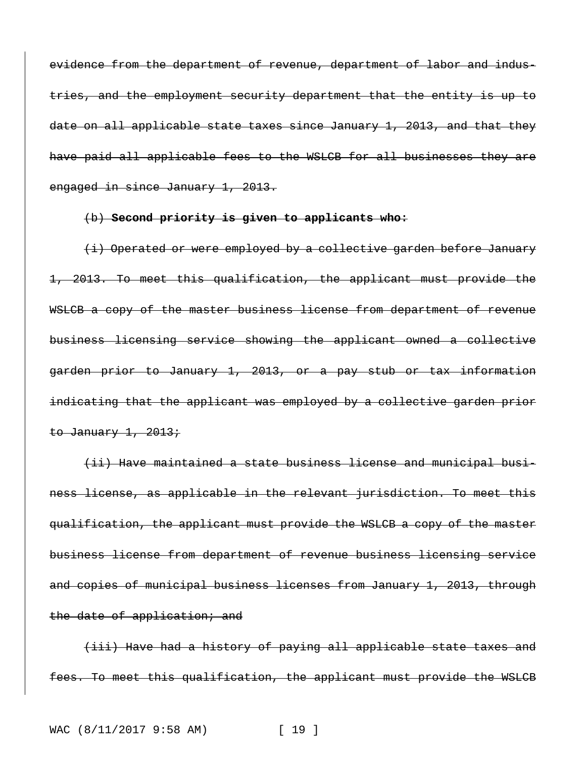evidence from the department of revenue, department of labor and industries, and the employment security department that the entity is up to date on all applicable state taxes since January 1, 2013, and that they have paid all applicable fees to the WSLCB for all businesses they are engaged in since January 1, 2013.

#### (b) **Second priority is given to applicants who:**

(i) Operated or were employed by a collective garden before January 1, 2013. To meet this qualification, the applicant must provide the WSLCB a copy of the master business license from department of revenue business licensing service showing the applicant owned a collective garden prior to January 1, 2013, or a pay stub or tax information indicating that the applicant was employed by a collective garden prior to January  $1, 2013$ ;

(ii) Have maintained a state business license and municipal business license, as applicable in the relevant jurisdiction. To meet this qualification, the applicant must provide the WSLCB a copy of the master business license from department of revenue business licensing service and copies of municipal business licenses from January 1, 2013, through the date of application; and

(iii) Have had a history of paying all applicable state taxes and fees. To meet this qualification, the applicant must provide the WSLCB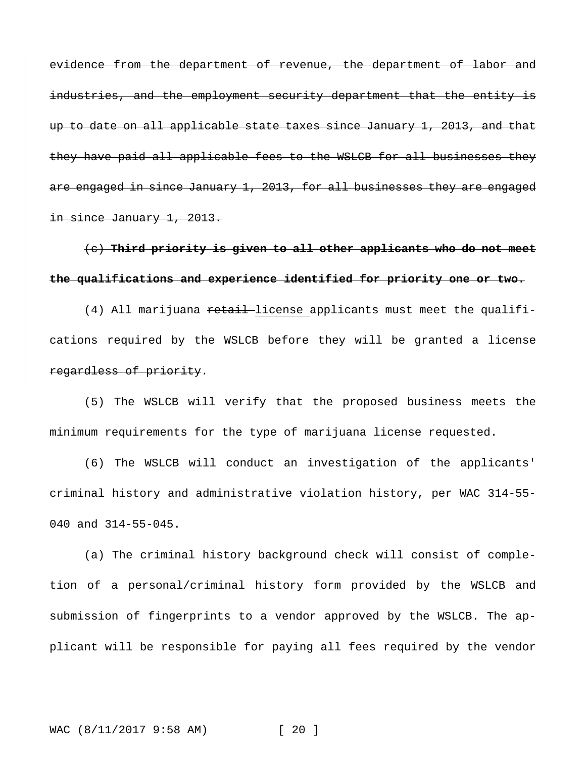evidence from the department of revenue, the department of labor and industries, and the employment security department that the entity is up to date on all applicable state taxes since January 1, 2013, and that they have paid all applicable fees to the WSLCB for all businesses they are engaged in since January 1, 2013, for all businesses they are engaged in since January 1, 2013.

# (c) **Third priority is given to all other applicants who do not meet the qualifications and experience identified for priority one or two.**

(4) All marijuana retail license applicants must meet the qualifications required by the WSLCB before they will be granted a license regardless of priority.

(5) The WSLCB will verify that the proposed business meets the minimum requirements for the type of marijuana license requested.

(6) The WSLCB will conduct an investigation of the applicants' criminal history and administrative violation history, per WAC 314-55- 040 and 314-55-045.

(a) The criminal history background check will consist of completion of a personal/criminal history form provided by the WSLCB and submission of fingerprints to a vendor approved by the WSLCB. The applicant will be responsible for paying all fees required by the vendor

# WAC (8/11/2017 9:58 AM) [ 20 ]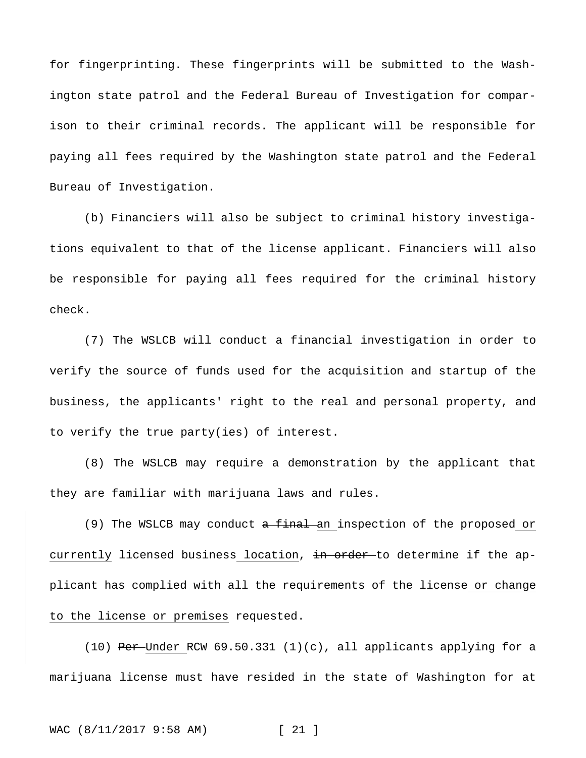for fingerprinting. These fingerprints will be submitted to the Washington state patrol and the Federal Bureau of Investigation for comparison to their criminal records. The applicant will be responsible for paying all fees required by the Washington state patrol and the Federal Bureau of Investigation.

(b) Financiers will also be subject to criminal history investigations equivalent to that of the license applicant. Financiers will also be responsible for paying all fees required for the criminal history check.

(7) The WSLCB will conduct a financial investigation in order to verify the source of funds used for the acquisition and startup of the business, the applicants' right to the real and personal property, and to verify the true party(ies) of interest.

(8) The WSLCB may require a demonstration by the applicant that they are familiar with marijuana laws and rules.

(9) The WSLCB may conduct  $a$  final an inspection of the proposed or currently licensed business location, in order to determine if the applicant has complied with all the requirements of the license or change to the license or premises requested.

(10) Per-Under RCW 69.50.331 (1)(c), all applicants applying for a marijuana license must have resided in the state of Washington for at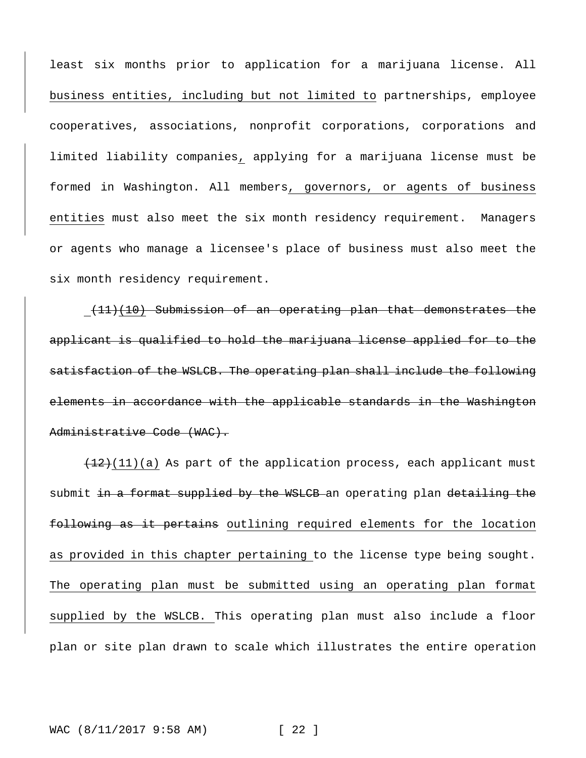least six months prior to application for a marijuana license. All business entities, including but not limited to partnerships, employee cooperatives, associations, nonprofit corporations, corporations and limited liability companies, applying for a marijuana license must be formed in Washington. All members, governors, or agents of business entities must also meet the six month residency requirement. Managers or agents who manage a licensee's place of business must also meet the six month residency requirement.

(11)(10) Submission of an operating plan that demonstrates the applicant is qualified to hold the marijuana license applied for to the satisfaction of the WSLCB. The operating plan shall include the following elements in accordance with the applicable standards in the Washington Administrative Code (WAC).

 $(12)(11)(a)$  As part of the application process, each applicant must submit in a format supplied by the WSLCB an operating plan detailing the following as it pertains outlining required elements for the location as provided in this chapter pertaining to the license type being sought. The operating plan must be submitted using an operating plan format supplied by the WSLCB. This operating plan must also include a floor plan or site plan drawn to scale which illustrates the entire operation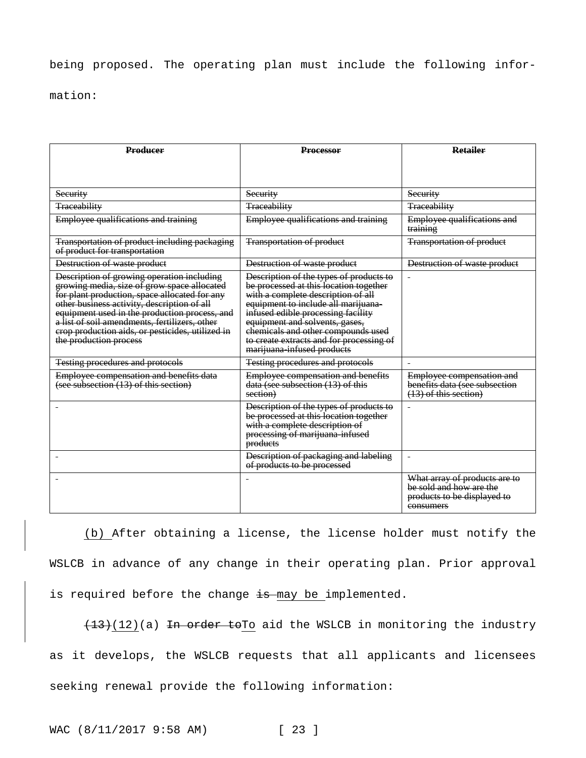# being proposed. The operating plan must include the following infor-

mation:

| <b>Producer</b>                                                                                                                                                                                                                                                                                                                                                           | <b>Processor</b>                                                                                                                                                                                                                                                                                                                                       | <b>Retailer</b>                                                                                      |
|---------------------------------------------------------------------------------------------------------------------------------------------------------------------------------------------------------------------------------------------------------------------------------------------------------------------------------------------------------------------------|--------------------------------------------------------------------------------------------------------------------------------------------------------------------------------------------------------------------------------------------------------------------------------------------------------------------------------------------------------|------------------------------------------------------------------------------------------------------|
|                                                                                                                                                                                                                                                                                                                                                                           |                                                                                                                                                                                                                                                                                                                                                        |                                                                                                      |
| Security                                                                                                                                                                                                                                                                                                                                                                  | Security                                                                                                                                                                                                                                                                                                                                               | Security                                                                                             |
| <b>Traceability</b>                                                                                                                                                                                                                                                                                                                                                       | <b>Traceability</b>                                                                                                                                                                                                                                                                                                                                    | <b>Traceability</b>                                                                                  |
| Employee qualifications and training                                                                                                                                                                                                                                                                                                                                      | Employee qualifications and training                                                                                                                                                                                                                                                                                                                   | Employee qualifications and<br>training                                                              |
| Transportation of product including packaging<br>of product for transportation                                                                                                                                                                                                                                                                                            | <b>Transportation of product</b>                                                                                                                                                                                                                                                                                                                       | <b>Transportation of product</b>                                                                     |
| Destruction of waste product                                                                                                                                                                                                                                                                                                                                              | Destruction of waste product                                                                                                                                                                                                                                                                                                                           | Destruction of waste product                                                                         |
| Description of growing operation including<br>growing media, size of grow space allocated<br>for plant production, space allocated for any<br>other business activity, description of all<br>equipment used in the production process, and<br>a list of soil amendments, fertilizers, other<br>erop production aids, or pesticides, utilized in<br>the production process | Description of the types of products to<br>be processed at this location together<br>with a complete description of all<br>equipment to include all marijuana-<br>infused edible processing facility<br>equipment and solvents, gases,<br>chemicals and other compounds used<br>to create extracts and for processing of<br>marijuana infused products |                                                                                                      |
| <b>Testing procedures and protocols</b>                                                                                                                                                                                                                                                                                                                                   | <b>Testing procedures and protocols</b>                                                                                                                                                                                                                                                                                                                |                                                                                                      |
| Employee compensation and benefits data<br>(see subsection (13) of this section)                                                                                                                                                                                                                                                                                          | Employee compensation and benefits<br>data (see subsection (13) of this<br>section)                                                                                                                                                                                                                                                                    | Employee compensation and<br>benefits data (see subsection<br>(13) of this section)                  |
|                                                                                                                                                                                                                                                                                                                                                                           | Description of the types of products to<br>be processed at this location together<br>with a complete description of<br>processing of marijuana infused<br>products                                                                                                                                                                                     |                                                                                                      |
|                                                                                                                                                                                                                                                                                                                                                                           | Description of packaging and labeling<br>of products to be processed                                                                                                                                                                                                                                                                                   | $\blacksquare$                                                                                       |
|                                                                                                                                                                                                                                                                                                                                                                           |                                                                                                                                                                                                                                                                                                                                                        | What array of products are to<br>be sold and how are the<br>products to be displayed to<br>consumers |

(b) After obtaining a license, the license holder must notify the WSLCB in advance of any change in their operating plan. Prior approval is required before the change is may be implemented.

 $(13)(12)$ (a) In order toTo aid the WSLCB in monitoring the industry as it develops, the WSLCB requests that all applicants and licensees seeking renewal provide the following information: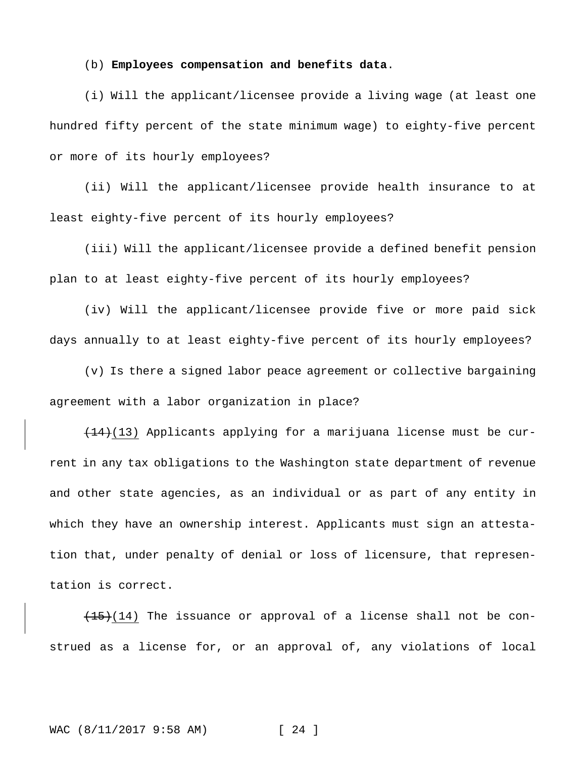#### (b) **Employees compensation and benefits data**.

(i) Will the applicant/licensee provide a living wage (at least one hundred fifty percent of the state minimum wage) to eighty-five percent or more of its hourly employees?

(ii) Will the applicant/licensee provide health insurance to at least eighty-five percent of its hourly employees?

(iii) Will the applicant/licensee provide a defined benefit pension plan to at least eighty-five percent of its hourly employees?

(iv) Will the applicant/licensee provide five or more paid sick days annually to at least eighty-five percent of its hourly employees?

(v) Is there a signed labor peace agreement or collective bargaining agreement with a labor organization in place?

 $(14)(13)$  Applicants applying for a marijuana license must be current in any tax obligations to the Washington state department of revenue and other state agencies, as an individual or as part of any entity in which they have an ownership interest. Applicants must sign an attestation that, under penalty of denial or loss of licensure, that representation is correct.

 $(15)(14)$  The issuance or approval of a license shall not be construed as a license for, or an approval of, any violations of local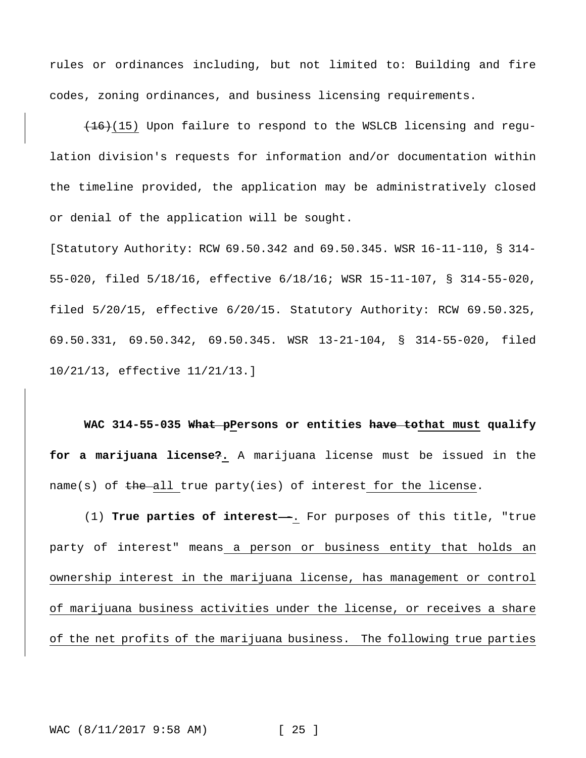rules or ordinances including, but not limited to: Building and fire codes, zoning ordinances, and business licensing requirements.

 $(16)(15)$  Upon failure to respond to the WSLCB licensing and regulation division's requests for information and/or documentation within the timeline provided, the application may be administratively closed or denial of the application will be sought.

[Statutory Authority: RCW 69.50.342 and 69.50.345. WSR 16-11-110, § 314- 55-020, filed 5/18/16, effective 6/18/16; WSR 15-11-107, § 314-55-020, filed 5/20/15, effective 6/20/15. Statutory Authority: RCW 69.50.325, 69.50.331, 69.50.342, 69.50.345. WSR 13-21-104, § 314-55-020, filed 10/21/13, effective 11/21/13.]

**WAC 314-55-035 What pPersons or entities have tothat must qualify for a marijuana license?.** A marijuana license must be issued in the name(s) of the all true party(ies) of interest for the license.

(1) **True parties of interest**--. For purposes of this title, "true party of interest" means a person or business entity that holds an ownership interest in the marijuana license, has management or control of marijuana business activities under the license, or receives a share of the net profits of the marijuana business. The following true parties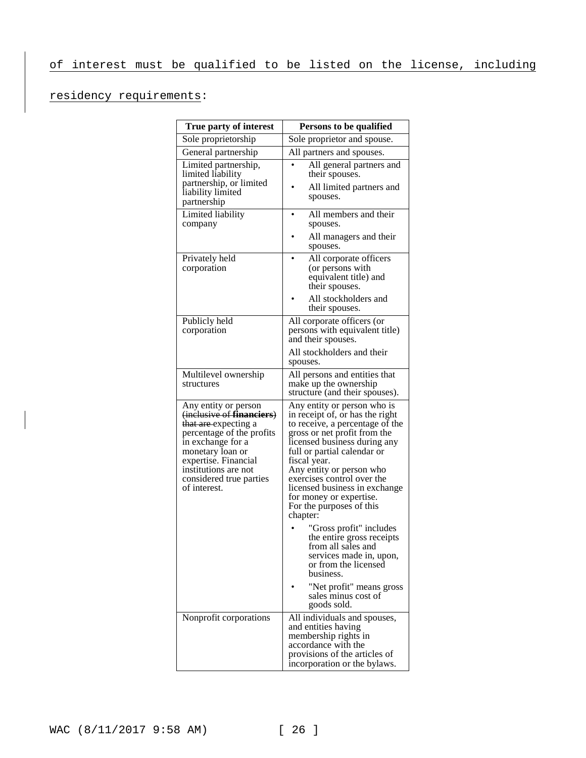# residency requirements:

| True party of interest                                                                                                                                                  | Persons to be qualified                                                                                                                                                                                          |  |
|-------------------------------------------------------------------------------------------------------------------------------------------------------------------------|------------------------------------------------------------------------------------------------------------------------------------------------------------------------------------------------------------------|--|
| Sole proprietorship                                                                                                                                                     | Sole proprietor and spouse.                                                                                                                                                                                      |  |
| General partnership                                                                                                                                                     | All partners and spouses.                                                                                                                                                                                        |  |
| Limited partnership,<br>limited liability                                                                                                                               | All general partners and<br>their spouses.                                                                                                                                                                       |  |
| partnership, or limited<br>liability limited<br>partnership                                                                                                             | All limited partners and<br>spouses.                                                                                                                                                                             |  |
| Limited liability<br>company                                                                                                                                            | All members and their<br>spouses.                                                                                                                                                                                |  |
|                                                                                                                                                                         | All managers and their<br>spouses.                                                                                                                                                                               |  |
| Privately held<br>corporation                                                                                                                                           | All corporate officers<br>(or persons with<br>equivalent title) and<br>their spouses.                                                                                                                            |  |
|                                                                                                                                                                         | All stockholders and<br>their spouses.                                                                                                                                                                           |  |
| Publicly held<br>corporation                                                                                                                                            | All corporate officers (or<br>persons with equivalent title)<br>and their spouses.                                                                                                                               |  |
|                                                                                                                                                                         | All stockholders and their<br>spouses.                                                                                                                                                                           |  |
| Multilevel ownership<br>structures                                                                                                                                      | All persons and entities that<br>make up the ownership<br>structure (and their spouses).                                                                                                                         |  |
| Any entity or person<br>(inclusive of financiers)<br>that are expecting a<br>percentage of the profits<br>in exchange for a<br>monetary loan or<br>expertise. Financial | Any entity or person who is<br>in receipt of, or has the right<br>to receive, a percentage of the<br>gross or net profit from the<br>licensed business during any<br>full or partial calendar or<br>fiscal year. |  |
| institutions are not<br>considered true parties<br>of interest.                                                                                                         | Any entity or person who<br>exercises control over the<br>licensed business in exchange<br>for money or expertise.<br>For the purposes of this<br>chapter:                                                       |  |
|                                                                                                                                                                         | "Gross profit" includes<br>the entire gross receipts<br>from all sales and<br>services made in, upon,<br>or from the licensed<br>business.                                                                       |  |
|                                                                                                                                                                         | "Net profit" means gross<br>sales minus cost of<br>goods sold.                                                                                                                                                   |  |
| Nonprofit corporations                                                                                                                                                  | All individuals and spouses,<br>and entities having<br>membership rights in<br>accordance with the<br>provisions of the articles of<br>incorporation or the bylaws.                                              |  |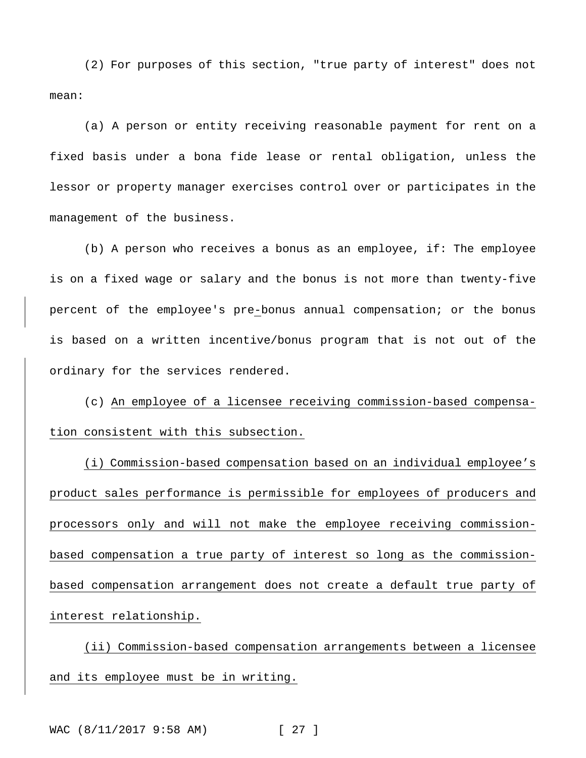(2) For purposes of this section, "true party of interest" does not mean:

(a) A person or entity receiving reasonable payment for rent on a fixed basis under a bona fide lease or rental obligation, unless the lessor or property manager exercises control over or participates in the management of the business.

(b) A person who receives a bonus as an employee, if: The employee is on a fixed wage or salary and the bonus is not more than twenty-five percent of the employee's pre-bonus annual compensation; or the bonus is based on a written incentive/bonus program that is not out of the ordinary for the services rendered.

(c) An employee of a licensee receiving commission-based compensation consistent with this subsection.

(i) Commission-based compensation based on an individual employee's product sales performance is permissible for employees of producers and processors only and will not make the employee receiving commissionbased compensation a true party of interest so long as the commissionbased compensation arrangement does not create a default true party of interest relationship.

(ii) Commission-based compensation arrangements between a licensee and its employee must be in writing.

WAC (8/11/2017 9:58 AM) [ 27 ]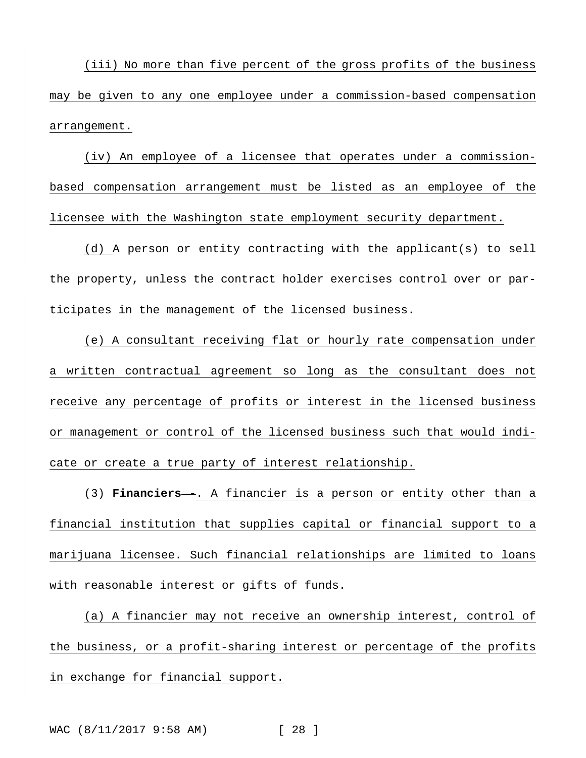(iii) No more than five percent of the gross profits of the business may be given to any one employee under a commission-based compensation arrangement.

(iv) An employee of a licensee that operates under a commissionbased compensation arrangement must be listed as an employee of the licensee with the Washington state employment security department.

(d) A person or entity contracting with the applicant(s) to sell the property, unless the contract holder exercises control over or participates in the management of the licensed business.

(e) A consultant receiving flat or hourly rate compensation under a written contractual agreement so long as the consultant does not receive any percentage of profits or interest in the licensed business or management or control of the licensed business such that would indicate or create a true party of interest relationship.

(3) **Financiers** -. A financier is a person or entity other than a financial institution that supplies capital or financial support to a marijuana licensee. Such financial relationships are limited to loans with reasonable interest or gifts of funds.

(a) A financier may not receive an ownership interest, control of the business, or a profit-sharing interest or percentage of the profits in exchange for financial support.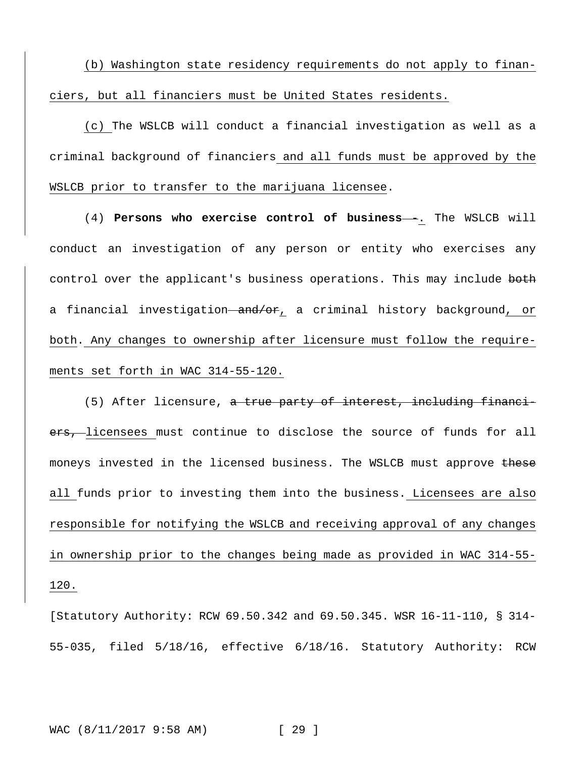(b) Washington state residency requirements do not apply to financiers, but all financiers must be United States residents.

(c) The WSLCB will conduct a financial investigation as well as a criminal background of financiers and all funds must be approved by the WSLCB prior to transfer to the marijuana licensee.

(4) **Persons who exercise control of business--**. The WSLCB will conduct an investigation of any person or entity who exercises any control over the applicant's business operations. This may include both a financial investigation and/or, a criminal history background, or both. Any changes to ownership after licensure must follow the requirements set forth in WAC 314-55-120.

(5) After licensure, a true party of interest, including financiers, licensees must continue to disclose the source of funds for all moneys invested in the licensed business. The WSLCB must approve these all funds prior to investing them into the business. Licensees are also responsible for notifying the WSLCB and receiving approval of any changes in ownership prior to the changes being made as provided in WAC 314-55- 120.

[Statutory Authority: RCW 69.50.342 and 69.50.345. WSR 16-11-110, § 314- 55-035, filed 5/18/16, effective 6/18/16. Statutory Authority: RCW

WAC (8/11/2017 9:58 AM) [ 29 ]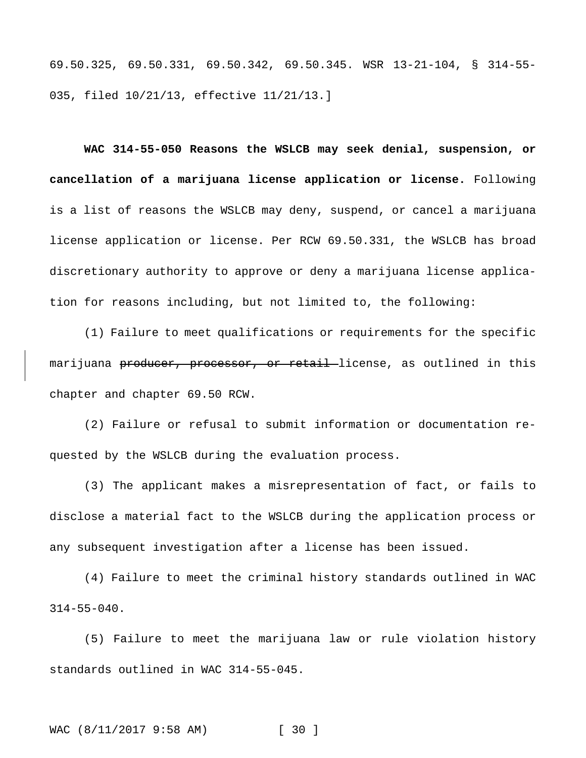69.50.325, 69.50.331, 69.50.342, 69.50.345. WSR 13-21-104, § 314-55- 035, filed 10/21/13, effective 11/21/13.]

**WAC 314-55-050 Reasons the WSLCB may seek denial, suspension, or cancellation of a marijuana license application or license.** Following is a list of reasons the WSLCB may deny, suspend, or cancel a marijuana license application or license. Per RCW 69.50.331, the WSLCB has broad discretionary authority to approve or deny a marijuana license application for reasons including, but not limited to, the following:

(1) Failure to meet qualifications or requirements for the specific marijuana producer, processor, or retail license, as outlined in this chapter and chapter 69.50 RCW.

(2) Failure or refusal to submit information or documentation requested by the WSLCB during the evaluation process.

(3) The applicant makes a misrepresentation of fact, or fails to disclose a material fact to the WSLCB during the application process or any subsequent investigation after a license has been issued.

(4) Failure to meet the criminal history standards outlined in WAC 314-55-040.

(5) Failure to meet the marijuana law or rule violation history standards outlined in WAC 314-55-045.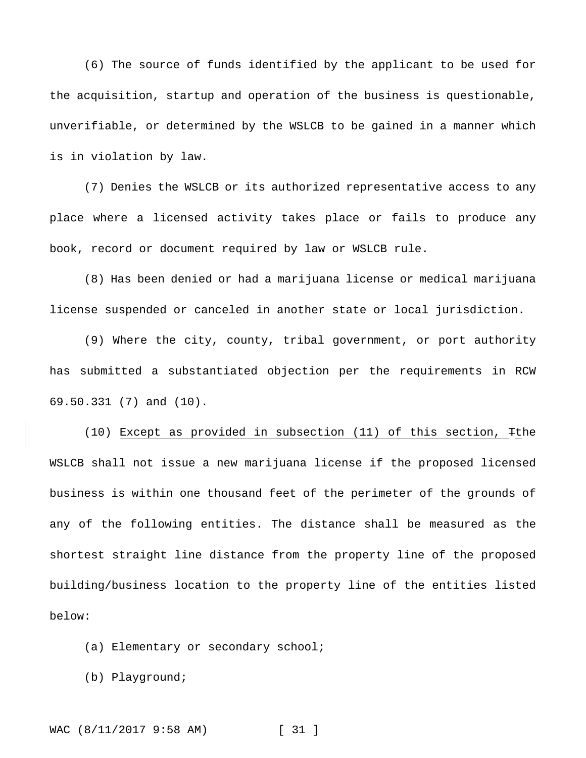(6) The source of funds identified by the applicant to be used for the acquisition, startup and operation of the business is questionable, unverifiable, or determined by the WSLCB to be gained in a manner which is in violation by law.

(7) Denies the WSLCB or its authorized representative access to any place where a licensed activity takes place or fails to produce any book, record or document required by law or WSLCB rule.

(8) Has been denied or had a marijuana license or medical marijuana license suspended or canceled in another state or local jurisdiction.

(9) Where the city, county, tribal government, or port authority has submitted a substantiated objection per the requirements in RCW 69.50.331 (7) and (10).

(10) Except as provided in subsection (11) of this section, Tthe WSLCB shall not issue a new marijuana license if the proposed licensed business is within one thousand feet of the perimeter of the grounds of any of the following entities. The distance shall be measured as the shortest straight line distance from the property line of the proposed building/business location to the property line of the entities listed below:

(a) Elementary or secondary school;

(b) Playground;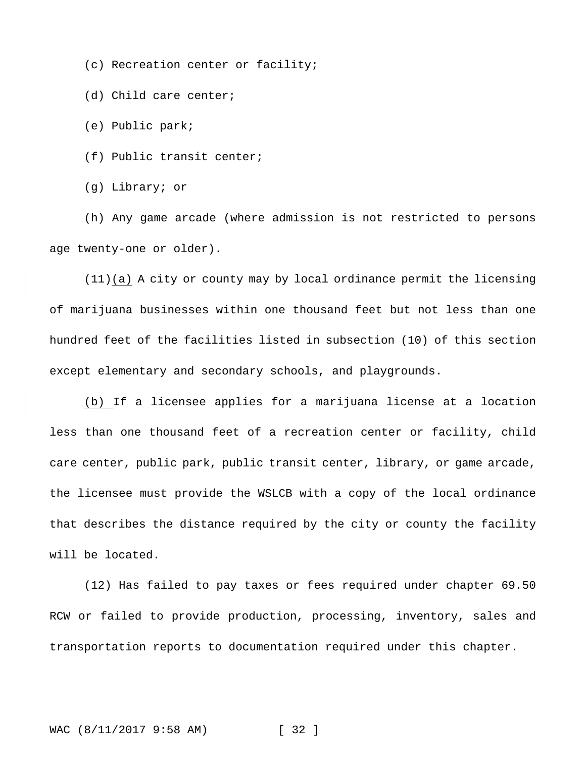(c) Recreation center or facility;

(d) Child care center;

(e) Public park;

(f) Public transit center;

(g) Library; or

(h) Any game arcade (where admission is not restricted to persons age twenty-one or older).

(11)(a) A city or county may by local ordinance permit the licensing of marijuana businesses within one thousand feet but not less than one hundred feet of the facilities listed in subsection (10) of this section except elementary and secondary schools, and playgrounds.

(b) If a licensee applies for a marijuana license at a location less than one thousand feet of a recreation center or facility, child care center, public park, public transit center, library, or game arcade, the licensee must provide the WSLCB with a copy of the local ordinance that describes the distance required by the city or county the facility will be located.

(12) Has failed to pay taxes or fees required under chapter 69.50 RCW or failed to provide production, processing, inventory, sales and transportation reports to documentation required under this chapter.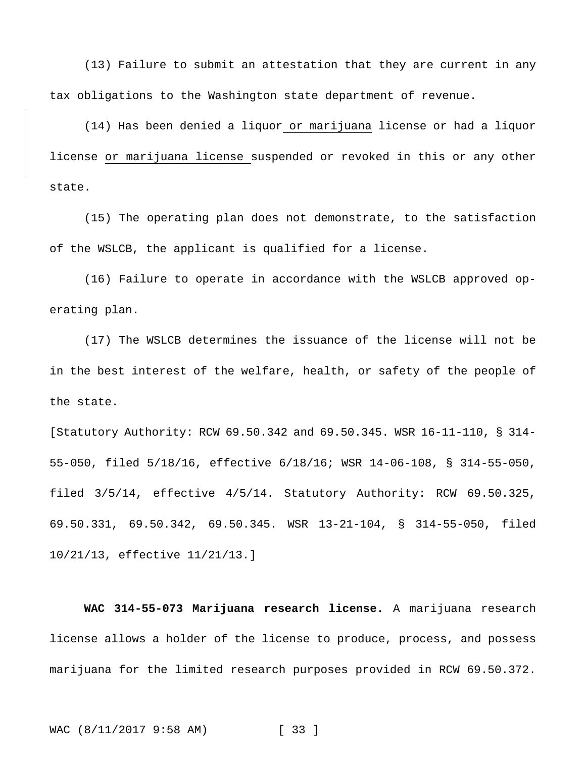(13) Failure to submit an attestation that they are current in any tax obligations to the Washington state department of revenue.

(14) Has been denied a liquor or marijuana license or had a liquor license or marijuana license suspended or revoked in this or any other state.

(15) The operating plan does not demonstrate, to the satisfaction of the WSLCB, the applicant is qualified for a license.

(16) Failure to operate in accordance with the WSLCB approved operating plan.

(17) The WSLCB determines the issuance of the license will not be in the best interest of the welfare, health, or safety of the people of the state.

[Statutory Authority: RCW 69.50.342 and 69.50.345. WSR 16-11-110, § 314- 55-050, filed 5/18/16, effective 6/18/16; WSR 14-06-108, § 314-55-050, filed 3/5/14, effective 4/5/14. Statutory Authority: RCW 69.50.325, 69.50.331, 69.50.342, 69.50.345. WSR 13-21-104, § 314-55-050, filed 10/21/13, effective 11/21/13.]

**WAC 314-55-073 Marijuana research license.** A marijuana research license allows a holder of the license to produce, process, and possess marijuana for the limited research purposes provided in RCW 69.50.372.

WAC (8/11/2017 9:58 AM) [ 33 ]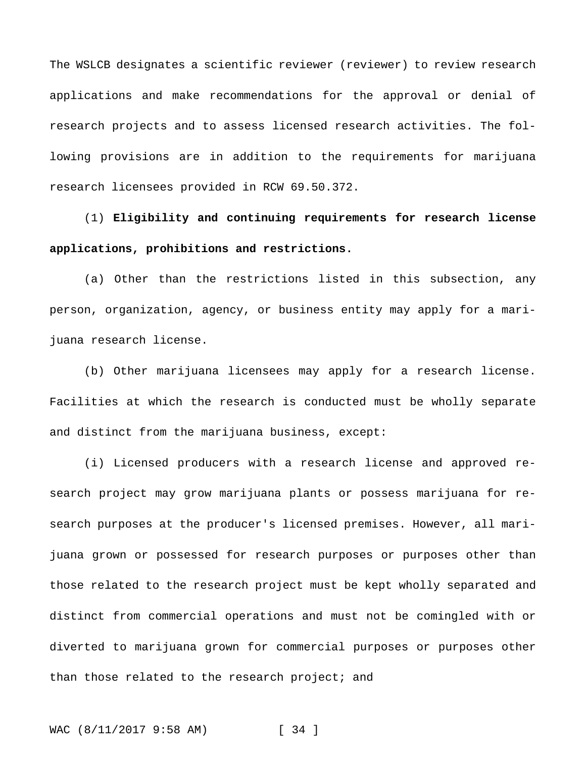The WSLCB designates a scientific reviewer (reviewer) to review research applications and make recommendations for the approval or denial of research projects and to assess licensed research activities. The following provisions are in addition to the requirements for marijuana research licensees provided in RCW 69.50.372.

(1) **Eligibility and continuing requirements for research license applications, prohibitions and restrictions.**

(a) Other than the restrictions listed in this subsection, any person, organization, agency, or business entity may apply for a marijuana research license.

(b) Other marijuana licensees may apply for a research license. Facilities at which the research is conducted must be wholly separate and distinct from the marijuana business, except:

(i) Licensed producers with a research license and approved research project may grow marijuana plants or possess marijuana for research purposes at the producer's licensed premises. However, all marijuana grown or possessed for research purposes or purposes other than those related to the research project must be kept wholly separated and distinct from commercial operations and must not be comingled with or diverted to marijuana grown for commercial purposes or purposes other than those related to the research project; and

WAC (8/11/2017 9:58 AM) [ 34 ]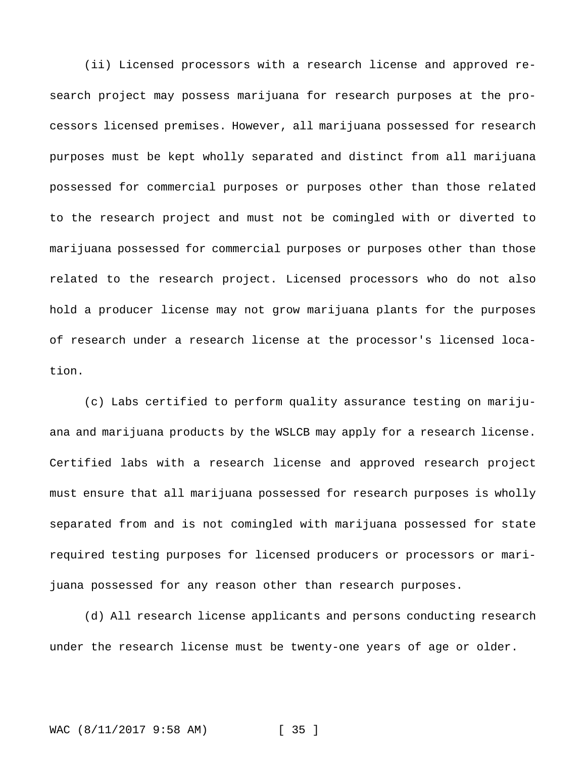(ii) Licensed processors with a research license and approved research project may possess marijuana for research purposes at the processors licensed premises. However, all marijuana possessed for research purposes must be kept wholly separated and distinct from all marijuana possessed for commercial purposes or purposes other than those related to the research project and must not be comingled with or diverted to marijuana possessed for commercial purposes or purposes other than those related to the research project. Licensed processors who do not also hold a producer license may not grow marijuana plants for the purposes of research under a research license at the processor's licensed location.

(c) Labs certified to perform quality assurance testing on marijuana and marijuana products by the WSLCB may apply for a research license. Certified labs with a research license and approved research project must ensure that all marijuana possessed for research purposes is wholly separated from and is not comingled with marijuana possessed for state required testing purposes for licensed producers or processors or marijuana possessed for any reason other than research purposes.

(d) All research license applicants and persons conducting research under the research license must be twenty-one years of age or older.

#### WAC (8/11/2017 9:58 AM) [ 35 ]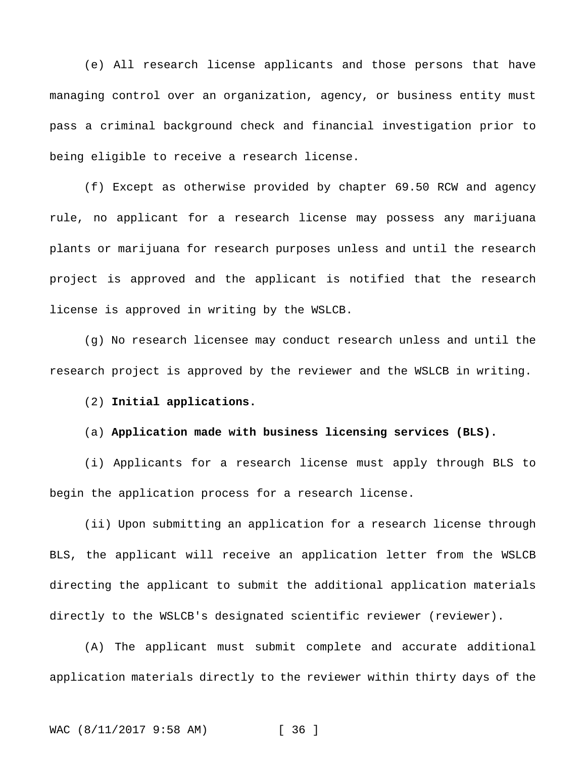(e) All research license applicants and those persons that have managing control over an organization, agency, or business entity must pass a criminal background check and financial investigation prior to being eligible to receive a research license.

(f) Except as otherwise provided by chapter 69.50 RCW and agency rule, no applicant for a research license may possess any marijuana plants or marijuana for research purposes unless and until the research project is approved and the applicant is notified that the research license is approved in writing by the WSLCB.

(g) No research licensee may conduct research unless and until the research project is approved by the reviewer and the WSLCB in writing.

# (2) **Initial applications.**

# (a) **Application made with business licensing services (BLS).**

(i) Applicants for a research license must apply through BLS to begin the application process for a research license.

(ii) Upon submitting an application for a research license through BLS, the applicant will receive an application letter from the WSLCB directing the applicant to submit the additional application materials directly to the WSLCB's designated scientific reviewer (reviewer).

(A) The applicant must submit complete and accurate additional application materials directly to the reviewer within thirty days of the

#### WAC (8/11/2017 9:58 AM) [ 36 ]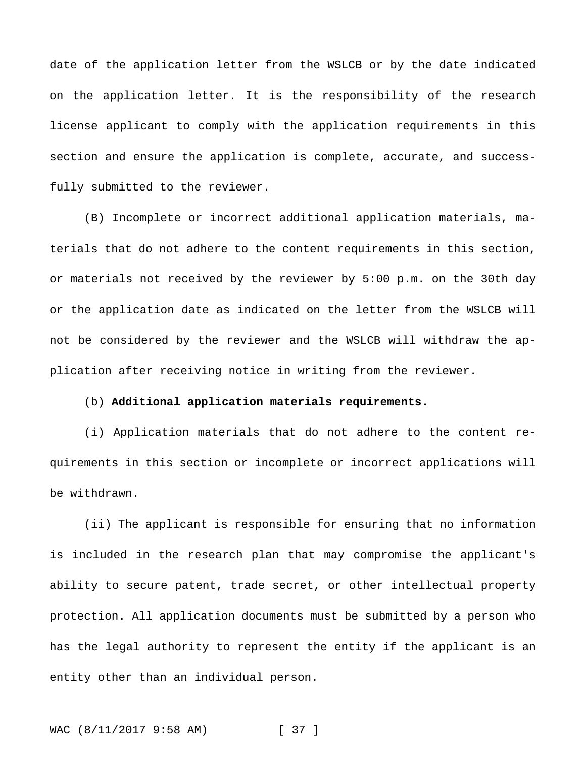date of the application letter from the WSLCB or by the date indicated on the application letter. It is the responsibility of the research license applicant to comply with the application requirements in this section and ensure the application is complete, accurate, and successfully submitted to the reviewer.

(B) Incomplete or incorrect additional application materials, materials that do not adhere to the content requirements in this section, or materials not received by the reviewer by 5:00 p.m. on the 30th day or the application date as indicated on the letter from the WSLCB will not be considered by the reviewer and the WSLCB will withdraw the application after receiving notice in writing from the reviewer.

#### (b) **Additional application materials requirements.**

(i) Application materials that do not adhere to the content requirements in this section or incomplete or incorrect applications will be withdrawn.

(ii) The applicant is responsible for ensuring that no information is included in the research plan that may compromise the applicant's ability to secure patent, trade secret, or other intellectual property protection. All application documents must be submitted by a person who has the legal authority to represent the entity if the applicant is an entity other than an individual person.

WAC (8/11/2017 9:58 AM) [ 37 ]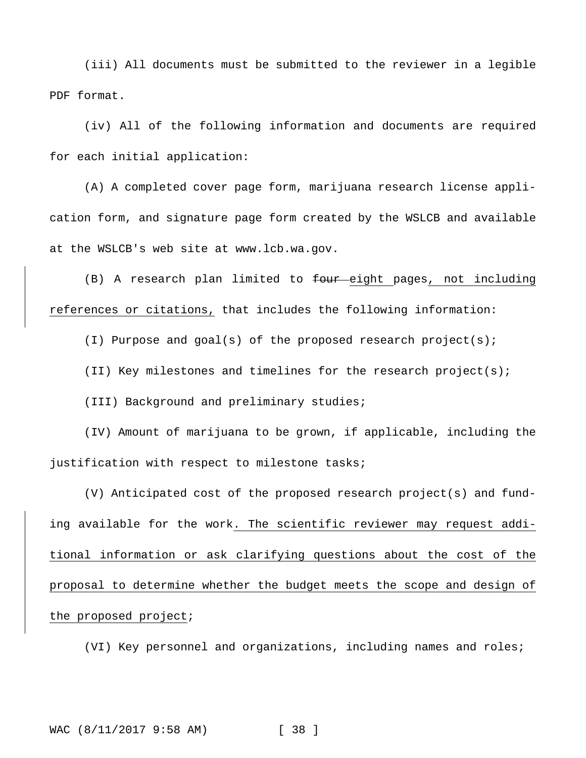(iii) All documents must be submitted to the reviewer in a legible PDF format.

(iv) All of the following information and documents are required for each initial application:

(A) A completed cover page form, marijuana research license application form, and signature page form created by the WSLCB and available at the WSLCB's web site at www.lcb.wa.gov.

(B) A research plan limited to four eight pages, not including references or citations, that includes the following information:

(I) Purpose and goal(s) of the proposed research project(s);

(II) Key milestones and timelines for the research project(s);

(III) Background and preliminary studies;

(IV) Amount of marijuana to be grown, if applicable, including the justification with respect to milestone tasks;

(V) Anticipated cost of the proposed research project(s) and funding available for the work. The scientific reviewer may request additional information or ask clarifying questions about the cost of the proposal to determine whether the budget meets the scope and design of the proposed project;

(VI) Key personnel and organizations, including names and roles;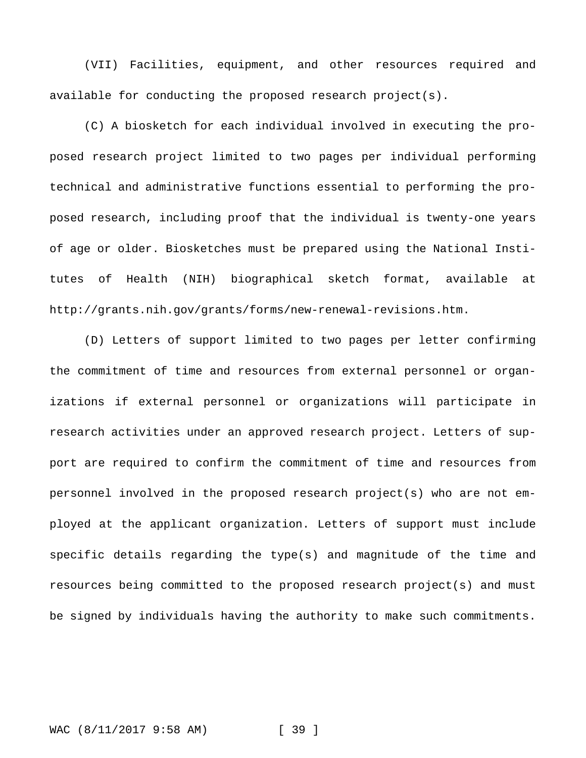(VII) Facilities, equipment, and other resources required and available for conducting the proposed research project(s).

(C) A biosketch for each individual involved in executing the proposed research project limited to two pages per individual performing technical and administrative functions essential to performing the proposed research, including proof that the individual is twenty-one years of age or older. Biosketches must be prepared using the National Institutes of Health (NIH) biographical sketch format, available at http://grants.nih.gov/grants/forms/new-renewal-revisions.htm.

(D) Letters of support limited to two pages per letter confirming the commitment of time and resources from external personnel or organizations if external personnel or organizations will participate in research activities under an approved research project. Letters of support are required to confirm the commitment of time and resources from personnel involved in the proposed research project(s) who are not employed at the applicant organization. Letters of support must include specific details regarding the type(s) and magnitude of the time and resources being committed to the proposed research project(s) and must be signed by individuals having the authority to make such commitments.

WAC (8/11/2017 9:58 AM) [ 39 ]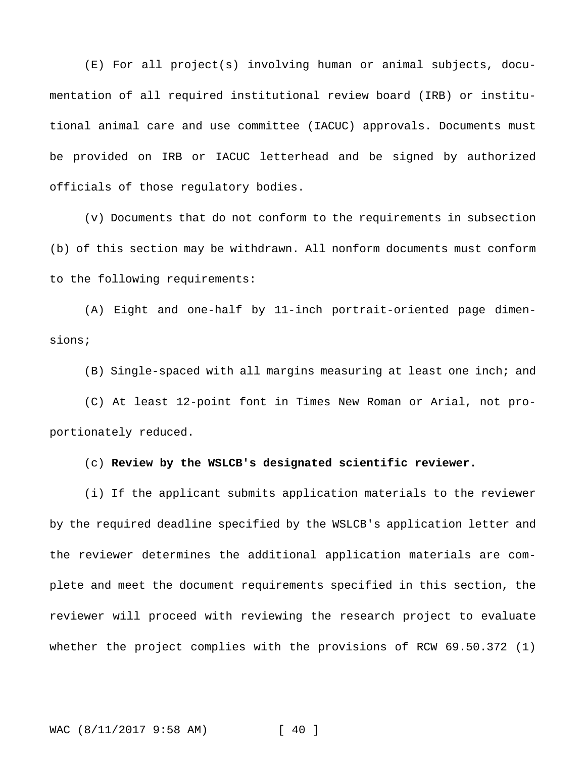(E) For all project(s) involving human or animal subjects, documentation of all required institutional review board (IRB) or institutional animal care and use committee (IACUC) approvals. Documents must be provided on IRB or IACUC letterhead and be signed by authorized officials of those regulatory bodies.

(v) Documents that do not conform to the requirements in subsection (b) of this section may be withdrawn. All nonform documents must conform to the following requirements:

(A) Eight and one-half by 11-inch portrait-oriented page dimensions;

(B) Single-spaced with all margins measuring at least one inch; and

(C) At least 12-point font in Times New Roman or Arial, not proportionately reduced.

(c) **Review by the WSLCB's designated scientific reviewer.**

(i) If the applicant submits application materials to the reviewer by the required deadline specified by the WSLCB's application letter and the reviewer determines the additional application materials are complete and meet the document requirements specified in this section, the reviewer will proceed with reviewing the research project to evaluate whether the project complies with the provisions of RCW 69.50.372 (1)

WAC (8/11/2017 9:58 AM) [ 40 ]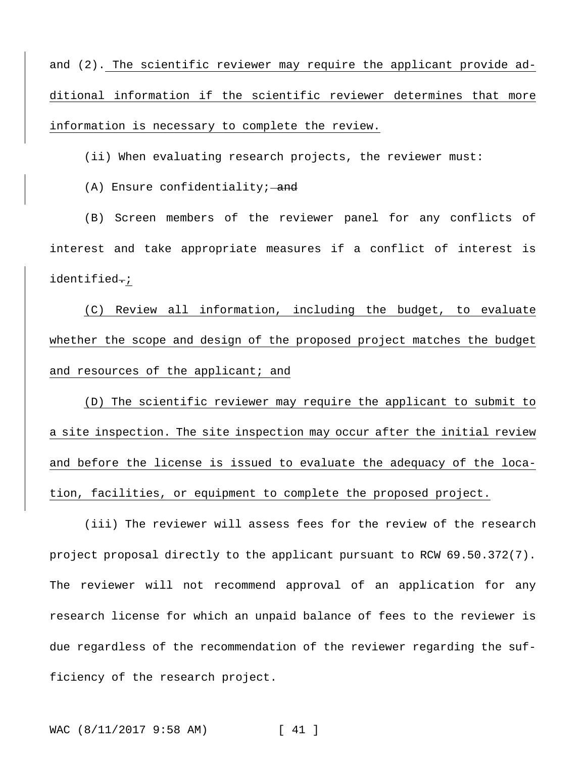and (2). The scientific reviewer may require the applicant provide additional information if the scientific reviewer determines that more information is necessary to complete the review.

(ii) When evaluating research projects, the reviewer must:

 $(A)$  Ensure confidentiality; and

(B) Screen members of the reviewer panel for any conflicts of interest and take appropriate measures if a conflict of interest is identified.;

(C) Review all information, including the budget, to evaluate whether the scope and design of the proposed project matches the budget and resources of the applicant; and

(D) The scientific reviewer may require the applicant to submit to a site inspection. The site inspection may occur after the initial review and before the license is issued to evaluate the adequacy of the location, facilities, or equipment to complete the proposed project.

(iii) The reviewer will assess fees for the review of the research project proposal directly to the applicant pursuant to RCW 69.50.372(7). The reviewer will not recommend approval of an application for any research license for which an unpaid balance of fees to the reviewer is due regardless of the recommendation of the reviewer regarding the sufficiency of the research project.

WAC (8/11/2017 9:58 AM) [ 41 ]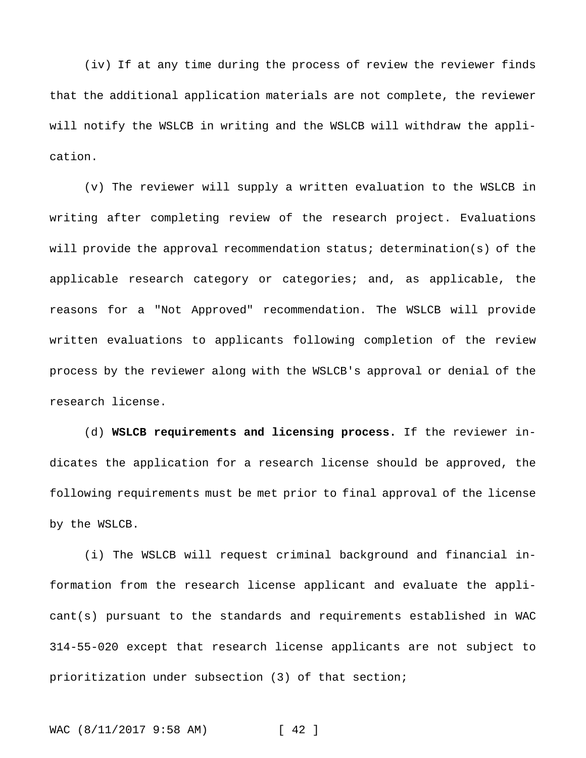(iv) If at any time during the process of review the reviewer finds that the additional application materials are not complete, the reviewer will notify the WSLCB in writing and the WSLCB will withdraw the application.

(v) The reviewer will supply a written evaluation to the WSLCB in writing after completing review of the research project. Evaluations will provide the approval recommendation status; determination(s) of the applicable research category or categories; and, as applicable, the reasons for a "Not Approved" recommendation. The WSLCB will provide written evaluations to applicants following completion of the review process by the reviewer along with the WSLCB's approval or denial of the research license.

(d) **WSLCB requirements and licensing process.** If the reviewer indicates the application for a research license should be approved, the following requirements must be met prior to final approval of the license by the WSLCB.

(i) The WSLCB will request criminal background and financial information from the research license applicant and evaluate the applicant(s) pursuant to the standards and requirements established in WAC 314-55-020 except that research license applicants are not subject to prioritization under subsection (3) of that section;

WAC (8/11/2017 9:58 AM) [ 42 ]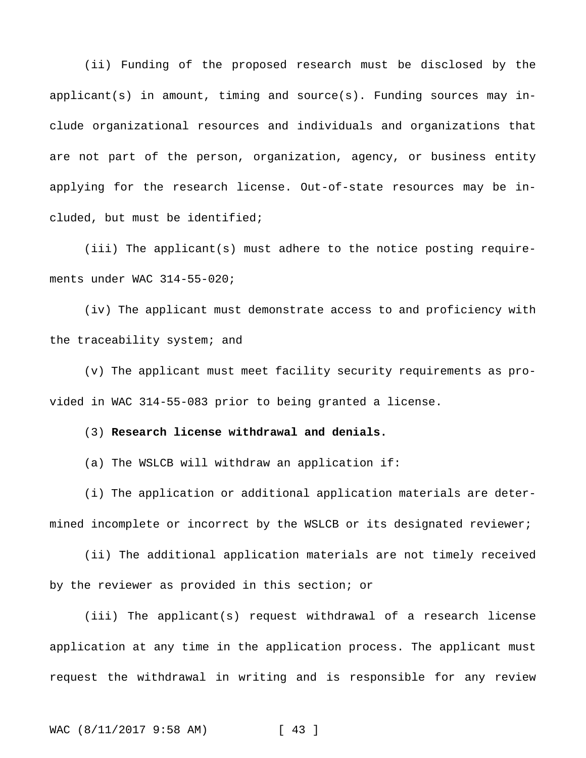(ii) Funding of the proposed research must be disclosed by the  $applicant(s)$  in amount, timing and source(s). Funding sources may include organizational resources and individuals and organizations that are not part of the person, organization, agency, or business entity applying for the research license. Out-of-state resources may be included, but must be identified;

(iii) The applicant(s) must adhere to the notice posting requirements under WAC 314-55-020;

(iv) The applicant must demonstrate access to and proficiency with the traceability system; and

(v) The applicant must meet facility security requirements as provided in WAC 314-55-083 prior to being granted a license.

## (3) **Research license withdrawal and denials.**

(a) The WSLCB will withdraw an application if:

(i) The application or additional application materials are determined incomplete or incorrect by the WSLCB or its designated reviewer;

(ii) The additional application materials are not timely received by the reviewer as provided in this section; or

(iii) The applicant(s) request withdrawal of a research license application at any time in the application process. The applicant must request the withdrawal in writing and is responsible for any review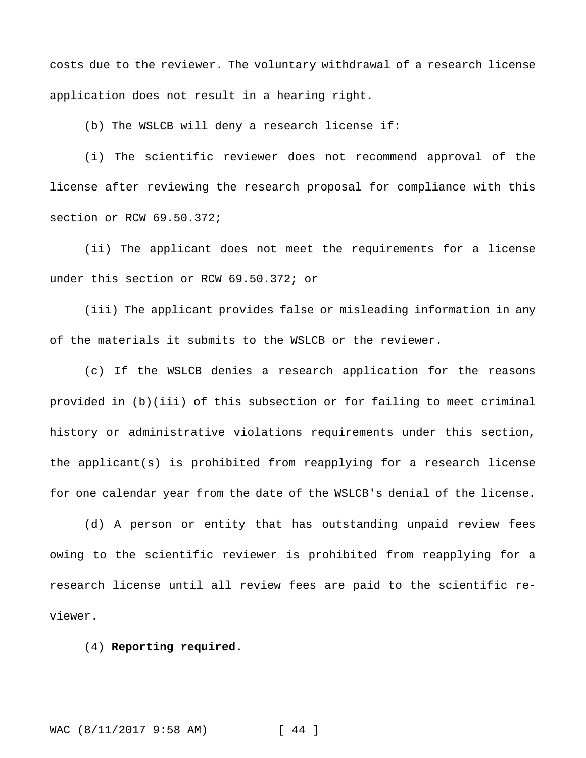costs due to the reviewer. The voluntary withdrawal of a research license application does not result in a hearing right.

(b) The WSLCB will deny a research license if:

(i) The scientific reviewer does not recommend approval of the license after reviewing the research proposal for compliance with this section or RCW 69.50.372;

(ii) The applicant does not meet the requirements for a license under this section or RCW 69.50.372; or

(iii) The applicant provides false or misleading information in any of the materials it submits to the WSLCB or the reviewer.

(c) If the WSLCB denies a research application for the reasons provided in (b)(iii) of this subsection or for failing to meet criminal history or administrative violations requirements under this section, the applicant(s) is prohibited from reapplying for a research license for one calendar year from the date of the WSLCB's denial of the license.

(d) A person or entity that has outstanding unpaid review fees owing to the scientific reviewer is prohibited from reapplying for a research license until all review fees are paid to the scientific reviewer.

(4) **Reporting required.**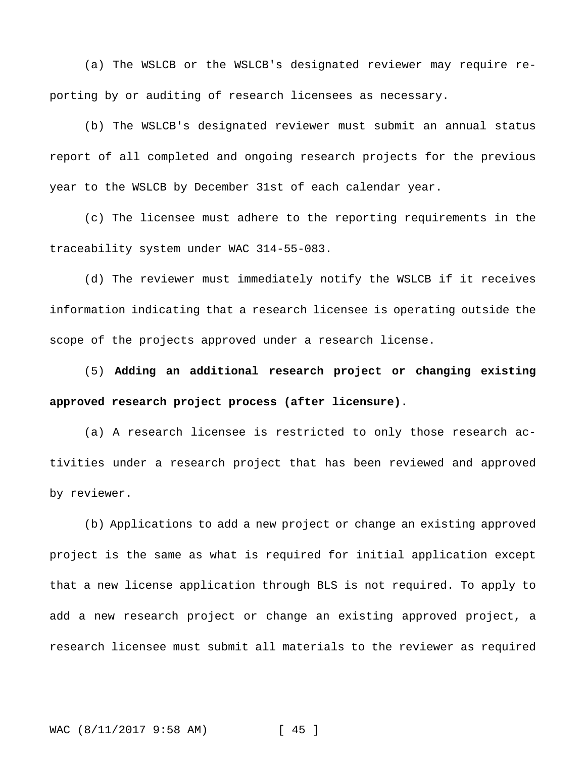(a) The WSLCB or the WSLCB's designated reviewer may require reporting by or auditing of research licensees as necessary.

(b) The WSLCB's designated reviewer must submit an annual status report of all completed and ongoing research projects for the previous year to the WSLCB by December 31st of each calendar year.

(c) The licensee must adhere to the reporting requirements in the traceability system under WAC 314-55-083.

(d) The reviewer must immediately notify the WSLCB if it receives information indicating that a research licensee is operating outside the scope of the projects approved under a research license.

(5) **Adding an additional research project or changing existing approved research project process (after licensure).**

(a) A research licensee is restricted to only those research activities under a research project that has been reviewed and approved by reviewer.

(b) Applications to add a new project or change an existing approved project is the same as what is required for initial application except that a new license application through BLS is not required. To apply to add a new research project or change an existing approved project, a research licensee must submit all materials to the reviewer as required

WAC (8/11/2017 9:58 AM) [ 45 ]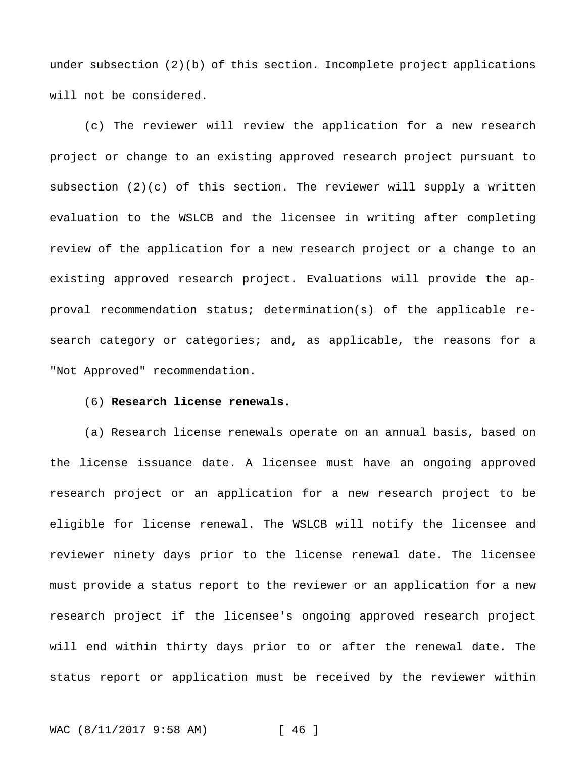under subsection (2)(b) of this section. Incomplete project applications will not be considered.

(c) The reviewer will review the application for a new research project or change to an existing approved research project pursuant to subsection (2)(c) of this section. The reviewer will supply a written evaluation to the WSLCB and the licensee in writing after completing review of the application for a new research project or a change to an existing approved research project. Evaluations will provide the approval recommendation status; determination(s) of the applicable research category or categories; and, as applicable, the reasons for a "Not Approved" recommendation.

# (6) **Research license renewals.**

(a) Research license renewals operate on an annual basis, based on the license issuance date. A licensee must have an ongoing approved research project or an application for a new research project to be eligible for license renewal. The WSLCB will notify the licensee and reviewer ninety days prior to the license renewal date. The licensee must provide a status report to the reviewer or an application for a new research project if the licensee's ongoing approved research project will end within thirty days prior to or after the renewal date. The status report or application must be received by the reviewer within

WAC (8/11/2017 9:58 AM) [ 46 ]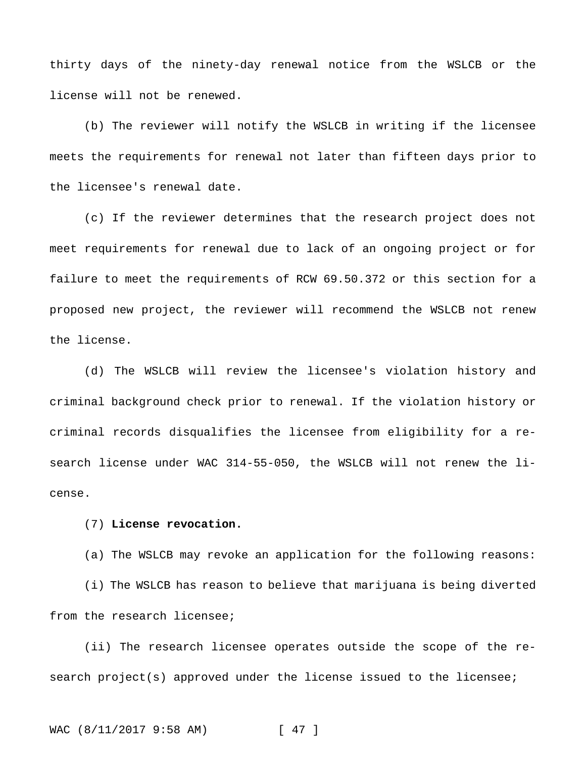thirty days of the ninety-day renewal notice from the WSLCB or the license will not be renewed.

(b) The reviewer will notify the WSLCB in writing if the licensee meets the requirements for renewal not later than fifteen days prior to the licensee's renewal date.

(c) If the reviewer determines that the research project does not meet requirements for renewal due to lack of an ongoing project or for failure to meet the requirements of RCW 69.50.372 or this section for a proposed new project, the reviewer will recommend the WSLCB not renew the license.

(d) The WSLCB will review the licensee's violation history and criminal background check prior to renewal. If the violation history or criminal records disqualifies the licensee from eligibility for a research license under WAC 314-55-050, the WSLCB will not renew the license.

## (7) **License revocation.**

(a) The WSLCB may revoke an application for the following reasons:

(i) The WSLCB has reason to believe that marijuana is being diverted from the research licensee;

(ii) The research licensee operates outside the scope of the research project(s) approved under the license issued to the licensee;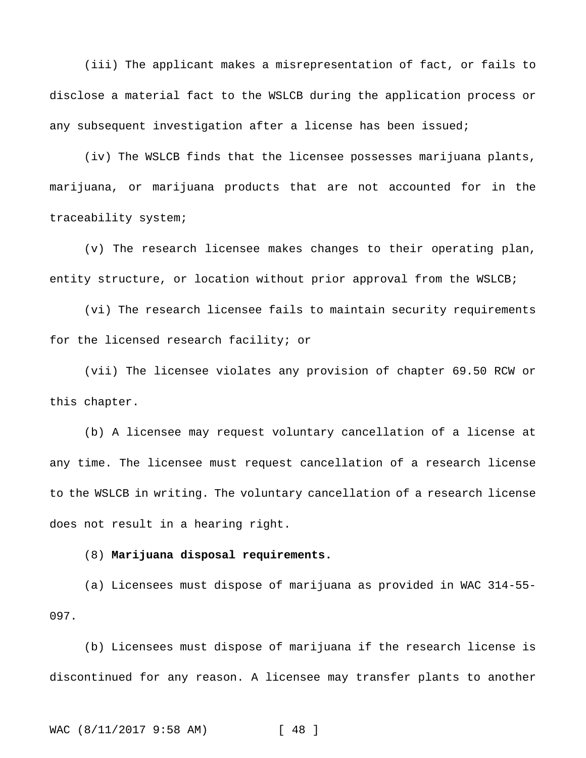(iii) The applicant makes a misrepresentation of fact, or fails to disclose a material fact to the WSLCB during the application process or any subsequent investigation after a license has been issued;

(iv) The WSLCB finds that the licensee possesses marijuana plants, marijuana, or marijuana products that are not accounted for in the traceability system;

(v) The research licensee makes changes to their operating plan, entity structure, or location without prior approval from the WSLCB;

(vi) The research licensee fails to maintain security requirements for the licensed research facility; or

(vii) The licensee violates any provision of chapter 69.50 RCW or this chapter.

(b) A licensee may request voluntary cancellation of a license at any time. The licensee must request cancellation of a research license to the WSLCB in writing. The voluntary cancellation of a research license does not result in a hearing right.

(8) **Marijuana disposal requirements.**

(a) Licensees must dispose of marijuana as provided in WAC 314-55- 097.

(b) Licensees must dispose of marijuana if the research license is discontinued for any reason. A licensee may transfer plants to another

```
WAC (8/11/2017 9:58 AM) [ 48 ]
```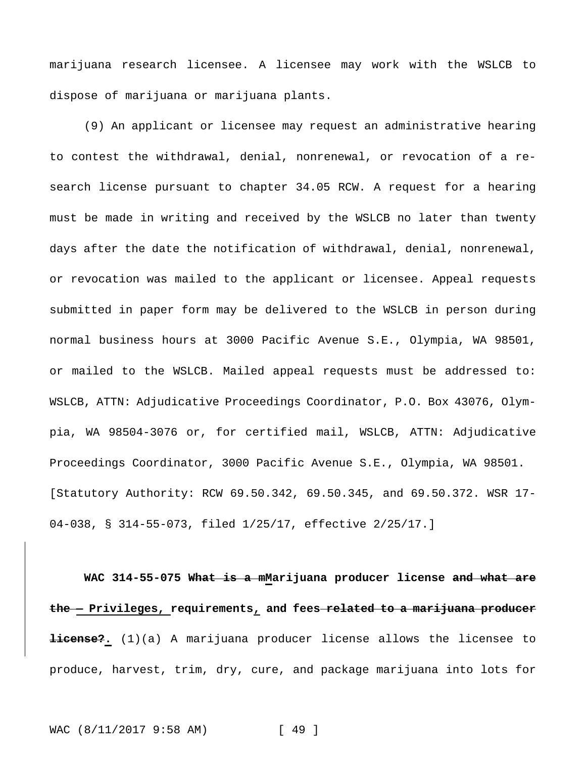marijuana research licensee. A licensee may work with the WSLCB to dispose of marijuana or marijuana plants.

(9) An applicant or licensee may request an administrative hearing to contest the withdrawal, denial, nonrenewal, or revocation of a research license pursuant to chapter 34.05 RCW. A request for a hearing must be made in writing and received by the WSLCB no later than twenty days after the date the notification of withdrawal, denial, nonrenewal, or revocation was mailed to the applicant or licensee. Appeal requests submitted in paper form may be delivered to the WSLCB in person during normal business hours at 3000 Pacific Avenue S.E., Olympia, WA 98501, or mailed to the WSLCB. Mailed appeal requests must be addressed to: WSLCB, ATTN: Adjudicative Proceedings Coordinator, P.O. Box 43076, Olympia, WA 98504-3076 or, for certified mail, WSLCB, ATTN: Adjudicative Proceedings Coordinator, 3000 Pacific Avenue S.E., Olympia, WA 98501. [Statutory Authority: RCW 69.50.342, 69.50.345, and 69.50.372. WSR 17- 04-038, § 314-55-073, filed 1/25/17, effective 2/25/17.]

**WAC 314-55-075 What is a mMarijuana producer license and what are the — Privileges, requirements, and fees related to a marijuana producer license?.** (1)(a) A marijuana producer license allows the licensee to produce, harvest, trim, dry, cure, and package marijuana into lots for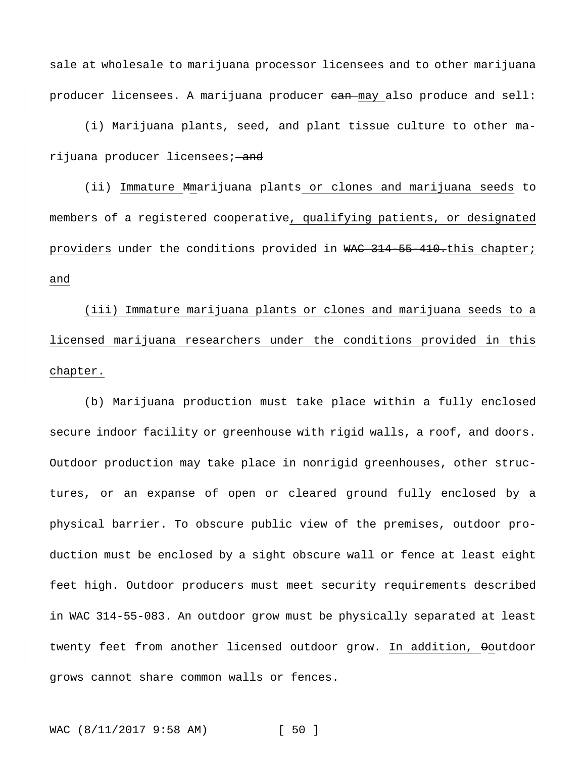sale at wholesale to marijuana processor licensees and to other marijuana producer licensees. A marijuana producer ean may also produce and sell:

(i) Marijuana plants, seed, and plant tissue culture to other marijuana producer licensees; and

(ii) Immature Mmarijuana plants or clones and marijuana seeds to members of a registered cooperative, qualifying patients, or designated providers under the conditions provided in WAC 314-55-410.this chapter; and

(iii) Immature marijuana plants or clones and marijuana seeds to a licensed marijuana researchers under the conditions provided in this chapter.

(b) Marijuana production must take place within a fully enclosed secure indoor facility or greenhouse with rigid walls, a roof, and doors. Outdoor production may take place in nonrigid greenhouses, other structures, or an expanse of open or cleared ground fully enclosed by a physical barrier. To obscure public view of the premises, outdoor production must be enclosed by a sight obscure wall or fence at least eight feet high. Outdoor producers must meet security requirements described in WAC 314-55-083. An outdoor grow must be physically separated at least twenty feet from another licensed outdoor grow. In addition,  $\Theta$ outdoor grows cannot share common walls or fences.

WAC (8/11/2017 9:58 AM) [ 50 ]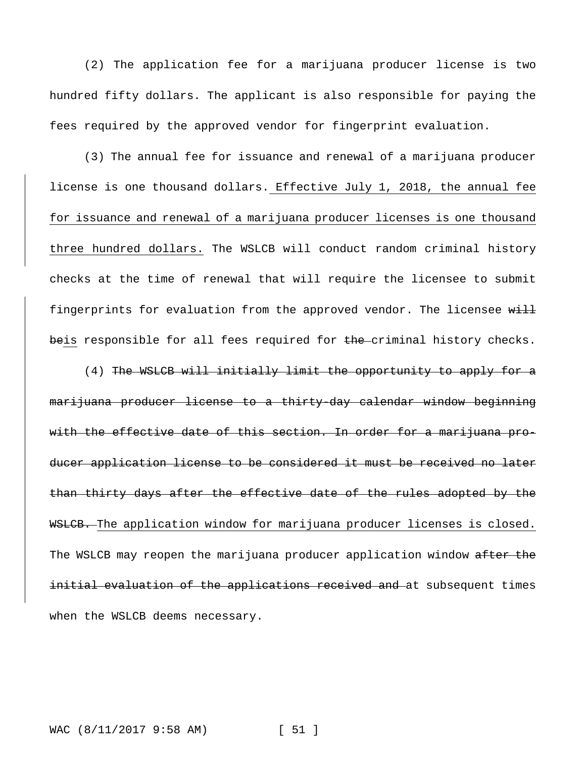(2) The application fee for a marijuana producer license is two hundred fifty dollars. The applicant is also responsible for paying the fees required by the approved vendor for fingerprint evaluation.

(3) The annual fee for issuance and renewal of a marijuana producer license is one thousand dollars. Effective July 1, 2018, the annual fee for issuance and renewal of a marijuana producer licenses is one thousand three hundred dollars. The WSLCB will conduct random criminal history checks at the time of renewal that will require the licensee to submit fingerprints for evaluation from the approved vendor. The licensee will beis responsible for all fees required for the criminal history checks.

(4) The WSLCB will initially limit the opportunity to apply for a marijuana producer license to a thirty-day calendar window beginning with the effective date of this section. In order for a marijuana producer application license to be considered it must be received no later than thirty days after the effective date of the rules adopted by the WSLCB. The application window for marijuana producer licenses is closed. The WSLCB may reopen the marijuana producer application window after the initial evaluation of the applications received and at subsequent times when the WSLCB deems necessary.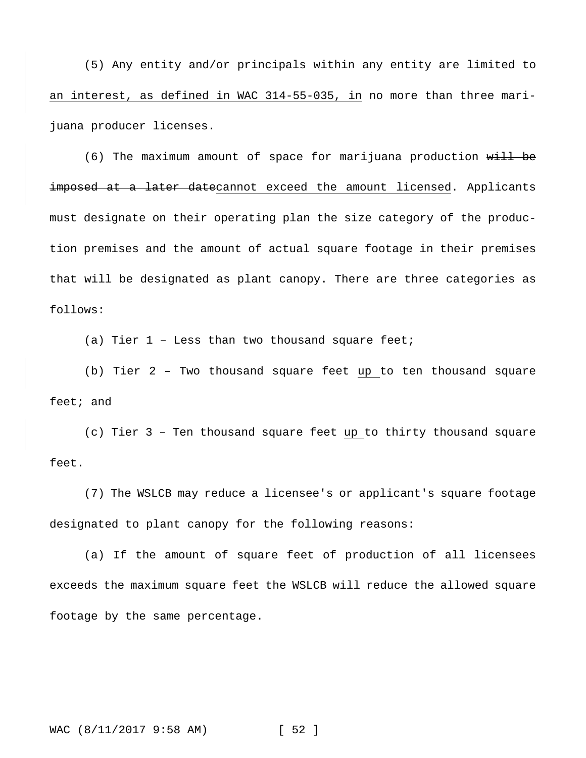(5) Any entity and/or principals within any entity are limited to an interest, as defined in WAC 314-55-035, in no more than three marijuana producer licenses.

(6) The maximum amount of space for marijuana production  $w$ ill be imposed at a later datecannot exceed the amount licensed. Applicants must designate on their operating plan the size category of the production premises and the amount of actual square footage in their premises that will be designated as plant canopy. There are three categories as follows:

(a) Tier  $1$  - Less than two thousand square feet;

(b) Tier 2 – Two thousand square feet up to ten thousand square feet; and

(c) Tier 3 – Ten thousand square feet up to thirty thousand square feet.

(7) The WSLCB may reduce a licensee's or applicant's square footage designated to plant canopy for the following reasons:

(a) If the amount of square feet of production of all licensees exceeds the maximum square feet the WSLCB will reduce the allowed square footage by the same percentage.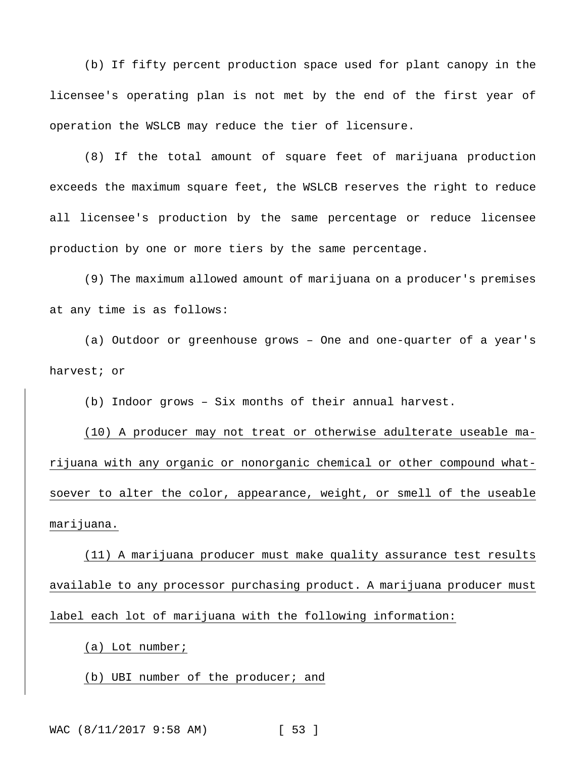(b) If fifty percent production space used for plant canopy in the licensee's operating plan is not met by the end of the first year of operation the WSLCB may reduce the tier of licensure.

(8) If the total amount of square feet of marijuana production exceeds the maximum square feet, the WSLCB reserves the right to reduce all licensee's production by the same percentage or reduce licensee production by one or more tiers by the same percentage.

(9) The maximum allowed amount of marijuana on a producer's premises at any time is as follows:

(a) Outdoor or greenhouse grows – One and one-quarter of a year's harvest; or

(b) Indoor grows – Six months of their annual harvest.

(10) A producer may not treat or otherwise adulterate useable marijuana with any organic or nonorganic chemical or other compound whatsoever to alter the color, appearance, weight, or smell of the useable marijuana.

(11) A marijuana producer must make quality assurance test results available to any processor purchasing product. A marijuana producer must label each lot of marijuana with the following information:

(a) Lot number;

(b) UBI number of the producer; and

WAC (8/11/2017 9:58 AM) [ 53 ]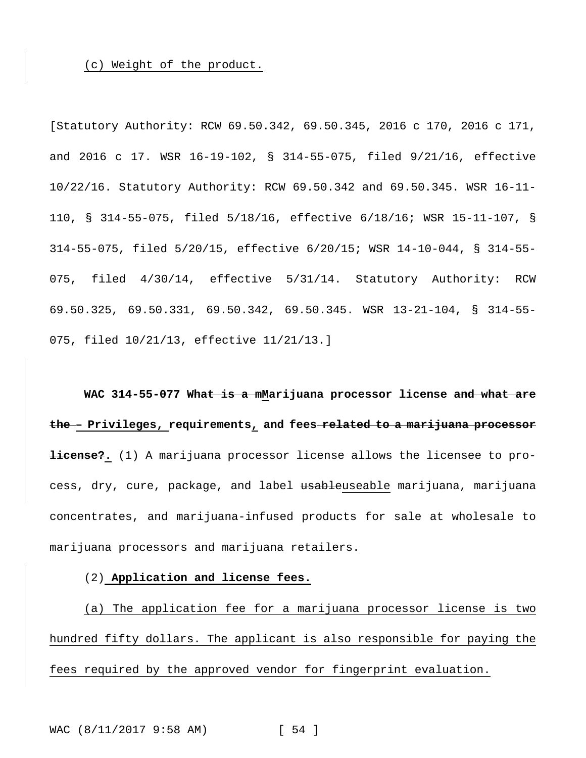(c) Weight of the product.

[Statutory Authority: RCW 69.50.342, 69.50.345, 2016 c 170, 2016 c 171, and 2016 c 17. WSR 16-19-102, § 314-55-075, filed 9/21/16, effective 10/22/16. Statutory Authority: RCW 69.50.342 and 69.50.345. WSR 16-11- 110, § 314-55-075, filed 5/18/16, effective 6/18/16; WSR 15-11-107, § 314-55-075, filed 5/20/15, effective 6/20/15; WSR 14-10-044, § 314-55- 075, filed 4/30/14, effective 5/31/14. Statutory Authority: RCW 69.50.325, 69.50.331, 69.50.342, 69.50.345. WSR 13-21-104, § 314-55- 075, filed 10/21/13, effective 11/21/13.]

**WAC 314-55-077 What is a mMarijuana processor license and what are the – Privileges, requirements, and fees related to a marijuana processor license?.** (1) A marijuana processor license allows the licensee to process, dry, cure, package, and label usableuseable marijuana, marijuana concentrates, and marijuana-infused products for sale at wholesale to marijuana processors and marijuana retailers.

(2) **Application and license fees.**

(a) The application fee for a marijuana processor license is two hundred fifty dollars. The applicant is also responsible for paying the fees required by the approved vendor for fingerprint evaluation.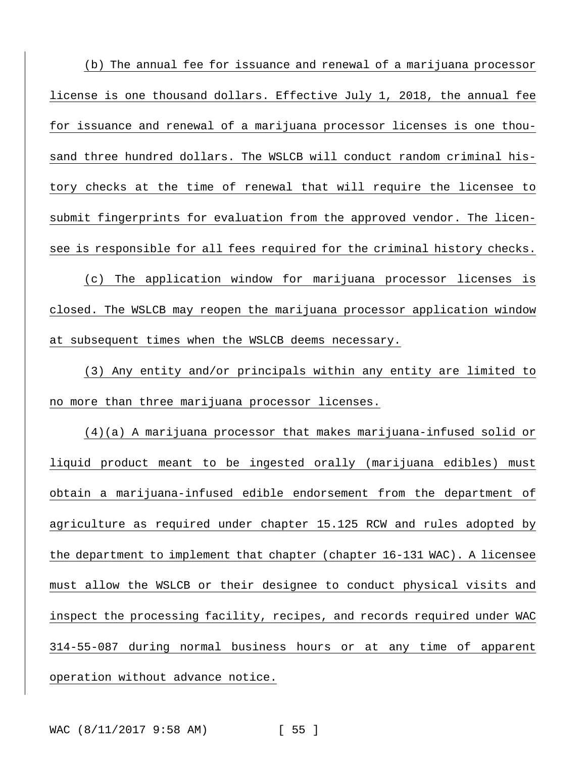(b) The annual fee for issuance and renewal of a marijuana processor license is one thousand dollars. Effective July 1, 2018, the annual fee for issuance and renewal of a marijuana processor licenses is one thousand three hundred dollars. The WSLCB will conduct random criminal history checks at the time of renewal that will require the licensee to submit fingerprints for evaluation from the approved vendor. The licensee is responsible for all fees required for the criminal history checks. (c) The application window for marijuana processor licenses is

closed. The WSLCB may reopen the marijuana processor application window at subsequent times when the WSLCB deems necessary.

(3) Any entity and/or principals within any entity are limited to no more than three marijuana processor licenses.

(4)(a) A marijuana processor that makes marijuana-infused solid or liquid product meant to be ingested orally (marijuana edibles) must obtain a marijuana-infused edible endorsement from the department of agriculture as required under chapter 15.125 RCW and rules adopted by the department to implement that chapter (chapter 16-131 WAC). A licensee must allow the WSLCB or their designee to conduct physical visits and inspect the processing facility, recipes, and records required under WAC 314-55-087 during normal business hours or at any time of apparent operation without advance notice.

WAC (8/11/2017 9:58 AM) [ 55 ]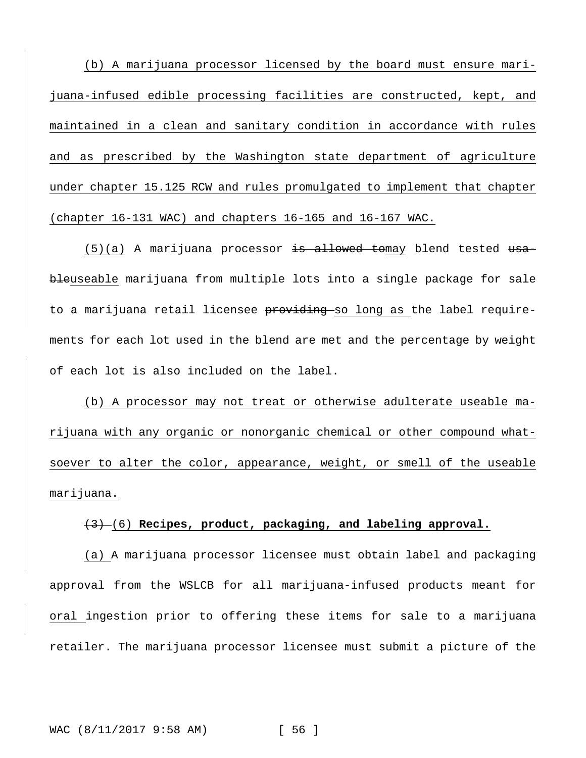(b) A marijuana processor licensed by the board must ensure marijuana-infused edible processing facilities are constructed, kept, and maintained in a clean and sanitary condition in accordance with rules and as prescribed by the Washington state department of agriculture under chapter 15.125 RCW and rules promulgated to implement that chapter (chapter 16-131 WAC) and chapters 16-165 and 16-167 WAC.

 $(5)(a)$  A marijuana processor is allowed tomay blend tested usableuseable marijuana from multiple lots into a single package for sale to a marijuana retail licensee providing so long as the label requirements for each lot used in the blend are met and the percentage by weight of each lot is also included on the label.

(b) A processor may not treat or otherwise adulterate useable marijuana with any organic or nonorganic chemical or other compound whatsoever to alter the color, appearance, weight, or smell of the useable marijuana.

# (3) (6) **Recipes, product, packaging, and labeling approval.**

(a) A marijuana processor licensee must obtain label and packaging approval from the WSLCB for all marijuana-infused products meant for oral ingestion prior to offering these items for sale to a marijuana retailer. The marijuana processor licensee must submit a picture of the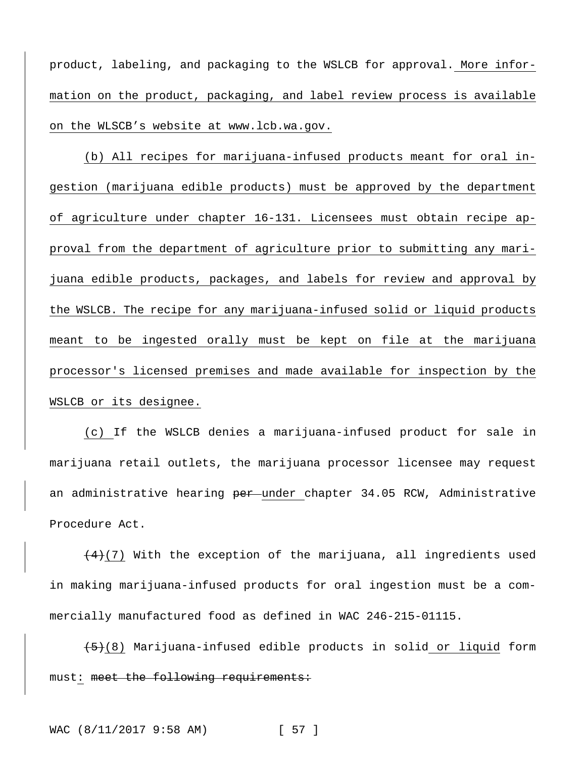product, labeling, and packaging to the WSLCB for approval. More information on the product, packaging, and label review process is available on the WLSCB's website at [www.lcb.wa.gov.](http://www.lcb.wa.gov/)

(b) All recipes for marijuana-infused products meant for oral ingestion (marijuana edible products) must be approved by the department of agriculture under chapter 16-131. Licensees must obtain recipe approval from the department of agriculture prior to submitting any marijuana edible products, packages, and labels for review and approval by the WSLCB. The recipe for any marijuana-infused solid or liquid products meant to be ingested orally must be kept on file at the marijuana processor's licensed premises and made available for inspection by the WSLCB or its designee.

(c) If the WSLCB denies a marijuana-infused product for sale in marijuana retail outlets, the marijuana processor licensee may request an administrative hearing <del>per u</del>nder chapter 34.05 RCW, Administrative Procedure Act.

 $\frac{4}{12}$  With the exception of the marijuana, all ingredients used in making marijuana-infused products for oral ingestion must be a commercially manufactured food as defined in WAC 246-215-01115.

 $(5)$ (8) Marijuana-infused edible products in solid or liquid form must: meet the following requirements: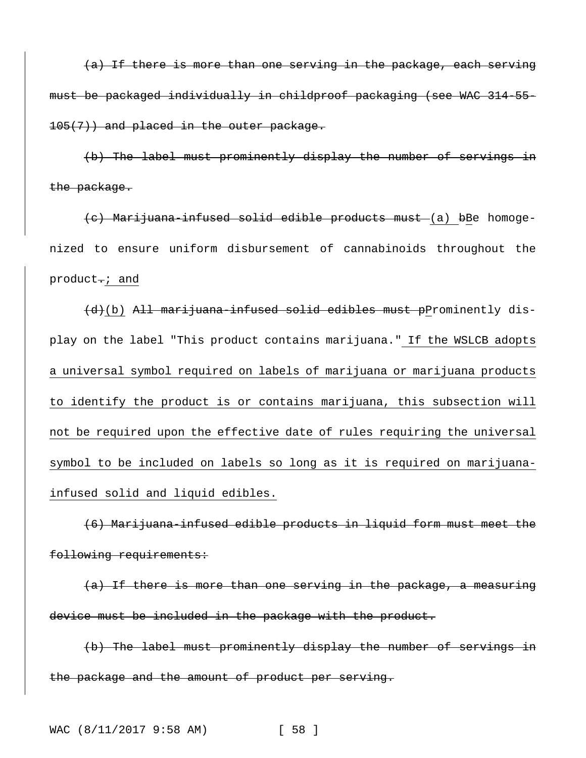(a) If there is more than one serving in the package, each serving must be packaged individually in childproof packaging (see WAC 314-55- 105(7)) and placed in the outer package.

(b) The label must prominently display the number of servings in the package.

(c) Marijuana-infused solid edible products must (a) bBe homogenized to ensure uniform disbursement of cannabinoids throughout the product.; and

(d)(b) All marijuana-infused solid edibles must pProminently display on the label "This product contains marijuana." If the WSLCB adopts a universal symbol required on labels of marijuana or marijuana products to identify the product is or contains marijuana, this subsection will not be required upon the effective date of rules requiring the universal symbol to be included on labels so long as it is required on marijuanainfused solid and liquid edibles.

(6) Marijuana-infused edible products in liquid form must meet the following requirements:

(a) If there is more than one serving in the package, a measuring device must be included in the package with the product.

(b) The label must prominently display the number of servings in the package and the amount of product per serving.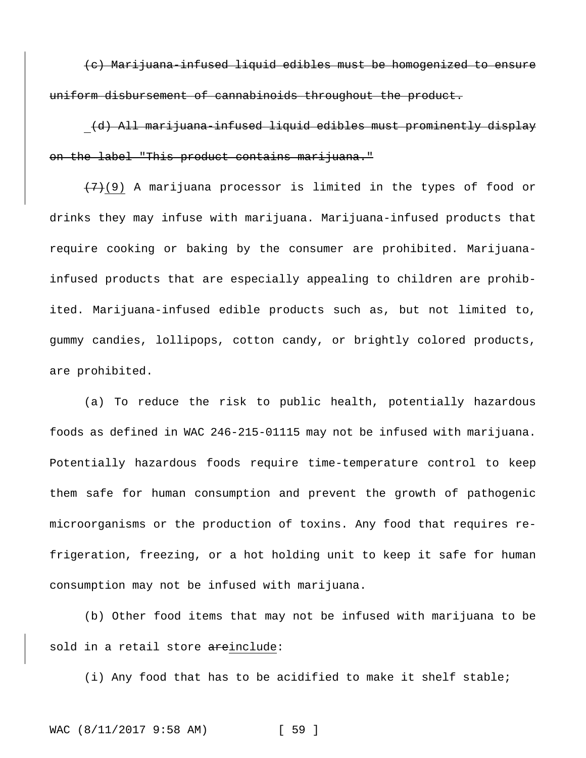(c) Marijuana-infused liquid edibles must be homogenized to ensure uniform disbursement of cannabinoids throughout the product.

(d) All marijuana-infused liquid edibles must prominently display on the label "This product contains marijuana."

 $(7)(9)$  A marijuana processor is limited in the types of food or drinks they may infuse with marijuana. Marijuana-infused products that require cooking or baking by the consumer are prohibited. Marijuanainfused products that are especially appealing to children are prohibited. Marijuana-infused edible products such as, but not limited to, gummy candies, lollipops, cotton candy, or brightly colored products, are prohibited.

(a) To reduce the risk to public health, potentially hazardous foods as defined in WAC 246-215-01115 may not be infused with marijuana. Potentially hazardous foods require time-temperature control to keep them safe for human consumption and prevent the growth of pathogenic microorganisms or the production of toxins. Any food that requires refrigeration, freezing, or a hot holding unit to keep it safe for human consumption may not be infused with marijuana.

(b) Other food items that may not be infused with marijuana to be sold in a retail store areinclude:

(i) Any food that has to be acidified to make it shelf stable;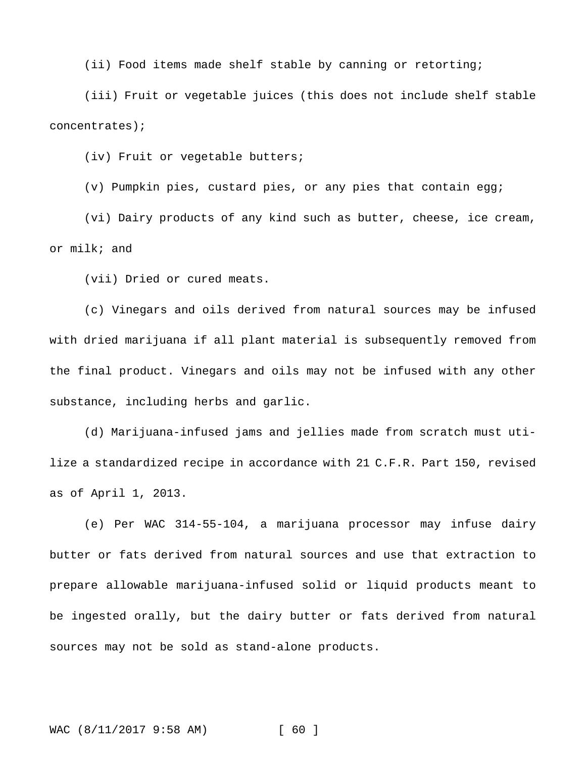(ii) Food items made shelf stable by canning or retorting;

(iii) Fruit or vegetable juices (this does not include shelf stable concentrates);

(iv) Fruit or vegetable butters;

(v) Pumpkin pies, custard pies, or any pies that contain egg;

(vi) Dairy products of any kind such as butter, cheese, ice cream, or milk; and

(vii) Dried or cured meats.

(c) Vinegars and oils derived from natural sources may be infused with dried marijuana if all plant material is subsequently removed from the final product. Vinegars and oils may not be infused with any other substance, including herbs and garlic.

(d) Marijuana-infused jams and jellies made from scratch must utilize a standardized recipe in accordance with 21 C.F.R. Part 150, revised as of April 1, 2013.

(e) Per WAC 314-55-104, a marijuana processor may infuse dairy butter or fats derived from natural sources and use that extraction to prepare allowable marijuana-infused solid or liquid products meant to be ingested orally, but the dairy butter or fats derived from natural sources may not be sold as stand-alone products.

WAC (8/11/2017 9:58 AM) [ 60 ]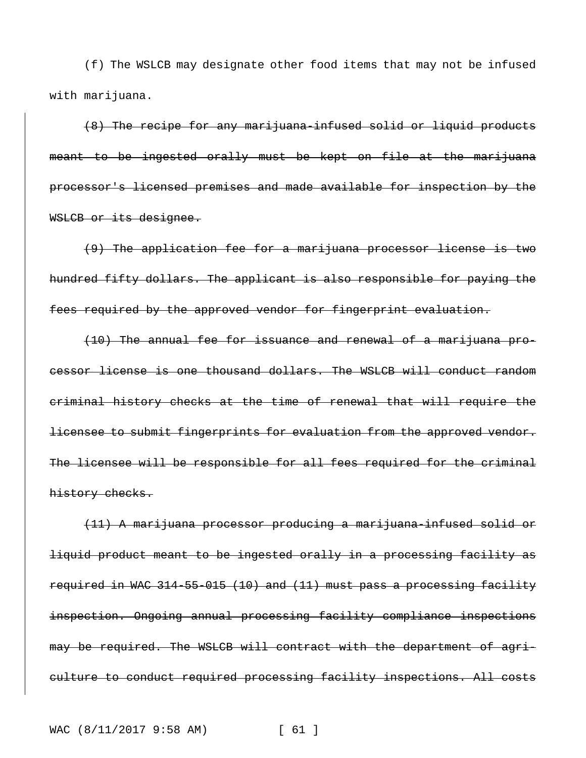(f) The WSLCB may designate other food items that may not be infused with marijuana.

(8) The recipe for any marijuana-infused solid or liquid products meant to be ingested orally must be kept on file at the marijuana processor's licensed premises and made available for inspection by the WSLCB or its designee.

(9) The application fee for a marijuana processor license is two hundred fifty dollars. The applicant is also responsible for paying the fees required by the approved vendor for fingerprint evaluation.

(10) The annual fee for issuance and renewal of a marijuana processor license is one thousand dollars. The WSLCB will conduct random criminal history checks at the time of renewal that will require the licensee to submit fingerprints for evaluation from the approved vendor. The licensee will be responsible for all fees required for the criminal history checks.

(11) A marijuana processor producing a marijuana-infused solid or liquid product meant to be ingested orally in a processing facility as required in WAC 314-55-015 (10) and (11) must pass a processing facility inspection. Ongoing annual processing facility compliance inspections may be required. The WSLCB will contract with the department of agriculture to conduct required processing facility inspections. All costs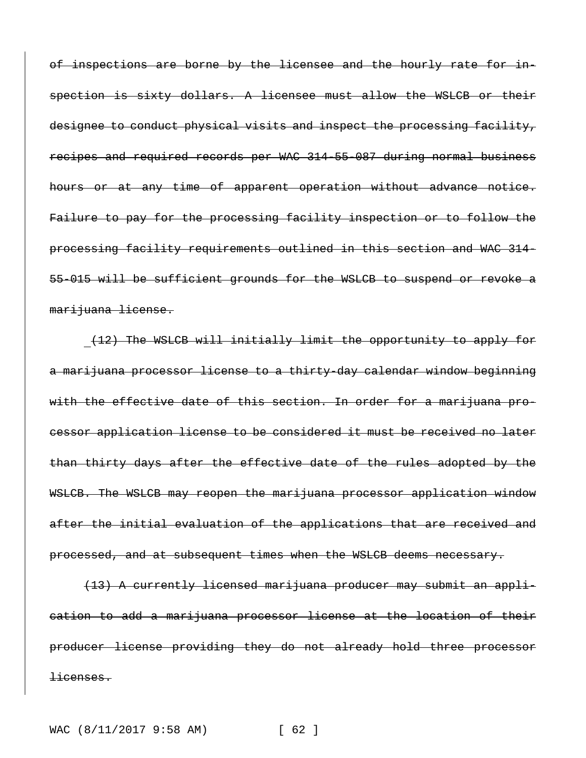of inspections are borne by the licensee and the hourly rate for inspection is sixty dollars. A licensee must allow the WSLCB or their designee to conduct physical visits and inspect the processing facility, recipes and required records per WAC 314-55-087 during normal business hours or at any time of apparent operation without advance notice. Failure to pay for the processing facility inspection or to follow the processing facility requirements outlined in this section and WAC 314- 55-015 will be sufficient grounds for the WSLCB to suspend or revoke a marijuana license.

(12) The WSLCB will initially limit the opportunity to apply for a marijuana processor license to a thirty-day calendar window beginning with the effective date of this section. In order for a marijuana processor application license to be considered it must be received no later than thirty days after the effective date of the rules adopted by the WSLCB. The WSLCB may reopen the marijuana processor application window after the initial evaluation of the applications that are received and processed, and at subsequent times when the WSLCB deems necessary.

(13) A currently licensed marijuana producer may submit an application to add a marijuana processor license at the location of their producer license providing they do not already hold three processor licenses.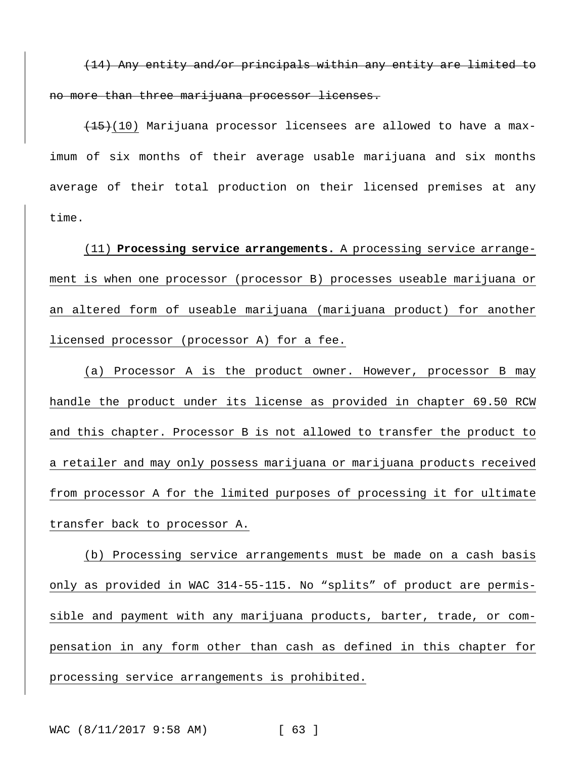(14) Any entity and/or principals within any entity are limited to no more than three marijuana processor licenses.

 $(15)(10)$  Marijuana processor licensees are allowed to have a maximum of six months of their average usable marijuana and six months average of their total production on their licensed premises at any time.

(11) **Processing service arrangements.** A processing service arrangement is when one processor (processor B) processes useable marijuana or an altered form of useable marijuana (marijuana product) for another licensed processor (processor A) for a fee.

(a) Processor A is the product owner. However, processor B may handle the product under its license as provided in chapter 69.50 RCW and this chapter. Processor B is not allowed to transfer the product to a retailer and may only possess marijuana or marijuana products received from processor A for the limited purposes of processing it for ultimate transfer back to processor A.

(b) Processing service arrangements must be made on a cash basis only as provided in WAC 314-55-115. No "splits" of product are permissible and payment with any marijuana products, barter, trade, or compensation in any form other than cash as defined in this chapter for processing service arrangements is prohibited.

WAC (8/11/2017 9:58 AM) [ 63 ]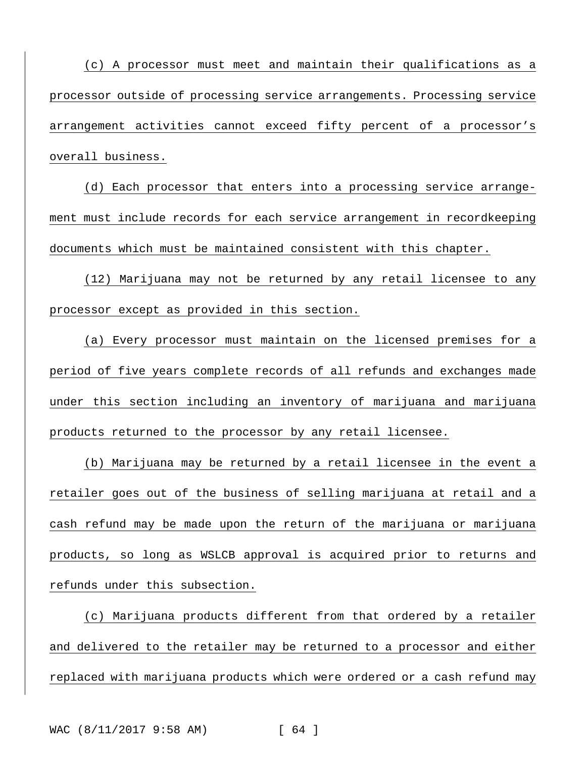(c) A processor must meet and maintain their qualifications as a processor outside of processing service arrangements. Processing service arrangement activities cannot exceed fifty percent of a processor's overall business.

(d) Each processor that enters into a processing service arrangement must include records for each service arrangement in recordkeeping documents which must be maintained consistent with this chapter.

(12) Marijuana may not be returned by any retail licensee to any processor except as provided in this section.

(a) Every processor must maintain on the licensed premises for a period of five years complete records of all refunds and exchanges made under this section including an inventory of marijuana and marijuana products returned to the processor by any retail licensee.

(b) Marijuana may be returned by a retail licensee in the event a retailer goes out of the business of selling marijuana at retail and a cash refund may be made upon the return of the marijuana or marijuana products, so long as WSLCB approval is acquired prior to returns and refunds under this subsection.

(c) Marijuana products different from that ordered by a retailer and delivered to the retailer may be returned to a processor and either replaced with marijuana products which were ordered or a cash refund may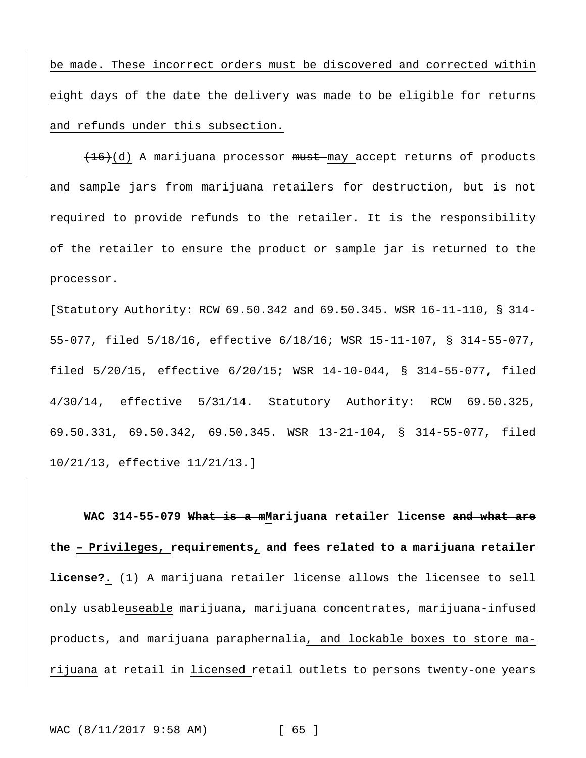be made. These incorrect orders must be discovered and corrected within eight days of the date the delivery was made to be eligible for returns and refunds under this subsection.

(16)(d) A marijuana processor must may accept returns of products and sample jars from marijuana retailers for destruction, but is not required to provide refunds to the retailer. It is the responsibility of the retailer to ensure the product or sample jar is returned to the processor.

[Statutory Authority: RCW 69.50.342 and 69.50.345. WSR 16-11-110, § 314- 55-077, filed 5/18/16, effective 6/18/16; WSR 15-11-107, § 314-55-077, filed 5/20/15, effective 6/20/15; WSR 14-10-044, § 314-55-077, filed 4/30/14, effective 5/31/14. Statutory Authority: RCW 69.50.325, 69.50.331, 69.50.342, 69.50.345. WSR 13-21-104, § 314-55-077, filed 10/21/13, effective 11/21/13.]

**WAC 314-55-079 What is a mMarijuana retailer license and what are the – Privileges, requirements, and fees related to a marijuana retailer license?.** (1) A marijuana retailer license allows the licensee to sell only usableuseable marijuana, marijuana concentrates, marijuana-infused products, and marijuana paraphernalia, and lockable boxes to store marijuana at retail in licensed retail outlets to persons twenty-one years

WAC (8/11/2017 9:58 AM) [ 65 ]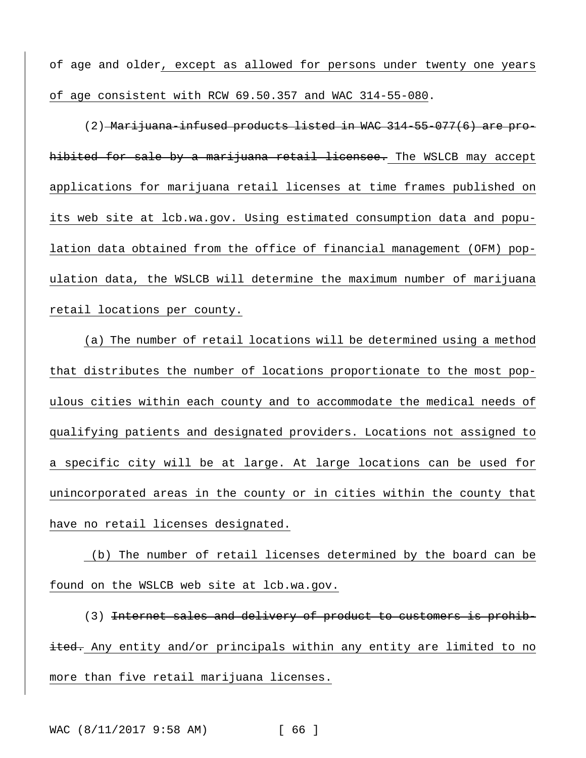of age and older, except as allowed for persons under twenty one years of age consistent with RCW 69.50.357 and WAC 314-55-080.

(2) Marijuana-infused products listed in WAC 314-55-077(6) are prohibited for sale by a marijuana retail licensee. The WSLCB may accept applications for marijuana retail licenses at time frames published on its web site at lcb.wa.gov. Using estimated consumption data and population data obtained from the office of financial management (OFM) population data, the WSLCB will determine the maximum number of marijuana retail locations per county.

(a) The number of retail locations will be determined using a method that distributes the number of locations proportionate to the most populous cities within each county and to accommodate the medical needs of qualifying patients and designated providers. Locations not assigned to a specific city will be at large. At large locations can be used for unincorporated areas in the county or in cities within the county that have no retail licenses designated.

(b) The number of retail licenses determined by the board can be found on the WSLCB web site at lcb.wa.gov.

(3) Internet sales and delivery of product to customers is prohibited. Any entity and/or principals within any entity are limited to no more than five retail marijuana licenses.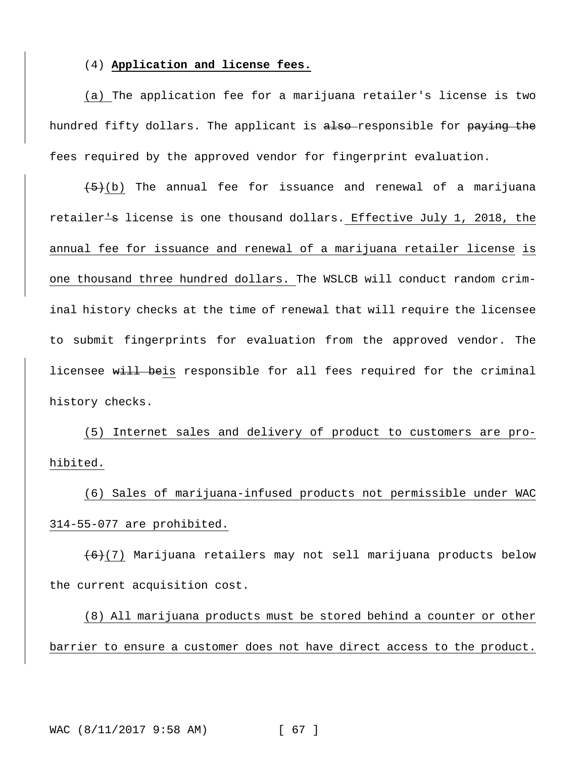#### (4) **Application and license fees.**

(a) The application fee for a marijuana retailer's license is two hundred fifty dollars. The applicant is also-responsible for paying the fees required by the approved vendor for fingerprint evaluation.

 $(5)(b)$  The annual fee for issuance and renewal of a marijuana retailer-s license is one thousand dollars. Effective July 1, 2018, the annual fee for issuance and renewal of a marijuana retailer license is one thousand three hundred dollars. The WSLCB will conduct random criminal history checks at the time of renewal that will require the licensee to submit fingerprints for evaluation from the approved vendor. The licensee will beis responsible for all fees required for the criminal history checks.

(5) Internet sales and delivery of product to customers are prohibited.

(6) Sales of marijuana-infused products not permissible under WAC 314-55-077 are prohibited.

(6)(7) Marijuana retailers may not sell marijuana products below the current acquisition cost.

(8) All marijuana products must be stored behind a counter or other barrier to ensure a customer does not have direct access to the product.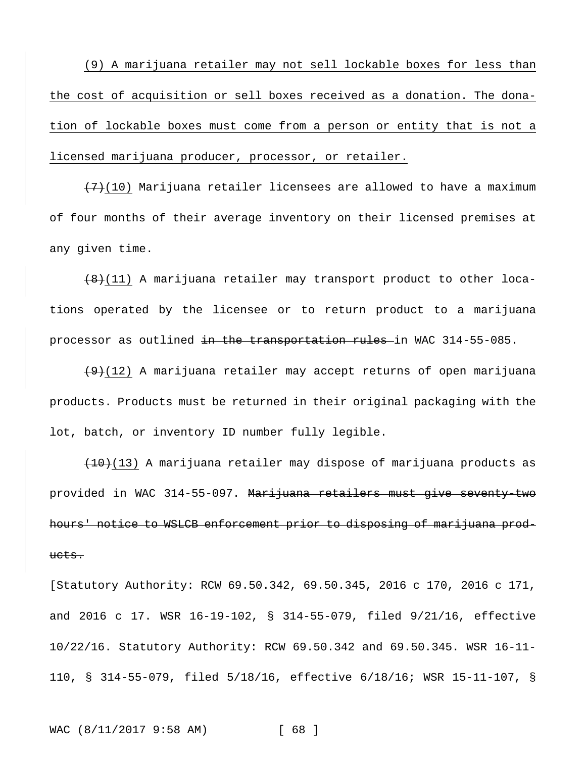(9) A marijuana retailer may not sell lockable boxes for less than the cost of acquisition or sell boxes received as a donation. The donation of lockable boxes must come from a person or entity that is not a licensed marijuana producer, processor, or retailer.

 $(7)$ (10) Marijuana retailer licensees are allowed to have a maximum of four months of their average inventory on their licensed premises at any given time.

 $(8)(11)$  A marijuana retailer may transport product to other locations operated by the licensee or to return product to a marijuana processor as outlined in the transportation rules in WAC 314-55-085.

 $(9)(12)$  A marijuana retailer may accept returns of open marijuana products. Products must be returned in their original packaging with the lot, batch, or inventory ID number fully legible.

 $(10)(13)$  A marijuana retailer may dispose of marijuana products as provided in WAC 314-55-097. Marijuana retailers must give seventy-two hours' notice to WSLCB enforcement prior to disposing of marijuana products.

[Statutory Authority: RCW 69.50.342, 69.50.345, 2016 c 170, 2016 c 171, and 2016 c 17. WSR 16-19-102, § 314-55-079, filed 9/21/16, effective 10/22/16. Statutory Authority: RCW 69.50.342 and 69.50.345. WSR 16-11- 110, § 314-55-079, filed 5/18/16, effective 6/18/16; WSR 15-11-107, §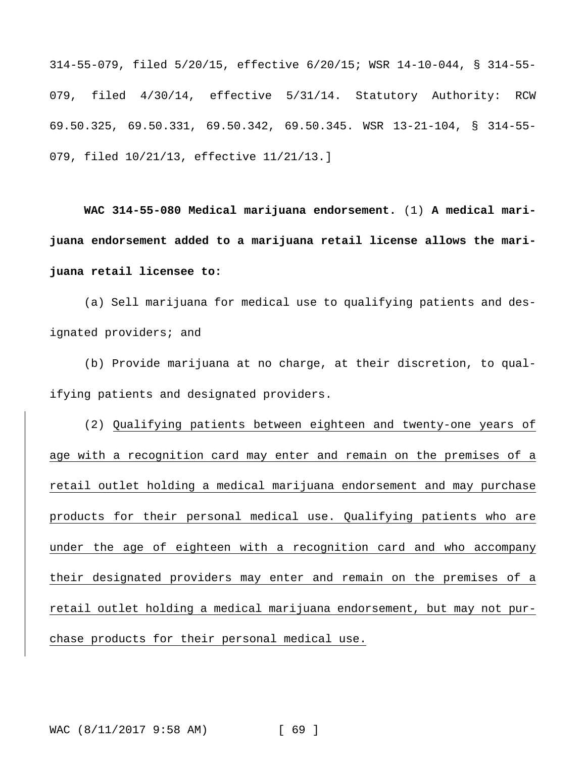314-55-079, filed 5/20/15, effective 6/20/15; WSR 14-10-044, § 314-55- 079, filed 4/30/14, effective 5/31/14. Statutory Authority: RCW 69.50.325, 69.50.331, 69.50.342, 69.50.345. WSR 13-21-104, § 314-55- 079, filed 10/21/13, effective 11/21/13.]

**WAC 314-55-080 Medical marijuana endorsement.** (1) **A medical marijuana endorsement added to a marijuana retail license allows the marijuana retail licensee to:**

(a) Sell marijuana for medical use to qualifying patients and designated providers; and

(b) Provide marijuana at no charge, at their discretion, to qualifying patients and designated providers.

(2) Qualifying patients between eighteen and twenty-one years of age with a recognition card may enter and remain on the premises of a retail outlet holding a medical marijuana endorsement and may purchase products for their personal medical use. Qualifying patients who are under the age of eighteen with a recognition card and who accompany their designated providers may enter and remain on the premises of a retail outlet holding a medical marijuana endorsement, but may not purchase products for their personal medical use.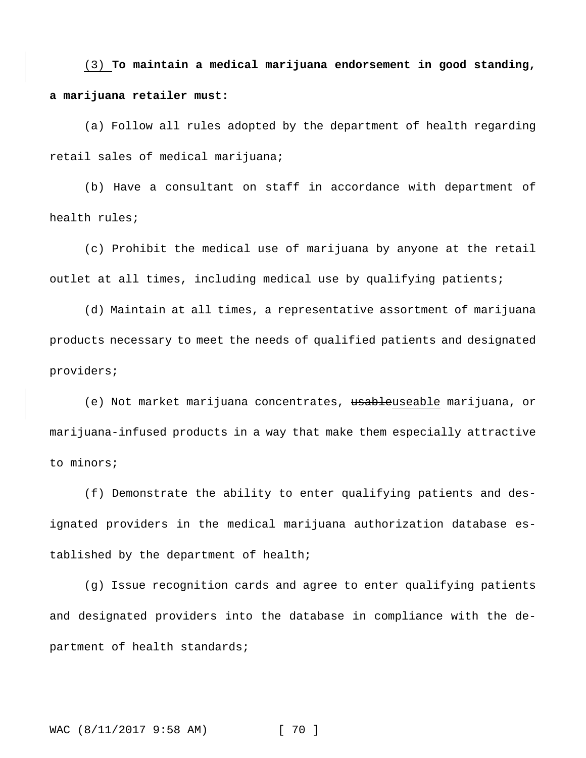(3) **To maintain a medical marijuana endorsement in good standing, a marijuana retailer must:**

(a) Follow all rules adopted by the department of health regarding retail sales of medical marijuana;

(b) Have a consultant on staff in accordance with department of health rules;

(c) Prohibit the medical use of marijuana by anyone at the retail outlet at all times, including medical use by qualifying patients;

(d) Maintain at all times, a representative assortment of marijuana products necessary to meet the needs of qualified patients and designated providers;

(e) Not market marijuana concentrates, <del>usable</del>useable marijuana, or marijuana-infused products in a way that make them especially attractive to minors;

(f) Demonstrate the ability to enter qualifying patients and designated providers in the medical marijuana authorization database established by the department of health;

(g) Issue recognition cards and agree to enter qualifying patients and designated providers into the database in compliance with the department of health standards;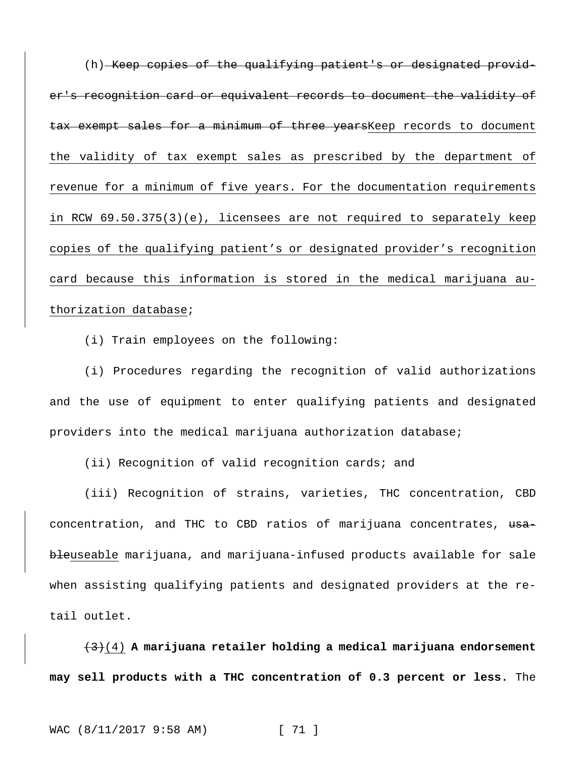(h) Keep copies of the qualifying patient's or designated provider's recognition card or equivalent records to document the validity of tax exempt sales for a minimum of three yearsKeep records to document the validity of tax exempt sales as prescribed by the department of revenue for a minimum of five years. For the documentation requirements in RCW 69.50.375(3)(e), licensees are not required to separately keep copies of the qualifying patient's or designated provider's recognition card because this information is stored in the medical marijuana authorization database;

(i) Train employees on the following:

(i) Procedures regarding the recognition of valid authorizations and the use of equipment to enter qualifying patients and designated providers into the medical marijuana authorization database;

(ii) Recognition of valid recognition cards; and

(iii) Recognition of strains, varieties, THC concentration, CBD concentration, and THC to CBD ratios of marijuana concentrates, usableuseable marijuana, and marijuana-infused products available for sale when assisting qualifying patients and designated providers at the retail outlet.

(3)(4) **A marijuana retailer holding a medical marijuana endorsement may sell products with a THC concentration of 0.3 percent or less.** The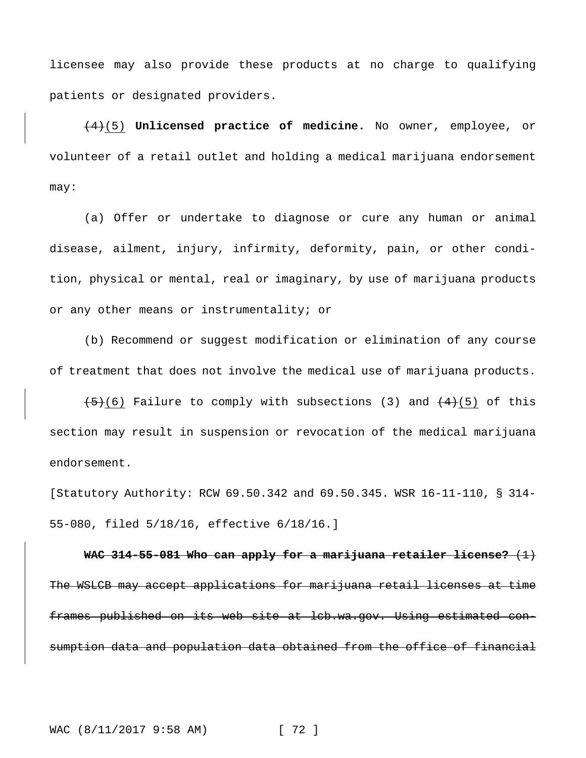licensee may also provide these products at no charge to qualifying patients or designated providers.

(4)(5) **Unlicensed practice of medicine.** No owner, employee, or volunteer of a retail outlet and holding a medical marijuana endorsement may:

(a) Offer or undertake to diagnose or cure any human or animal disease, ailment, injury, infirmity, deformity, pain, or other condition, physical or mental, real or imaginary, by use of marijuana products or any other means or instrumentality; or

(b) Recommend or suggest modification or elimination of any course of treatment that does not involve the medical use of marijuana products.

 $(5)$ (6) Failure to comply with subsections (3) and  $(4)$ (5) of this section may result in suspension or revocation of the medical marijuana endorsement.

[Statutory Authority: RCW 69.50.342 and 69.50.345. WSR 16-11-110, § 314- 55-080, filed 5/18/16, effective 6/18/16.]

**WAC 314-55-081 Who can apply for a marijuana retailer license?** (1) The WSLCB may accept applications for marijuana retail licenses at time frames published on its web site at lcb.wa.gov. Using estimated consumption data and population data obtained from the office of financial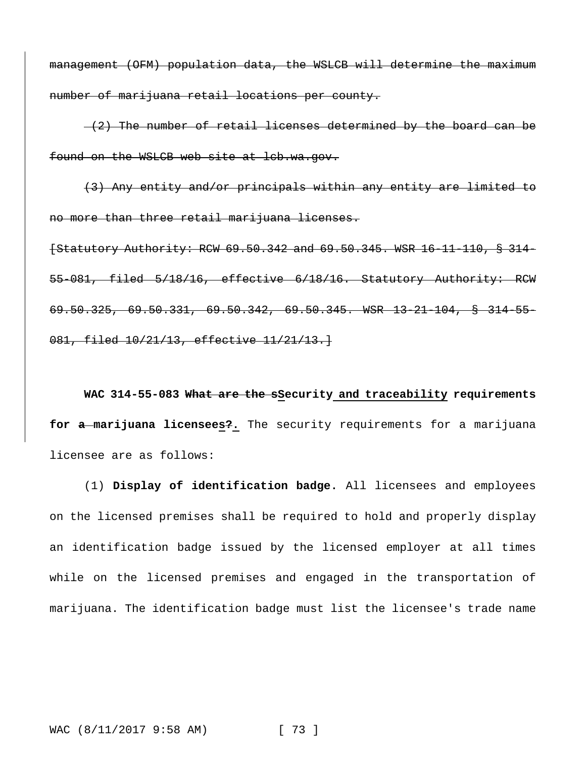management (OFM) population data, the WSLCB will determine the maximum number of marijuana retail locations per county.

 $-(2)$  The number of retail licenses determined by the board can be found on the WSLCB web site at lcb.wa.gov.

(3) Any entity and/or principals within any entity are limited to no more than three retail marijuana licenses. [Statutory Authority: RCW 69.50.342 and 69.50.345. WSR 16-11-110, § 314- 55-081, filed 5/18/16, effective 6/18/16. Statutory Authority: RCW 69.50.325, 69.50.331, 69.50.342, 69.50.345. WSR 13-21-104, § 314-55- 081, filed 10/21/13, effective 11/21/13.]

**WAC 314-55-083 What are the sSecurity and traceability requirements for a marijuana licensees?.** The security requirements for a marijuana licensee are as follows:

(1) **Display of identification badge.** All licensees and employees on the licensed premises shall be required to hold and properly display an identification badge issued by the licensed employer at all times while on the licensed premises and engaged in the transportation of marijuana. The identification badge must list the licensee's trade name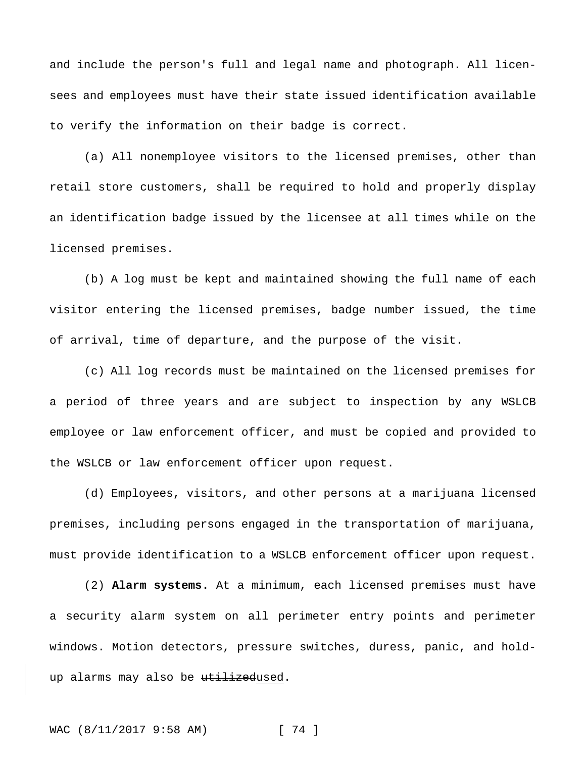and include the person's full and legal name and photograph. All licensees and employees must have their state issued identification available to verify the information on their badge is correct.

(a) All nonemployee visitors to the licensed premises, other than retail store customers, shall be required to hold and properly display an identification badge issued by the licensee at all times while on the licensed premises.

(b) A log must be kept and maintained showing the full name of each visitor entering the licensed premises, badge number issued, the time of arrival, time of departure, and the purpose of the visit.

(c) All log records must be maintained on the licensed premises for a period of three years and are subject to inspection by any WSLCB employee or law enforcement officer, and must be copied and provided to the WSLCB or law enforcement officer upon request.

(d) Employees, visitors, and other persons at a marijuana licensed premises, including persons engaged in the transportation of marijuana, must provide identification to a WSLCB enforcement officer upon request.

(2) **Alarm systems.** At a minimum, each licensed premises must have a security alarm system on all perimeter entry points and perimeter windows. Motion detectors, pressure switches, duress, panic, and holdup alarms may also be utilizedused.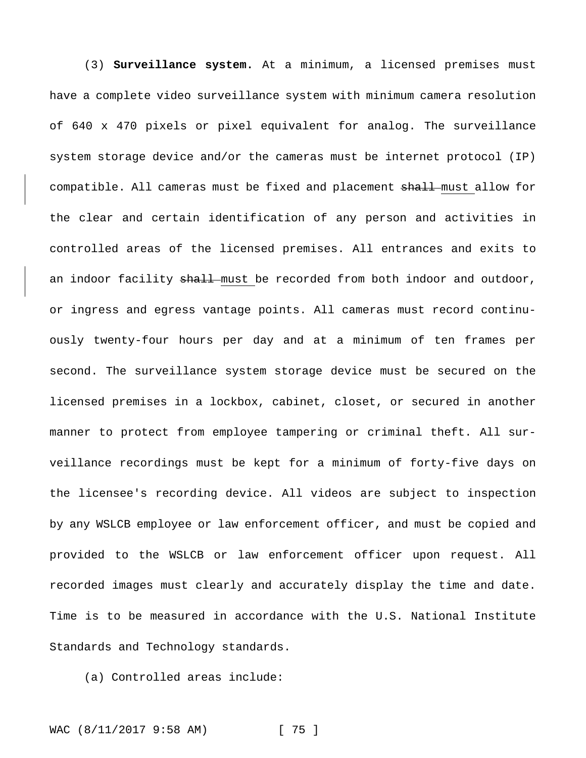(3) **Surveillance system.** At a minimum, a licensed premises must have a complete video surveillance system with minimum camera resolution of 640 x 470 pixels or pixel equivalent for analog. The surveillance system storage device and/or the cameras must be internet protocol (IP) compatible. All cameras must be fixed and placement shall-must allow for the clear and certain identification of any person and activities in controlled areas of the licensed premises. All entrances and exits to an indoor facility shall must be recorded from both indoor and outdoor, or ingress and egress vantage points. All cameras must record continuously twenty-four hours per day and at a minimum of ten frames per second. The surveillance system storage device must be secured on the licensed premises in a lockbox, cabinet, closet, or secured in another manner to protect from employee tampering or criminal theft. All surveillance recordings must be kept for a minimum of forty-five days on the licensee's recording device. All videos are subject to inspection by any WSLCB employee or law enforcement officer, and must be copied and provided to the WSLCB or law enforcement officer upon request. All recorded images must clearly and accurately display the time and date. Time is to be measured in accordance with the U.S. National Institute Standards and Technology standards.

(a) Controlled areas include: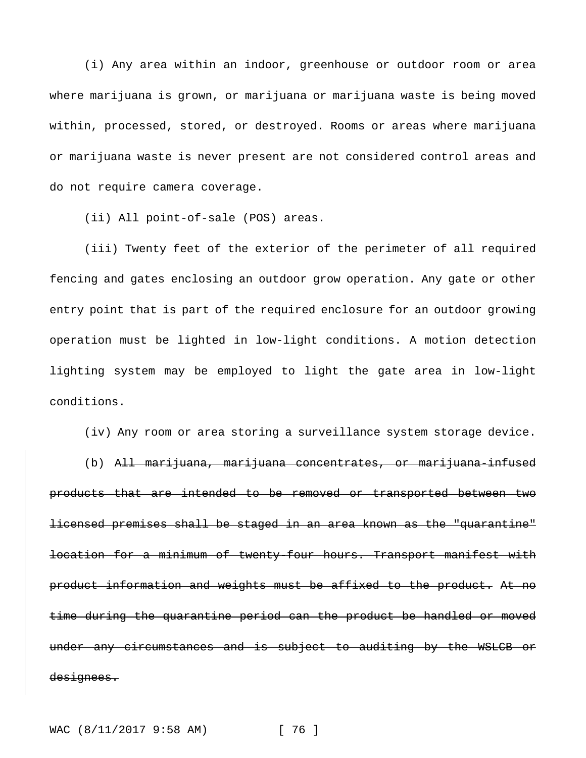(i) Any area within an indoor, greenhouse or outdoor room or area where marijuana is grown, or marijuana or marijuana waste is being moved within, processed, stored, or destroyed. Rooms or areas where marijuana or marijuana waste is never present are not considered control areas and do not require camera coverage.

(ii) All point-of-sale (POS) areas.

(iii) Twenty feet of the exterior of the perimeter of all required fencing and gates enclosing an outdoor grow operation. Any gate or other entry point that is part of the required enclosure for an outdoor growing operation must be lighted in low-light conditions. A motion detection lighting system may be employed to light the gate area in low-light conditions.

(iv) Any room or area storing a surveillance system storage device.

(b) All marijuana, marijuana concentrates, or marijuana-infused products that are intended to be removed or transported between two licensed premises shall be staged in an area known as the "quarantine" location for a minimum of twenty-four hours. Transport manifest with product information and weights must be affixed to the product. At no time during the quarantine period can the product be handled or moved under any circumstances and is subject to auditing by the WSLCB or designees.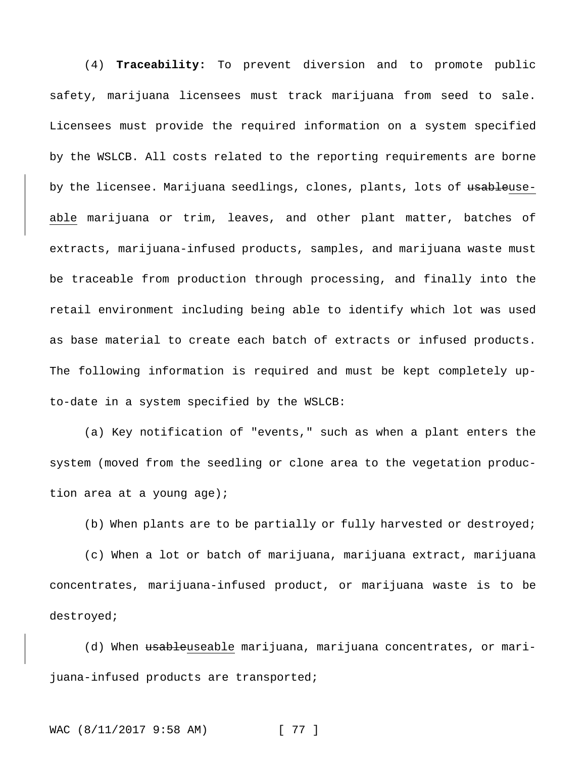(4) **Traceability:** To prevent diversion and to promote public safety, marijuana licensees must track marijuana from seed to sale. Licensees must provide the required information on a system specified by the WSLCB. All costs related to the reporting requirements are borne by the licensee. Marijuana seedlings, clones, plants, lots of usableuseable marijuana or trim, leaves, and other plant matter, batches of extracts, marijuana-infused products, samples, and marijuana waste must be traceable from production through processing, and finally into the retail environment including being able to identify which lot was used as base material to create each batch of extracts or infused products. The following information is required and must be kept completely upto-date in a system specified by the WSLCB:

(a) Key notification of "events," such as when a plant enters the system (moved from the seedling or clone area to the vegetation production area at a young age);

(b) When plants are to be partially or fully harvested or destroyed;

(c) When a lot or batch of marijuana, marijuana extract, marijuana concentrates, marijuana-infused product, or marijuana waste is to be destroyed;

(d) When usableuseable marijuana, marijuana concentrates, or marijuana-infused products are transported;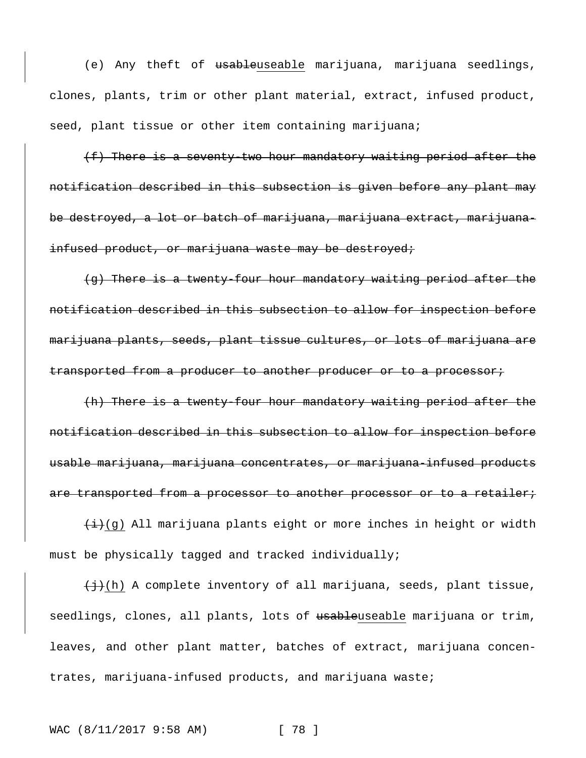(e) Any theft of usableuseable marijuana, marijuana seedlings, clones, plants, trim or other plant material, extract, infused product, seed, plant tissue or other item containing marijuana;

(f) There is a seventy-two hour mandatory waiting period after the notification described in this subsection is given before any plant may be destroyed, a lot or batch of marijuana, marijuana extract, marijuanainfused product, or marijuana waste may be destroyed;

(g) There is a twenty-four hour mandatory waiting period after the notification described in this subsection to allow for inspection before marijuana plants, seeds, plant tissue cultures, or lots of marijuana are transported from a producer to another producer or to a processor;

(h) There is a twenty-four hour mandatory waiting period after the notification described in this subsection to allow for inspection before usable marijuana, marijuana concentrates, or marijuana-infused products are transported from a processor to another processor or to a retailer;

 $(i, j)$  All marijuana plants eight or more inches in height or width must be physically tagged and tracked individually;

 $\{\frac{1}{2}\}(h)$  A complete inventory of all marijuana, seeds, plant tissue, seedlings, clones, all plants, lots of usableuseable marijuana or trim, leaves, and other plant matter, batches of extract, marijuana concentrates, marijuana-infused products, and marijuana waste;

WAC (8/11/2017 9:58 AM) [ 78 ]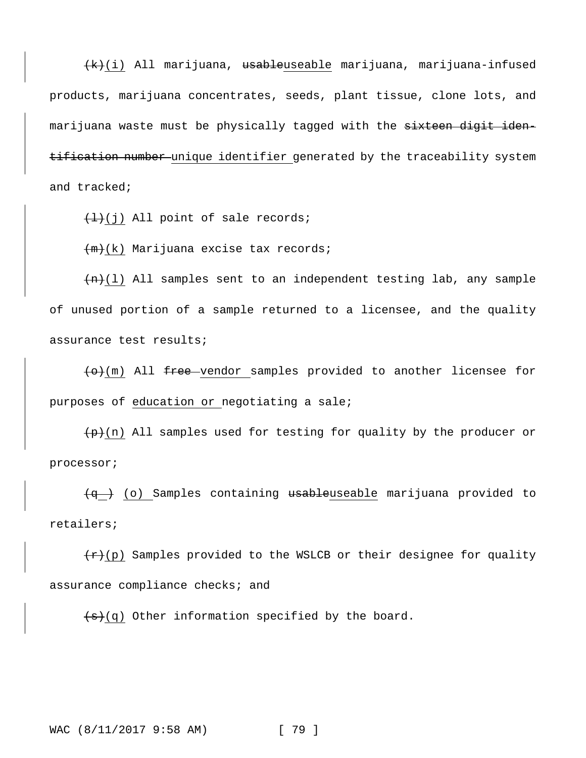(k)(i) All marijuana, usableuseable marijuana, marijuana-infused products, marijuana concentrates, seeds, plant tissue, clone lots, and marijuana waste must be physically tagged with the sixteen digit identification number unique identifier generated by the traceability system and tracked;

 $\left(\frac{1}{i}\right)$  All point of sale records;

 $+m+(k)$  Marijuana excise tax records;

 $(n+1)$  All samples sent to an independent testing lab, any sample of unused portion of a sample returned to a licensee, and the quality assurance test results;

 $\left(\theta\right)(m)$  All free vendor samples provided to another licensee for purposes of education or negotiating a sale;

 $(p+(n))$  All samples used for testing for quality by the producer or processor;

 $\overline{q}$  (o) Samples containing usableuseable marijuana provided to retailers;

 $\frac{f(x)}{g(x)}$  Samples provided to the WSLCB or their designee for quality assurance compliance checks; and

 $\left(\frac{1}{s}\right)$ (q) Other information specified by the board.

WAC (8/11/2017 9:58 AM) [ 79 ]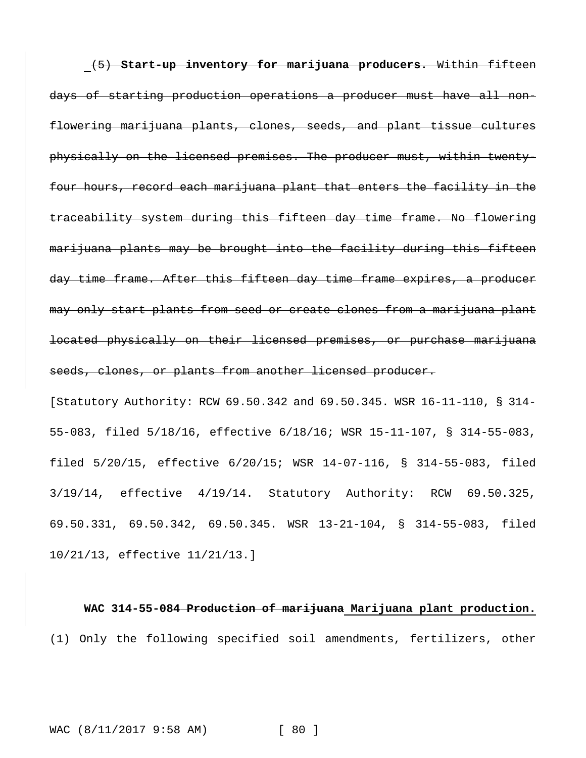(5) **Start-up inventory for marijuana producers.** Within fifteen days of starting production operations a producer must have all nonflowering marijuana plants, clones, seeds, and plant tissue cultures physically on the licensed premises. The producer must, within twentyfour hours, record each marijuana plant that enters the facility in the traceability system during this fifteen day time frame. No flowering marijuana plants may be brought into the facility during this fifteen day time frame. After this fifteen day time frame expires, a producer may only start plants from seed or create clones from a marijuana plant located physically on their licensed premises, or purchase marijuana seeds, clones, or plants from another licensed producer.

[Statutory Authority: RCW 69.50.342 and 69.50.345. WSR 16-11-110, § 314- 55-083, filed 5/18/16, effective 6/18/16; WSR 15-11-107, § 314-55-083, filed 5/20/15, effective 6/20/15; WSR 14-07-116, § 314-55-083, filed 3/19/14, effective 4/19/14. Statutory Authority: RCW 69.50.325, 69.50.331, 69.50.342, 69.50.345. WSR 13-21-104, § 314-55-083, filed 10/21/13, effective 11/21/13.]

**WAC 314-55-084 Production of marijuana Marijuana plant production.** (1) Only the following specified soil amendments, fertilizers, other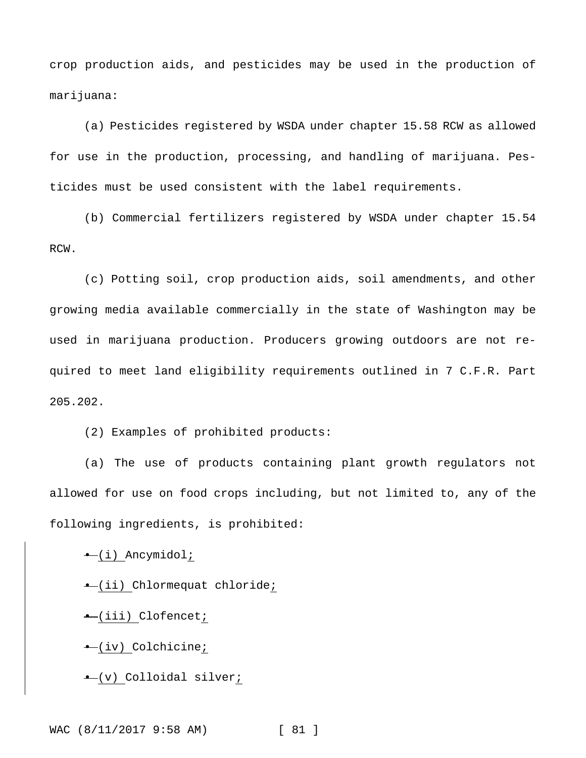crop production aids, and pesticides may be used in the production of marijuana:

(a) Pesticides registered by WSDA under chapter 15.58 RCW as allowed for use in the production, processing, and handling of marijuana. Pesticides must be used consistent with the label requirements.

(b) Commercial fertilizers registered by WSDA under chapter 15.54 RCW.

(c) Potting soil, crop production aids, soil amendments, and other growing media available commercially in the state of Washington may be used in marijuana production. Producers growing outdoors are not required to meet land eligibility requirements outlined in 7 C.F.R. Part 205.202.

(2) Examples of prohibited products:

(a) The use of products containing plant growth regulators not allowed for use on food crops including, but not limited to, any of the following ingredients, is prohibited:

• (i) Ancymidol;

• (ii) Chlormequat chloride;

• (iii) Clofencet;

• (iv) Colchicine;

• (v) Colloidal silver;

WAC (8/11/2017 9:58 AM) [ 81 ]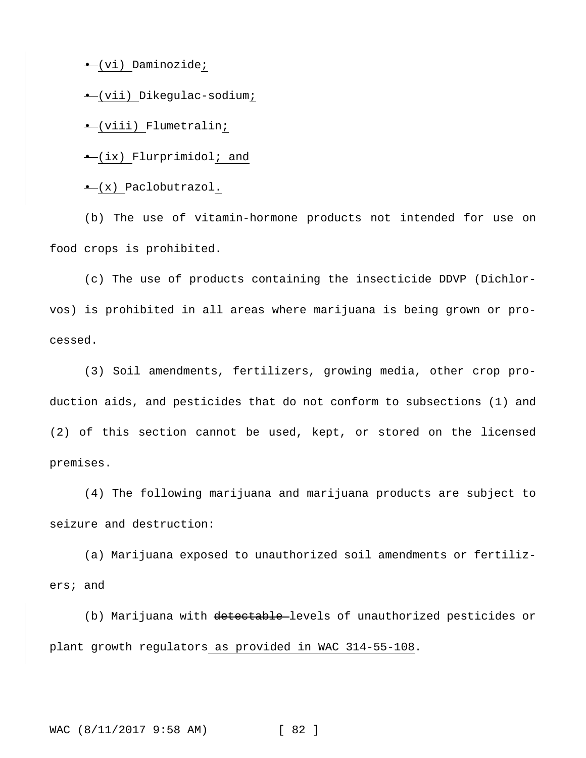• (vi) Daminozide;

• (vii) Dikegulac-sodium;

• (viii) Flumetralin;

• (ix) Flurprimidol; and

• (x) Paclobutrazol.

(b) The use of vitamin-hormone products not intended for use on food crops is prohibited.

(c) The use of products containing the insecticide DDVP (Dichlorvos) is prohibited in all areas where marijuana is being grown or processed.

(3) Soil amendments, fertilizers, growing media, other crop production aids, and pesticides that do not conform to subsections (1) and (2) of this section cannot be used, kept, or stored on the licensed premises.

(4) The following marijuana and marijuana products are subject to seizure and destruction:

(a) Marijuana exposed to unauthorized soil amendments or fertilizers; and

(b) Marijuana with detectable levels of unauthorized pesticides or plant growth regulators as provided in WAC 314-55-108.

WAC (8/11/2017 9:58 AM) [ 82 ]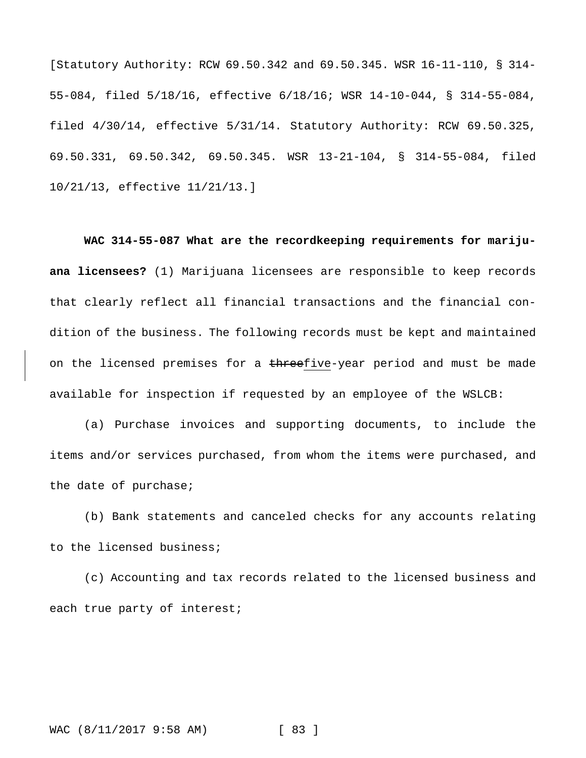[Statutory Authority: RCW 69.50.342 and 69.50.345. WSR 16-11-110, § 314- 55-084, filed 5/18/16, effective 6/18/16; WSR 14-10-044, § 314-55-084, filed 4/30/14, effective 5/31/14. Statutory Authority: RCW 69.50.325, 69.50.331, 69.50.342, 69.50.345. WSR 13-21-104, § 314-55-084, filed 10/21/13, effective 11/21/13.]

**WAC 314-55-087 What are the recordkeeping requirements for marijuana licensees?** (1) Marijuana licensees are responsible to keep records that clearly reflect all financial transactions and the financial condition of the business. The following records must be kept and maintained on the licensed premises for a threefive-year period and must be made available for inspection if requested by an employee of the WSLCB:

(a) Purchase invoices and supporting documents, to include the items and/or services purchased, from whom the items were purchased, and the date of purchase;

(b) Bank statements and canceled checks for any accounts relating to the licensed business;

(c) Accounting and tax records related to the licensed business and each true party of interest;

WAC (8/11/2017 9:58 AM) [ 83 ]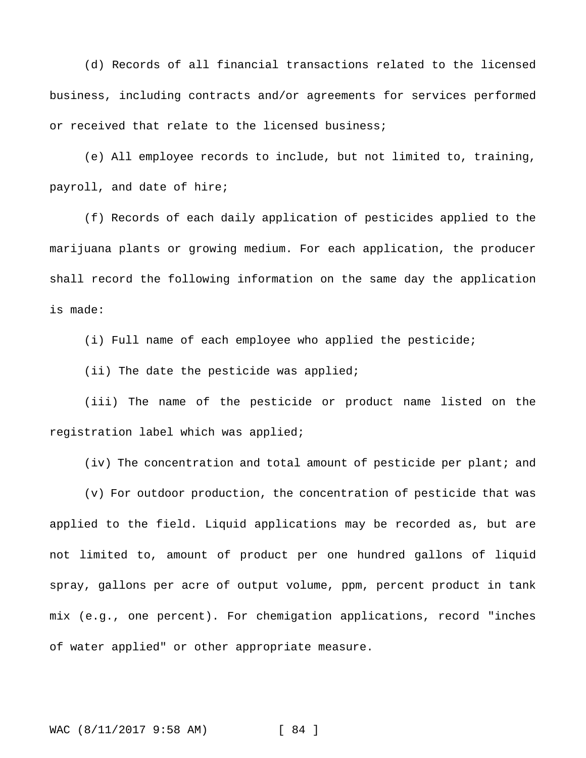(d) Records of all financial transactions related to the licensed business, including contracts and/or agreements for services performed or received that relate to the licensed business;

(e) All employee records to include, but not limited to, training, payroll, and date of hire;

(f) Records of each daily application of pesticides applied to the marijuana plants or growing medium. For each application, the producer shall record the following information on the same day the application is made:

(i) Full name of each employee who applied the pesticide;

(ii) The date the pesticide was applied;

(iii) The name of the pesticide or product name listed on the registration label which was applied;

(iv) The concentration and total amount of pesticide per plant; and

(v) For outdoor production, the concentration of pesticide that was applied to the field. Liquid applications may be recorded as, but are not limited to, amount of product per one hundred gallons of liquid spray, gallons per acre of output volume, ppm, percent product in tank mix (e.g., one percent). For chemigation applications, record "inches of water applied" or other appropriate measure.

WAC (8/11/2017 9:58 AM) [ 84 ]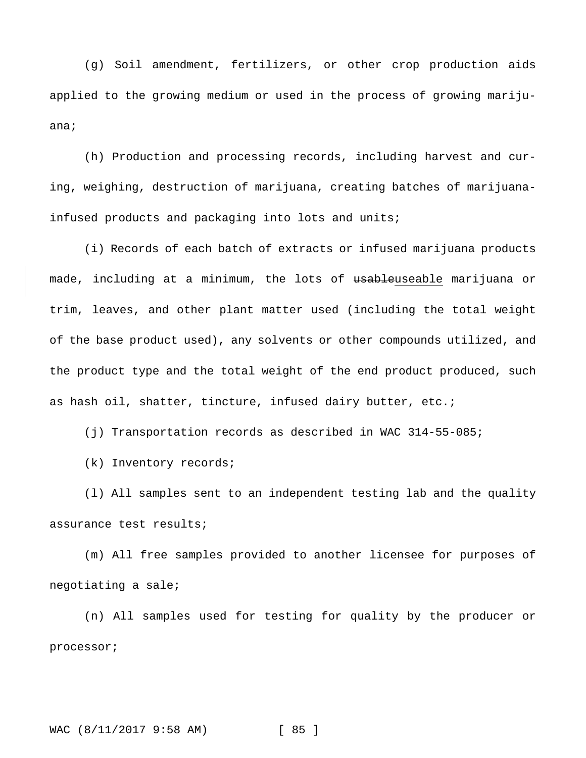(g) Soil amendment, fertilizers, or other crop production aids applied to the growing medium or used in the process of growing marijuana;

(h) Production and processing records, including harvest and curing, weighing, destruction of marijuana, creating batches of marijuanainfused products and packaging into lots and units;

(i) Records of each batch of extracts or infused marijuana products made, including at a minimum, the lots of usableuseable marijuana or trim, leaves, and other plant matter used (including the total weight of the base product used), any solvents or other compounds utilized, and the product type and the total weight of the end product produced, such as hash oil, shatter, tincture, infused dairy butter, etc.;

(j) Transportation records as described in WAC 314-55-085;

(k) Inventory records;

(l) All samples sent to an independent testing lab and the quality assurance test results;

(m) All free samples provided to another licensee for purposes of negotiating a sale;

(n) All samples used for testing for quality by the producer or processor;

WAC (8/11/2017 9:58 AM) [ 85 ]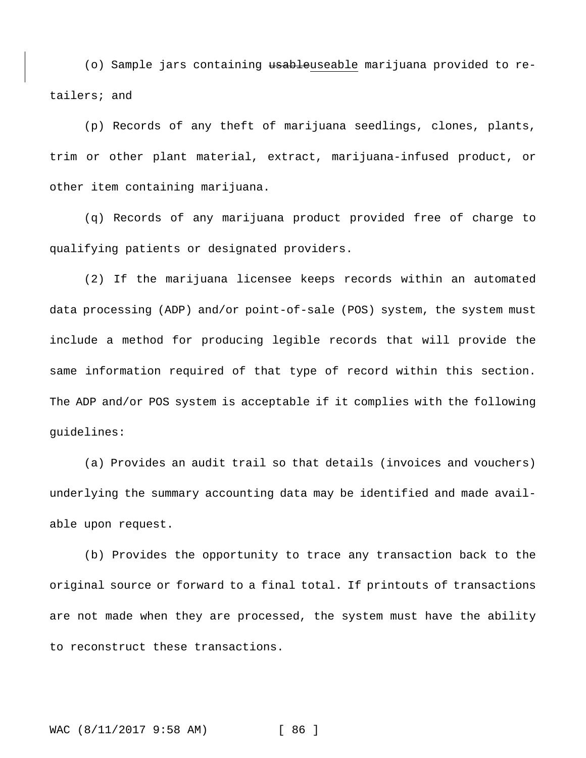(o) Sample jars containing usableuseable marijuana provided to retailers; and

(p) Records of any theft of marijuana seedlings, clones, plants, trim or other plant material, extract, marijuana-infused product, or other item containing marijuana.

(q) Records of any marijuana product provided free of charge to qualifying patients or designated providers.

(2) If the marijuana licensee keeps records within an automated data processing (ADP) and/or point-of-sale (POS) system, the system must include a method for producing legible records that will provide the same information required of that type of record within this section. The ADP and/or POS system is acceptable if it complies with the following guidelines:

(a) Provides an audit trail so that details (invoices and vouchers) underlying the summary accounting data may be identified and made available upon request.

(b) Provides the opportunity to trace any transaction back to the original source or forward to a final total. If printouts of transactions are not made when they are processed, the system must have the ability to reconstruct these transactions.

WAC (8/11/2017 9:58 AM) [ 86 ]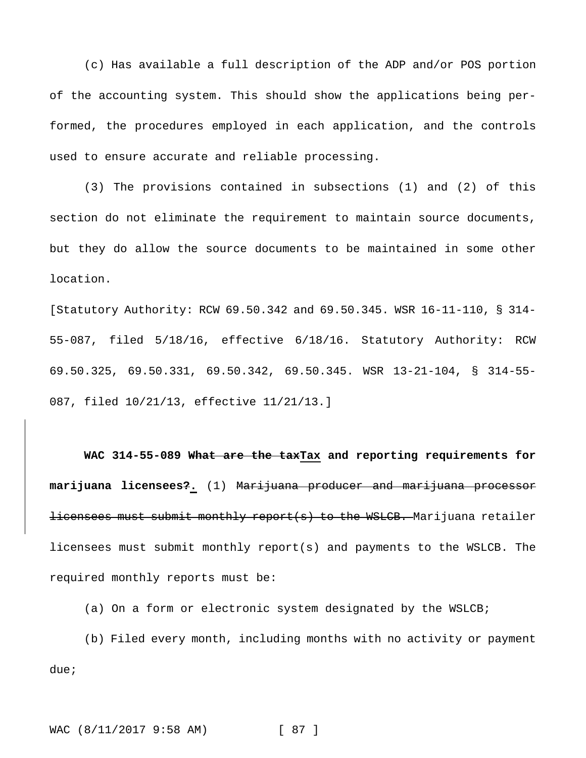(c) Has available a full description of the ADP and/or POS portion of the accounting system. This should show the applications being performed, the procedures employed in each application, and the controls used to ensure accurate and reliable processing.

(3) The provisions contained in subsections (1) and (2) of this section do not eliminate the requirement to maintain source documents, but they do allow the source documents to be maintained in some other location.

[Statutory Authority: RCW 69.50.342 and 69.50.345. WSR 16-11-110, § 314- 55-087, filed 5/18/16, effective 6/18/16. Statutory Authority: RCW 69.50.325, 69.50.331, 69.50.342, 69.50.345. WSR 13-21-104, § 314-55- 087, filed 10/21/13, effective 11/21/13.]

**WAC 314-55-089 What are the taxTax and reporting requirements for marijuana licensees?.** (1) Marijuana producer and marijuana processor licensees must submit monthly report(s) to the WSLCB. Marijuana retailer licensees must submit monthly report(s) and payments to the WSLCB. The required monthly reports must be:

(a) On a form or electronic system designated by the WSLCB;

(b) Filed every month, including months with no activity or payment due;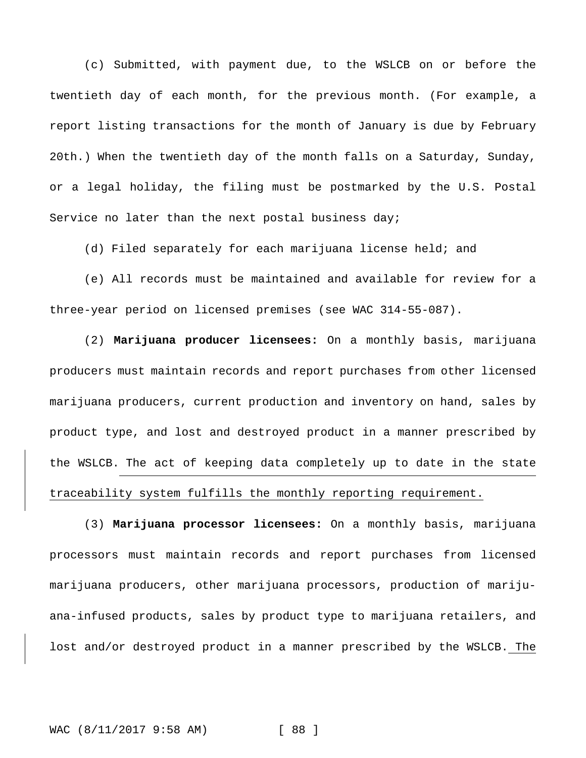(c) Submitted, with payment due, to the WSLCB on or before the twentieth day of each month, for the previous month. (For example, a report listing transactions for the month of January is due by February 20th.) When the twentieth day of the month falls on a Saturday, Sunday, or a legal holiday, the filing must be postmarked by the U.S. Postal Service no later than the next postal business day;

(d) Filed separately for each marijuana license held; and

(e) All records must be maintained and available for review for a three-year period on licensed premises (see WAC 314-55-087).

(2) **Marijuana producer licensees:** On a monthly basis, marijuana producers must maintain records and report purchases from other licensed marijuana producers, current production and inventory on hand, sales by product type, and lost and destroyed product in a manner prescribed by the WSLCB. The act of keeping data completely up to date in the state traceability system fulfills the monthly reporting requirement.

(3) **Marijuana processor licensees:** On a monthly basis, marijuana processors must maintain records and report purchases from licensed marijuana producers, other marijuana processors, production of marijuana-infused products, sales by product type to marijuana retailers, and lost and/or destroyed product in a manner prescribed by the WSLCB. The

WAC (8/11/2017 9:58 AM) [ 88 ]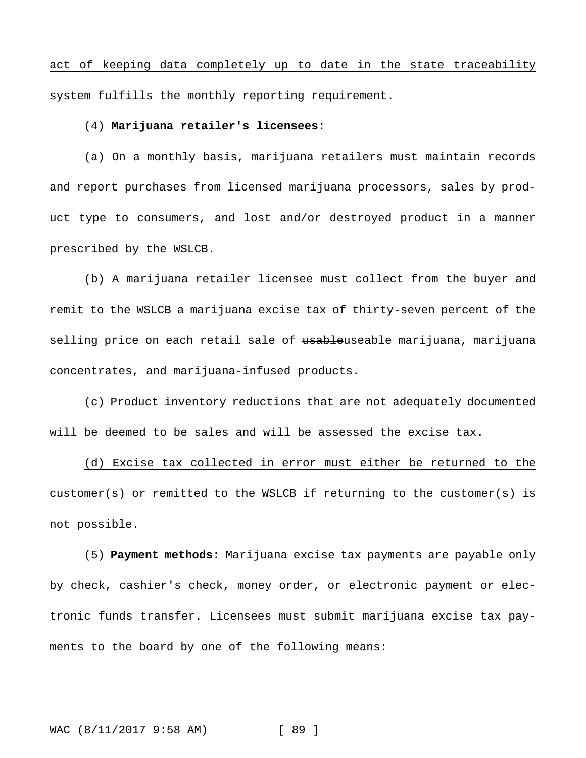act of keeping data completely up to date in the state traceability system fulfills the monthly reporting requirement.

#### (4) **Marijuana retailer's licensees:**

(a) On a monthly basis, marijuana retailers must maintain records and report purchases from licensed marijuana processors, sales by product type to consumers, and lost and/or destroyed product in a manner prescribed by the WSLCB.

(b) A marijuana retailer licensee must collect from the buyer and remit to the WSLCB a marijuana excise tax of thirty-seven percent of the selling price on each retail sale of <del>usable</del>useable marijuana, marijuana concentrates, and marijuana-infused products.

(c) Product inventory reductions that are not adequately documented will be deemed to be sales and will be assessed the excise tax.

(d) Excise tax collected in error must either be returned to the customer(s) or remitted to the WSLCB if returning to the customer(s) is not possible.

(5) **Payment methods:** Marijuana excise tax payments are payable only by check, cashier's check, money order, or electronic payment or electronic funds transfer. Licensees must submit marijuana excise tax payments to the board by one of the following means:

WAC (8/11/2017 9:58 AM) [ 89 ]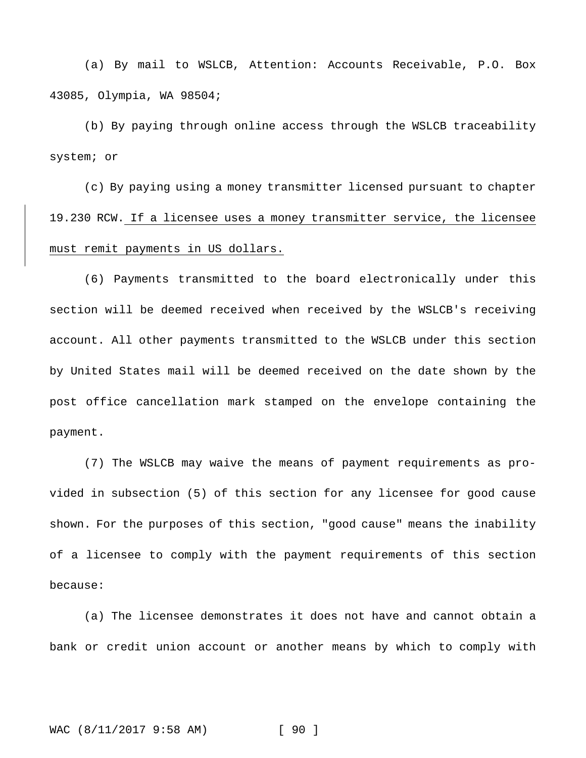(a) By mail to WSLCB, Attention: Accounts Receivable, P.O. Box 43085, Olympia, WA 98504;

(b) By paying through online access through the WSLCB traceability system; or

(c) By paying using a money transmitter licensed pursuant to chapter 19.230 RCW. If a licensee uses a money transmitter service, the licensee must remit payments in US dollars.

(6) Payments transmitted to the board electronically under this section will be deemed received when received by the WSLCB's receiving account. All other payments transmitted to the WSLCB under this section by United States mail will be deemed received on the date shown by the post office cancellation mark stamped on the envelope containing the payment.

(7) The WSLCB may waive the means of payment requirements as provided in subsection (5) of this section for any licensee for good cause shown. For the purposes of this section, "good cause" means the inability of a licensee to comply with the payment requirements of this section because:

(a) The licensee demonstrates it does not have and cannot obtain a bank or credit union account or another means by which to comply with

## WAC (8/11/2017 9:58 AM) [ 90 ]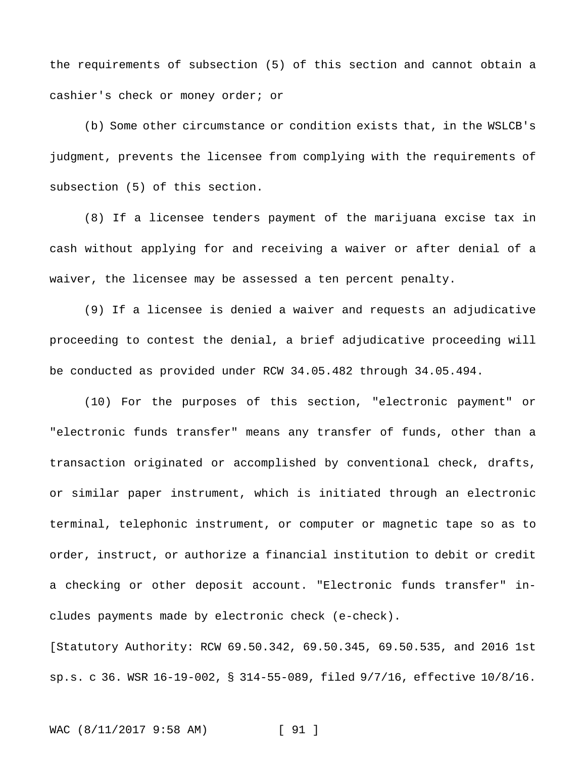the requirements of subsection (5) of this section and cannot obtain a cashier's check or money order; or

(b) Some other circumstance or condition exists that, in the WSLCB's judgment, prevents the licensee from complying with the requirements of subsection (5) of this section.

(8) If a licensee tenders payment of the marijuana excise tax in cash without applying for and receiving a waiver or after denial of a waiver, the licensee may be assessed a ten percent penalty.

(9) If a licensee is denied a waiver and requests an adjudicative proceeding to contest the denial, a brief adjudicative proceeding will be conducted as provided under RCW 34.05.482 through 34.05.494.

(10) For the purposes of this section, "electronic payment" or "electronic funds transfer" means any transfer of funds, other than a transaction originated or accomplished by conventional check, drafts, or similar paper instrument, which is initiated through an electronic terminal, telephonic instrument, or computer or magnetic tape so as to order, instruct, or authorize a financial institution to debit or credit a checking or other deposit account. "Electronic funds transfer" includes payments made by electronic check (e-check).

[Statutory Authority: RCW 69.50.342, 69.50.345, 69.50.535, and 2016 1st sp.s. c 36. WSR 16-19-002, § 314-55-089, filed 9/7/16, effective 10/8/16.

### WAC (8/11/2017 9:58 AM) [ 91 ]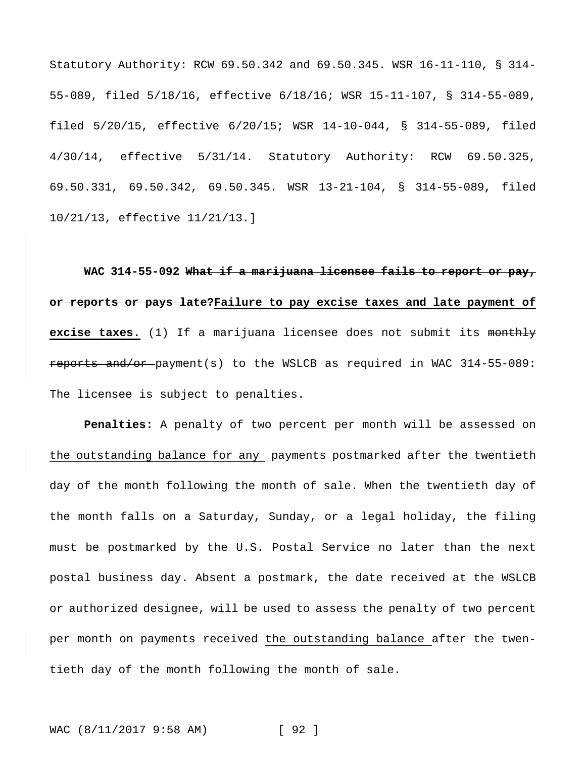Statutory Authority: RCW 69.50.342 and 69.50.345. WSR 16-11-110, § 314- 55-089, filed 5/18/16, effective 6/18/16; WSR 15-11-107, § 314-55-089, filed 5/20/15, effective 6/20/15; WSR 14-10-044, § 314-55-089, filed 4/30/14, effective 5/31/14. Statutory Authority: RCW 69.50.325, 69.50.331, 69.50.342, 69.50.345. WSR 13-21-104, § 314-55-089, filed 10/21/13, effective 11/21/13.]

**WAC 314-55-092 What if a marijuana licensee fails to report or pay, or reports or pays late?Failure to pay excise taxes and late payment of excise taxes.** (1) If a marijuana licensee does not submit its monthly reports and/or payment(s) to the WSLCB as required in WAC 314-55-089: The licensee is subject to penalties.

**Penalties:** A penalty of two percent per month will be assessed on the outstanding balance for any payments postmarked after the twentieth day of the month following the month of sale. When the twentieth day of the month falls on a Saturday, Sunday, or a legal holiday, the filing must be postmarked by the U.S. Postal Service no later than the next postal business day. Absent a postmark, the date received at the WSLCB or authorized designee, will be used to assess the penalty of two percent per month on payments received the outstanding balance after the twentieth day of the month following the month of sale.

WAC (8/11/2017 9:58 AM) [ 92 ]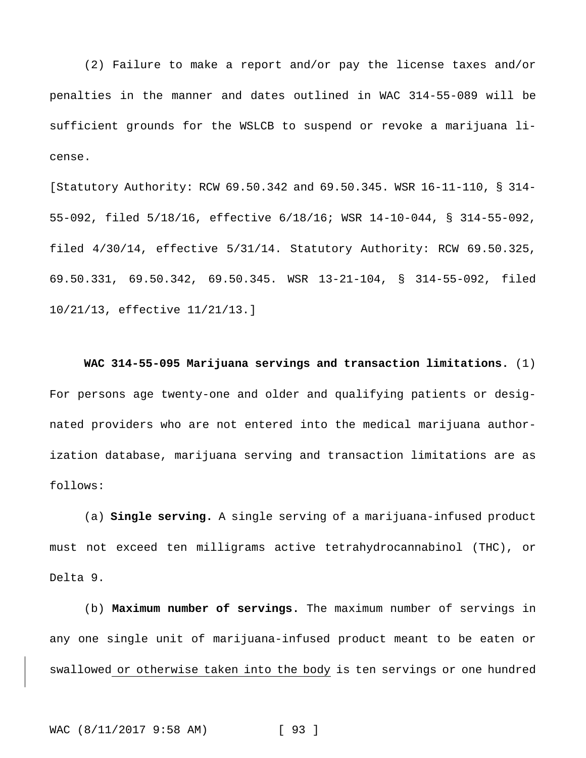(2) Failure to make a report and/or pay the license taxes and/or penalties in the manner and dates outlined in WAC 314-55-089 will be sufficient grounds for the WSLCB to suspend or revoke a marijuana license.

[Statutory Authority: RCW 69.50.342 and 69.50.345. WSR 16-11-110, § 314- 55-092, filed 5/18/16, effective 6/18/16; WSR 14-10-044, § 314-55-092, filed 4/30/14, effective 5/31/14. Statutory Authority: RCW 69.50.325, 69.50.331, 69.50.342, 69.50.345. WSR 13-21-104, § 314-55-092, filed 10/21/13, effective 11/21/13.]

**WAC 314-55-095 Marijuana servings and transaction limitations.** (1) For persons age twenty-one and older and qualifying patients or designated providers who are not entered into the medical marijuana authorization database, marijuana serving and transaction limitations are as follows:

(a) **Single serving.** A single serving of a marijuana-infused product must not exceed ten milligrams active tetrahydrocannabinol (THC), or Delta 9.

(b) **Maximum number of servings.** The maximum number of servings in any one single unit of marijuana-infused product meant to be eaten or swallowed or otherwise taken into the body is ten servings or one hundred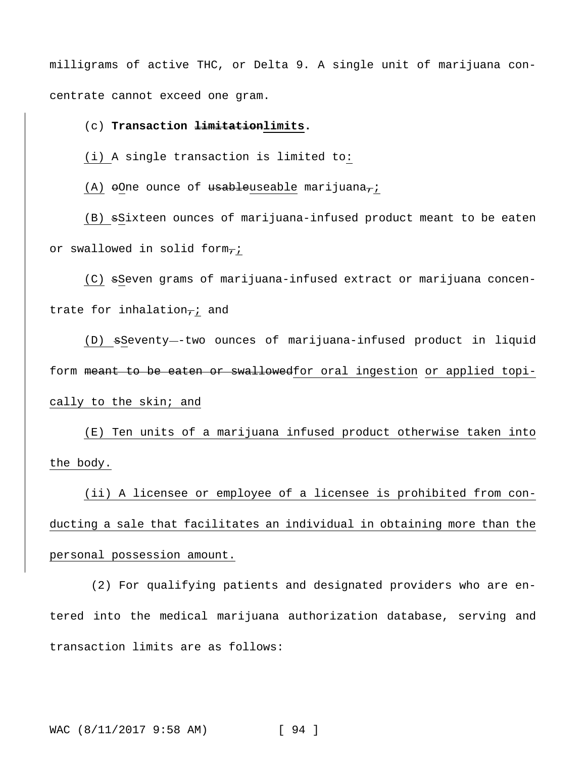milligrams of active THC, or Delta 9. A single unit of marijuana concentrate cannot exceed one gram.

(c) **Transaction limitationlimits.**

(i) A single transaction is limited to:

 $(A)$   $\Theta$ One ounce of usableuseable marijuana $\tau$ i

(B) sSixteen ounces of marijuana-infused product meant to be eaten or swallowed in solid form- $i$ 

(C) sSeven grams of marijuana-infused extract or marijuana concentrate for inhalation $\tau$ ; and

(D) sSeventy--two ounces of marijuana-infused product in liquid form meant to be eaten or swallowedfor oral ingestion or applied topically to the skin; and

(E) Ten units of a marijuana infused product otherwise taken into the body.

(ii) A licensee or employee of a licensee is prohibited from conducting a sale that facilitates an individual in obtaining more than the personal possession amount.

(2) For qualifying patients and designated providers who are entered into the medical marijuana authorization database, serving and transaction limits are as follows: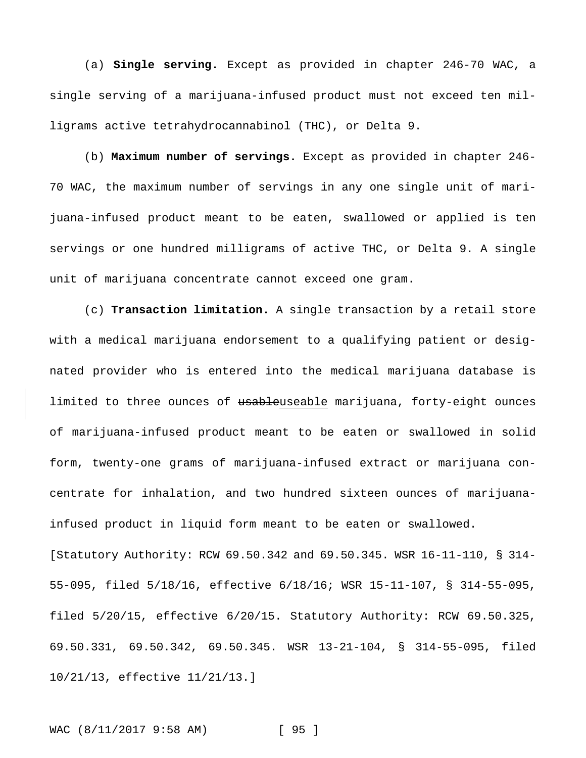(a) **Single serving.** Except as provided in chapter 246-70 WAC, a single serving of a marijuana-infused product must not exceed ten milligrams active tetrahydrocannabinol (THC), or Delta 9.

(b) **Maximum number of servings.** Except as provided in chapter 246- 70 WAC, the maximum number of servings in any one single unit of marijuana-infused product meant to be eaten, swallowed or applied is ten servings or one hundred milligrams of active THC, or Delta 9. A single unit of marijuana concentrate cannot exceed one gram.

(c) **Transaction limitation.** A single transaction by a retail store with a medical marijuana endorsement to a qualifying patient or designated provider who is entered into the medical marijuana database is limited to three ounces of usableuseable marijuana, forty-eight ounces of marijuana-infused product meant to be eaten or swallowed in solid form, twenty-one grams of marijuana-infused extract or marijuana concentrate for inhalation, and two hundred sixteen ounces of marijuanainfused product in liquid form meant to be eaten or swallowed. [Statutory Authority: RCW 69.50.342 and 69.50.345. WSR 16-11-110, § 314- 55-095, filed 5/18/16, effective 6/18/16; WSR 15-11-107, § 314-55-095, filed 5/20/15, effective 6/20/15. Statutory Authority: RCW 69.50.325, 69.50.331, 69.50.342, 69.50.345. WSR 13-21-104, § 314-55-095, filed 10/21/13, effective 11/21/13.]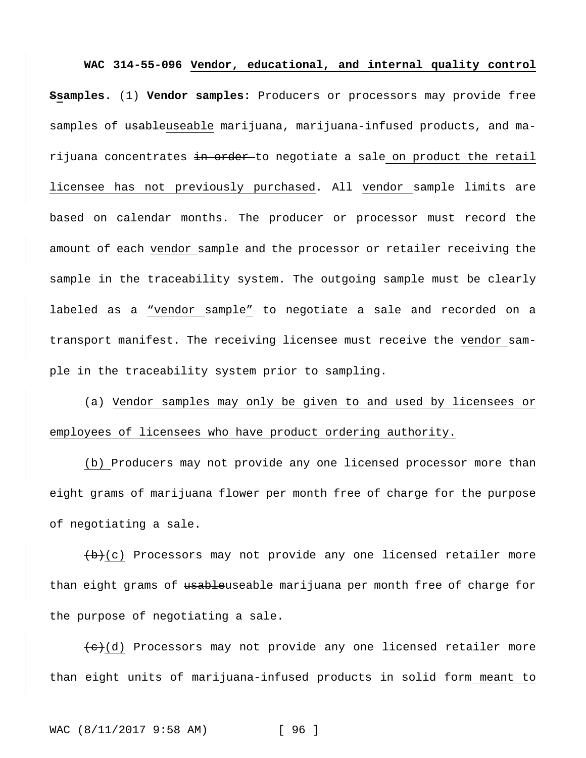**WAC 314-55-096 Vendor, educational, and internal quality control Ssamples.** (1) **Vendor samples:** Producers or processors may provide free samples of usableuseable marijuana, marijuana-infused products, and marijuana concentrates in order to negotiate a sale on product the retail licensee has not previously purchased. All vendor sample limits are based on calendar months. The producer or processor must record the amount of each vendor sample and the processor or retailer receiving the sample in the traceability system. The outgoing sample must be clearly labeled as a "vendor sample" to negotiate a sale and recorded on a transport manifest. The receiving licensee must receive the vendor sample in the traceability system prior to sampling.

(a) Vendor samples may only be given to and used by licensees or employees of licensees who have product ordering authority.

(b) Producers may not provide any one licensed processor more than eight grams of marijuana flower per month free of charge for the purpose of negotiating a sale.

 $(b)$  Processors may not provide any one licensed retailer more than eight grams of usableuseable marijuana per month free of charge for the purpose of negotiating a sale.

 $\left( e\right)$ (d) Processors may not provide any one licensed retailer more than eight units of marijuana-infused products in solid form meant to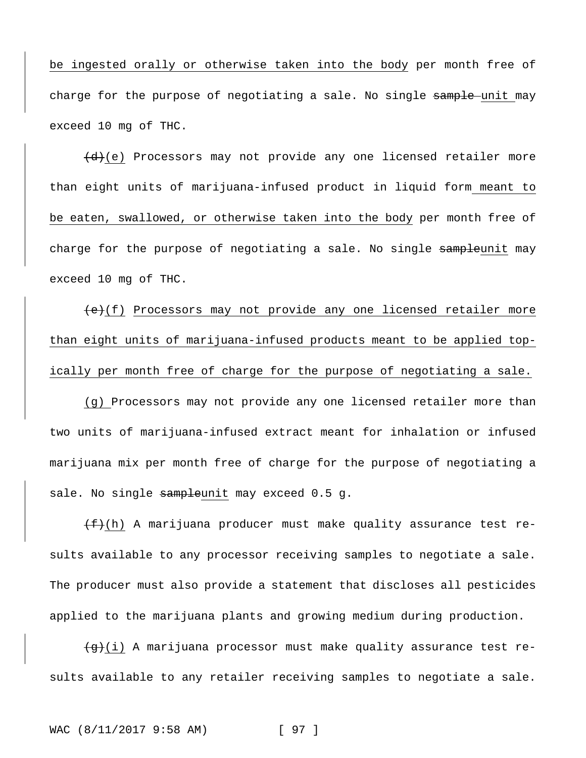be ingested orally or otherwise taken into the body per month free of charge for the purpose of negotiating a sale. No single sample unit may exceed 10 mg of THC.

 $(d)$  Processors may not provide any one licensed retailer more than eight units of marijuana-infused product in liquid form meant to be eaten, swallowed, or otherwise taken into the body per month free of charge for the purpose of negotiating a sale. No single sampleunit may exceed 10 mg of THC.

 $(e)(f)$  Processors may not provide any one licensed retailer more than eight units of marijuana-infused products meant to be applied topically per month free of charge for the purpose of negotiating a sale.

(g) Processors may not provide any one licensed retailer more than two units of marijuana-infused extract meant for inhalation or infused marijuana mix per month free of charge for the purpose of negotiating a sale. No single sampleunit may exceed 0.5 g.

 $(f+(h))$  A marijuana producer must make quality assurance test results available to any processor receiving samples to negotiate a sale. The producer must also provide a statement that discloses all pesticides applied to the marijuana plants and growing medium during production.

 $\overline{g}(i)$  A marijuana processor must make quality assurance test results available to any retailer receiving samples to negotiate a sale.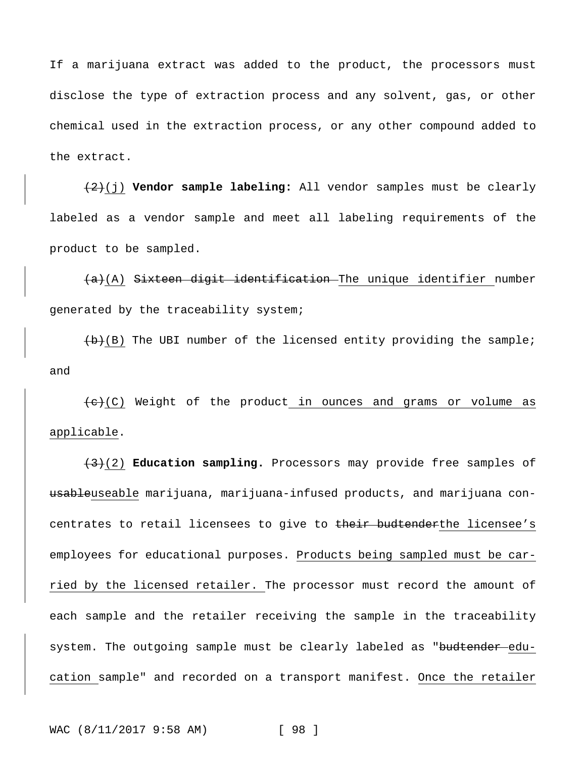If a marijuana extract was added to the product, the processors must disclose the type of extraction process and any solvent, gas, or other chemical used in the extraction process, or any other compound added to the extract.

(2)(j) **Vendor sample labeling:** All vendor samples must be clearly labeled as a vendor sample and meet all labeling requirements of the product to be sampled.

 $(a)$  Sixteen digit identification The unique identifier number generated by the traceability system;

 $(b)(B)$  The UBI number of the licensed entity providing the sample; and

 $\overline{(e)}$  (C) Weight of the product in ounces and grams or volume as applicable.

(3)(2) **Education sampling.** Processors may provide free samples of usableuseable marijuana, marijuana-infused products, and marijuana concentrates to retail licensees to give to their budtenderthe licensee's employees for educational purposes. Products being sampled must be carried by the licensed retailer. The processor must record the amount of each sample and the retailer receiving the sample in the traceability system. The outgoing sample must be clearly labeled as "budtender education sample" and recorded on a transport manifest. Once the retailer

WAC (8/11/2017 9:58 AM) [ 98 ]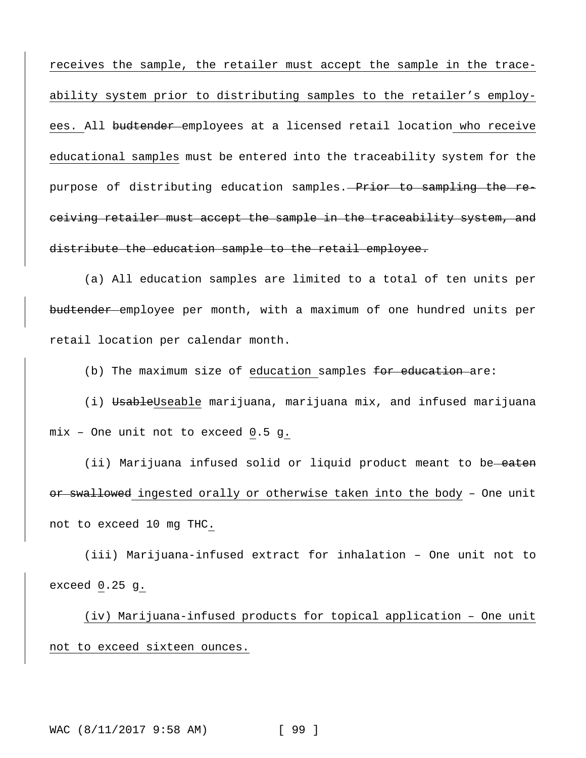receives the sample, the retailer must accept the sample in the traceability system prior to distributing samples to the retailer's employees. All budtender employees at a licensed retail location who receive educational samples must be entered into the traceability system for the purpose of distributing education samples. Prior to sampling the receiving retailer must accept the sample in the traceability system, and distribute the education sample to the retail employee.

(a) All education samples are limited to a total of ten units per budtender employee per month, with a maximum of one hundred units per retail location per calendar month.

(b) The maximum size of education samples for education are:

(i) UsableUseable marijuana, marijuana mix, and infused marijuana mix – One unit not to exceed 0.5 g.

(ii) Marijuana infused solid or liquid product meant to be eaten or swallowed ingested orally or otherwise taken into the body - One unit not to exceed 10 mg THC.

(iii) Marijuana-infused extract for inhalation – One unit not to exceed 0.25 g.

(iv) Marijuana-infused products for topical application – One unit not to exceed sixteen ounces.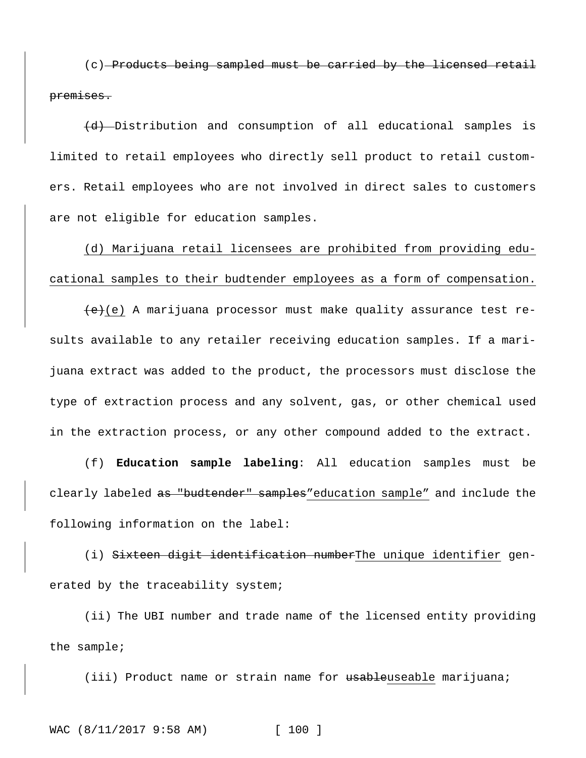(c) Products being sampled must be carried by the licensed retail premises.

(d) Distribution and consumption of all educational samples is limited to retail employees who directly sell product to retail customers. Retail employees who are not involved in direct sales to customers are not eligible for education samples.

(d) Marijuana retail licensees are prohibited from providing educational samples to their budtender employees as a form of compensation.

 $(e)(e)$  A marijuana processor must make quality assurance test results available to any retailer receiving education samples. If a marijuana extract was added to the product, the processors must disclose the type of extraction process and any solvent, gas, or other chemical used in the extraction process, or any other compound added to the extract.

(f) **Education sample labeling**: All education samples must be clearly labeled as "budtender" samples"education sample" and include the following information on the label:

(i) Sixteen digit identification numberThe unique identifier generated by the traceability system;

(ii) The UBI number and trade name of the licensed entity providing the sample;

(iii) Product name or strain name for usableuseable marijuana;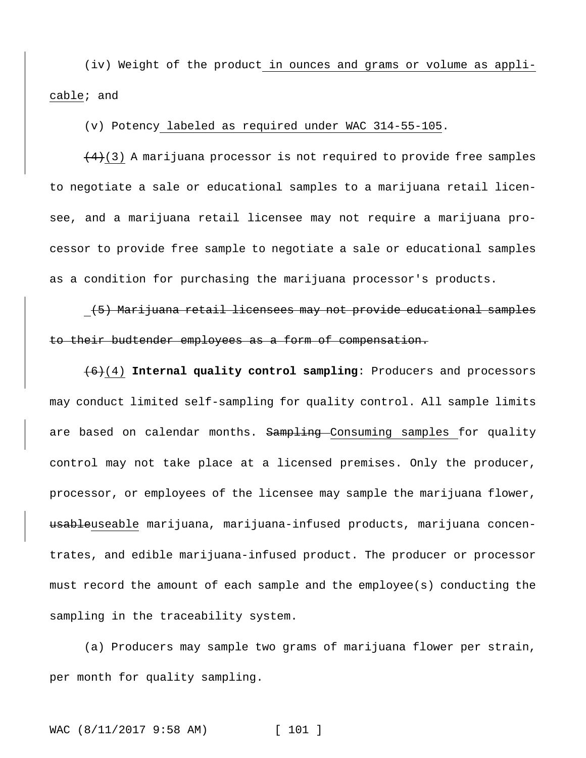(iv) Weight of the product in ounces and grams or volume as applicable; and

# (v) Potency labeled as required under WAC 314-55-105.

 $(4)$ (3) A marijuana processor is not required to provide free samples to negotiate a sale or educational samples to a marijuana retail licensee, and a marijuana retail licensee may not require a marijuana processor to provide free sample to negotiate a sale or educational samples as a condition for purchasing the marijuana processor's products.

# (5) Marijuana retail licensees may not provide educational samples to their budtender employees as a form of compensation.

(6)(4) **Internal quality control sampling**: Producers and processors may conduct limited self-sampling for quality control. All sample limits are based on calendar months. Sampling Consuming samples for quality control may not take place at a licensed premises. Only the producer, processor, or employees of the licensee may sample the marijuana flower, usableuseable marijuana, marijuana-infused products, marijuana concentrates, and edible marijuana-infused product. The producer or processor must record the amount of each sample and the employee(s) conducting the sampling in the traceability system.

(a) Producers may sample two grams of marijuana flower per strain, per month for quality sampling.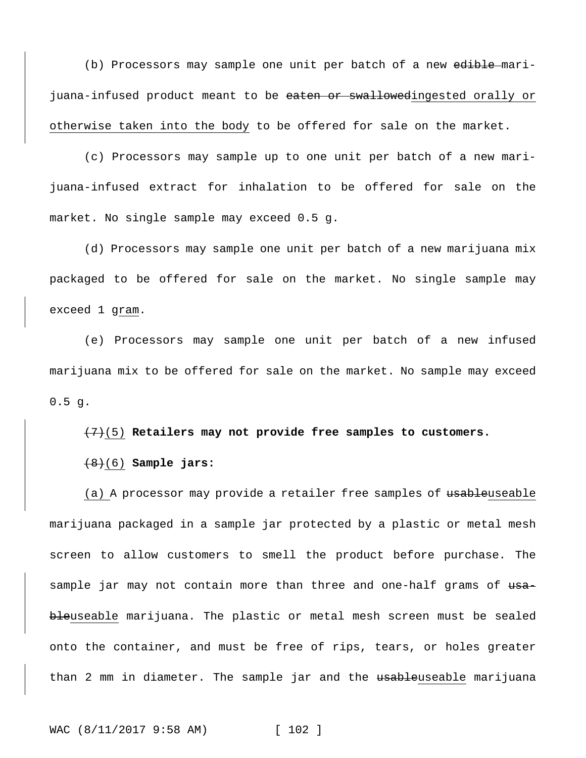(b) Processors may sample one unit per batch of a new edible marijuana-infused product meant to be eaten or swallowedingested orally or otherwise taken into the body to be offered for sale on the market.

(c) Processors may sample up to one unit per batch of a new marijuana-infused extract for inhalation to be offered for sale on the market. No single sample may exceed 0.5 g.

(d) Processors may sample one unit per batch of a new marijuana mix packaged to be offered for sale on the market. No single sample may exceed 1 gram.

(e) Processors may sample one unit per batch of a new infused marijuana mix to be offered for sale on the market. No sample may exceed 0.5 g.

(7)(5) **Retailers may not provide free samples to customers.**

(8)(6) **Sample jars:**

(a) A processor may provide a retailer free samples of <del>usable</del>useable marijuana packaged in a sample jar protected by a plastic or metal mesh screen to allow customers to smell the product before purchase. The sample jar may not contain more than three and one-half grams of  $u$ sableuseable marijuana. The plastic or metal mesh screen must be sealed onto the container, and must be free of rips, tears, or holes greater than 2 mm in diameter. The sample jar and the <del>usable</del>useable marijuana

WAC (8/11/2017 9:58 AM) [ 102 ]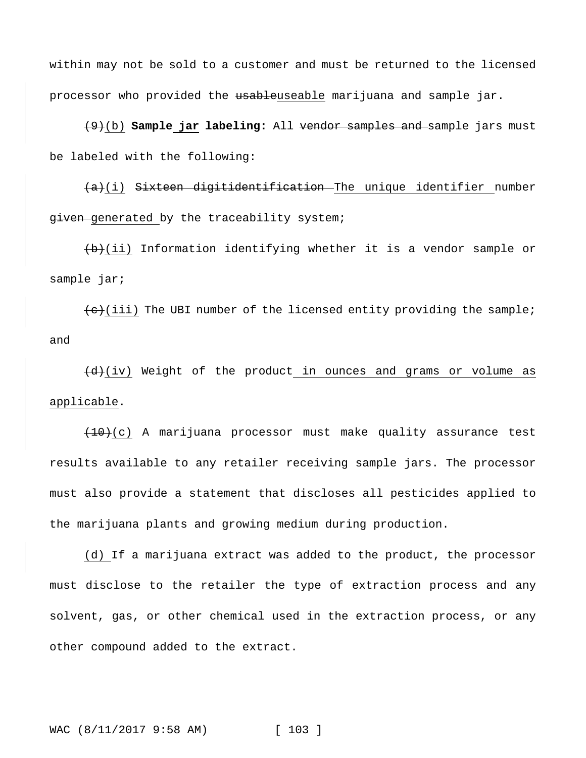within may not be sold to a customer and must be returned to the licensed processor who provided the usableuseable marijuana and sample jar.

(9)(b) **Sample jar labeling:** All vendor samples and sample jars must be labeled with the following:

 $(a)(i)$  Sixteen digitidentification The unique identifier number given generated by the traceability system;

 $(b)$ (ii) Information identifying whether it is a vendor sample or sample jar;

 $\overline{e}(e)$ (iii) The UBI number of the licensed entity providing the sample; and

 $(d)$ (iv) Weight of the product in ounces and grams or volume as applicable.

 $(10)(c)$  A marijuana processor must make quality assurance test results available to any retailer receiving sample jars. The processor must also provide a statement that discloses all pesticides applied to the marijuana plants and growing medium during production.

(d) If a marijuana extract was added to the product, the processor must disclose to the retailer the type of extraction process and any solvent, gas, or other chemical used in the extraction process, or any other compound added to the extract.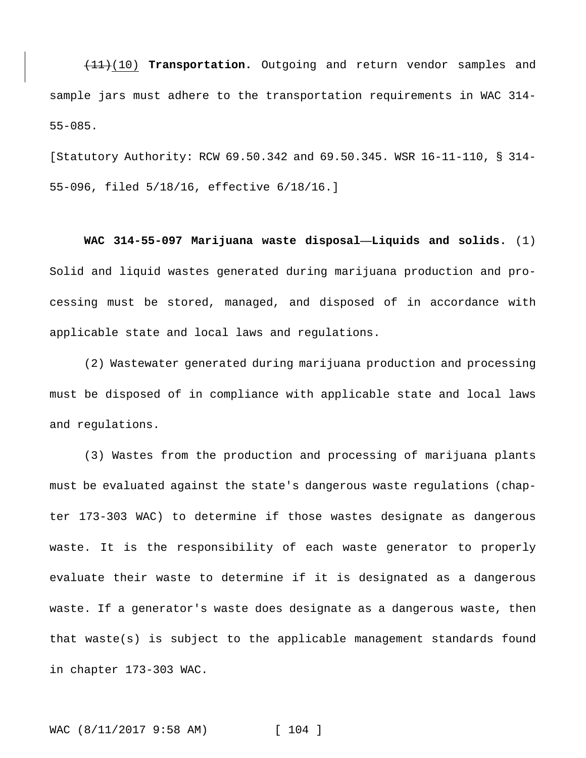(11)(10) **Transportation.** Outgoing and return vendor samples and sample jars must adhere to the transportation requirements in WAC 314- 55-085.

[Statutory Authority: RCW 69.50.342 and 69.50.345. WSR 16-11-110, § 314- 55-096, filed 5/18/16, effective 6/18/16.]

**WAC 314-55-097 Marijuana waste disposal—Liquids and solids.** (1) Solid and liquid wastes generated during marijuana production and processing must be stored, managed, and disposed of in accordance with applicable state and local laws and regulations.

(2) Wastewater generated during marijuana production and processing must be disposed of in compliance with applicable state and local laws and regulations.

(3) Wastes from the production and processing of marijuana plants must be evaluated against the state's dangerous waste regulations (chapter 173-303 WAC) to determine if those wastes designate as dangerous waste. It is the responsibility of each waste generator to properly evaluate their waste to determine if it is designated as a dangerous waste. If a generator's waste does designate as a dangerous waste, then that waste(s) is subject to the applicable management standards found in chapter 173-303 WAC.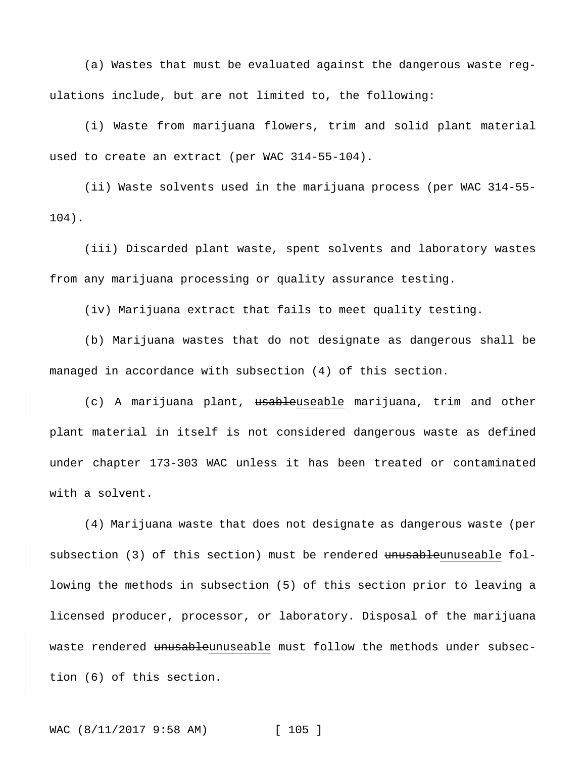(a) Wastes that must be evaluated against the dangerous waste regulations include, but are not limited to, the following:

(i) Waste from marijuana flowers, trim and solid plant material used to create an extract (per WAC 314-55-104).

(ii) Waste solvents used in the marijuana process (per WAC 314-55- 104).

(iii) Discarded plant waste, spent solvents and laboratory wastes from any marijuana processing or quality assurance testing.

(iv) Marijuana extract that fails to meet quality testing.

(b) Marijuana wastes that do not designate as dangerous shall be managed in accordance with subsection (4) of this section.

(c) A marijuana plant, usableuseable marijuana, trim and other plant material in itself is not considered dangerous waste as defined under chapter 173-303 WAC unless it has been treated or contaminated with a solvent.

(4) Marijuana waste that does not designate as dangerous waste (per subsection (3) of this section) must be rendered unusableunuseable following the methods in subsection (5) of this section prior to leaving a licensed producer, processor, or laboratory. Disposal of the marijuana waste rendered unusableunuseable must follow the methods under subsection (6) of this section.

WAC (8/11/2017 9:58 AM) [ 105 ]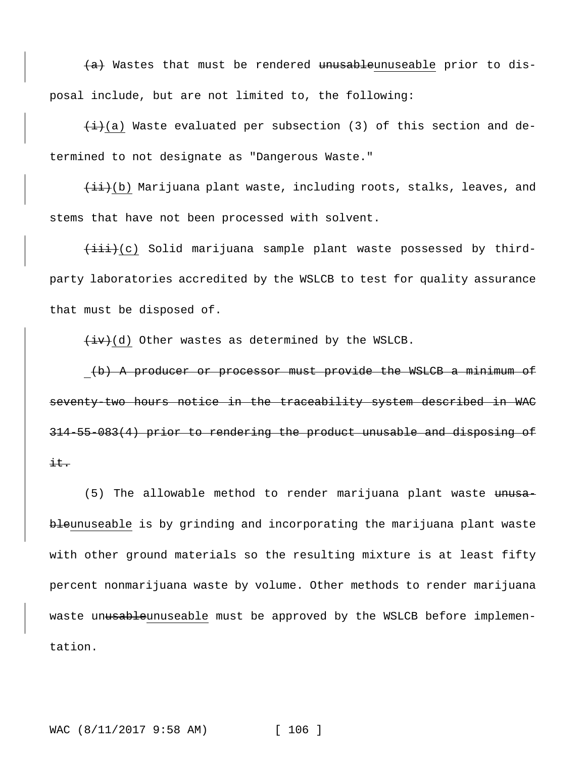$(a)$  Wastes that must be rendered unusableunuseable prior to disposal include, but are not limited to, the following:

 $(i+1)(a)$  Waste evaluated per subsection (3) of this section and determined to not designate as "Dangerous Waste."

 $\{\pm i\}$ (b) Marijuana plant waste, including roots, stalks, leaves, and stems that have not been processed with solvent.

 $\{\pm i\}\$ (c) Solid marijuana sample plant waste possessed by thirdparty laboratories accredited by the WSLCB to test for quality assurance that must be disposed of.

 $(iv)(d)$  Other wastes as determined by the WSLCB.

(b) A producer or processor must provide the WSLCB a minimum of seventy-two hours notice in the traceability system described in WAC 314-55-083(4) prior to rendering the product unusable and disposing of  $\pm \pm$ .

(5) The allowable method to render marijuana plant waste unusableunuseable is by grinding and incorporating the marijuana plant waste with other ground materials so the resulting mixture is at least fifty percent nonmarijuana waste by volume. Other methods to render marijuana waste unusableunuseable must be approved by the WSLCB before implementation.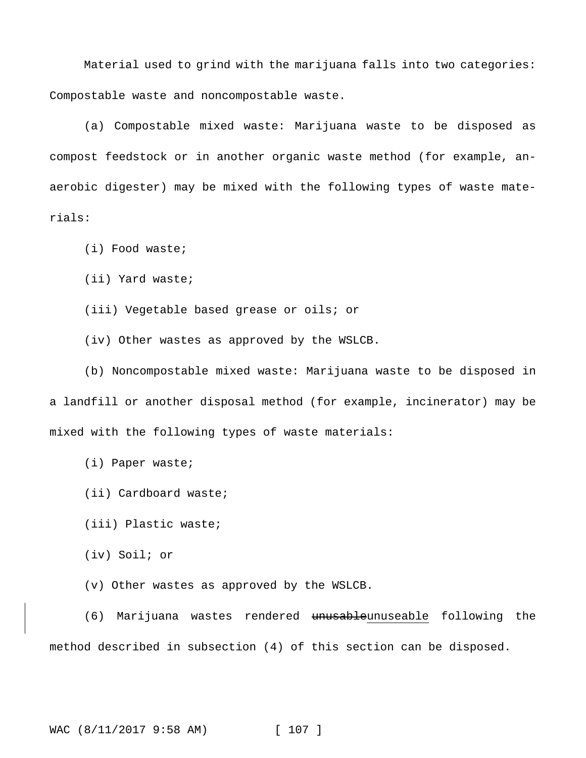Material used to grind with the marijuana falls into two categories: Compostable waste and noncompostable waste.

(a) Compostable mixed waste: Marijuana waste to be disposed as compost feedstock or in another organic waste method (for example, anaerobic digester) may be mixed with the following types of waste materials:

(i) Food waste;

(ii) Yard waste;

(iii) Vegetable based grease or oils; or

(iv) Other wastes as approved by the WSLCB.

(b) Noncompostable mixed waste: Marijuana waste to be disposed in a landfill or another disposal method (for example, incinerator) may be mixed with the following types of waste materials:

(i) Paper waste;

(ii) Cardboard waste;

(iii) Plastic waste;

(iv) Soil; or

(v) Other wastes as approved by the WSLCB.

(6) Marijuana wastes rendered unusableunuseable following the method described in subsection (4) of this section can be disposed.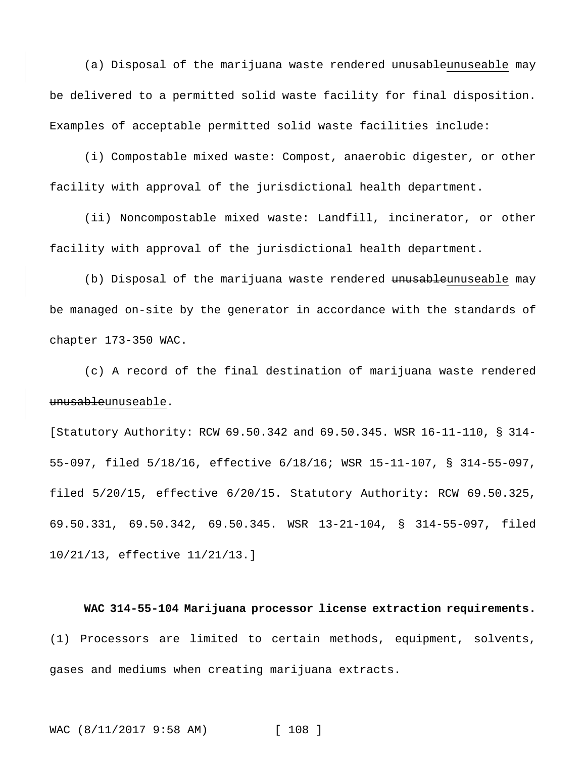(a) Disposal of the marijuana waste rendered unusableunuseable may be delivered to a permitted solid waste facility for final disposition. Examples of acceptable permitted solid waste facilities include:

(i) Compostable mixed waste: Compost, anaerobic digester, or other facility with approval of the jurisdictional health department.

(ii) Noncompostable mixed waste: Landfill, incinerator, or other facility with approval of the jurisdictional health department.

(b) Disposal of the marijuana waste rendered unusableunuseable may be managed on-site by the generator in accordance with the standards of chapter 173-350 WAC.

(c) A record of the final destination of marijuana waste rendered unusableunuseable.

[Statutory Authority: RCW 69.50.342 and 69.50.345. WSR 16-11-110, § 314- 55-097, filed 5/18/16, effective 6/18/16; WSR 15-11-107, § 314-55-097, filed 5/20/15, effective 6/20/15. Statutory Authority: RCW 69.50.325, 69.50.331, 69.50.342, 69.50.345. WSR 13-21-104, § 314-55-097, filed 10/21/13, effective 11/21/13.]

## **WAC 314-55-104 Marijuana processor license extraction requirements.**

(1) Processors are limited to certain methods, equipment, solvents, gases and mediums when creating marijuana extracts.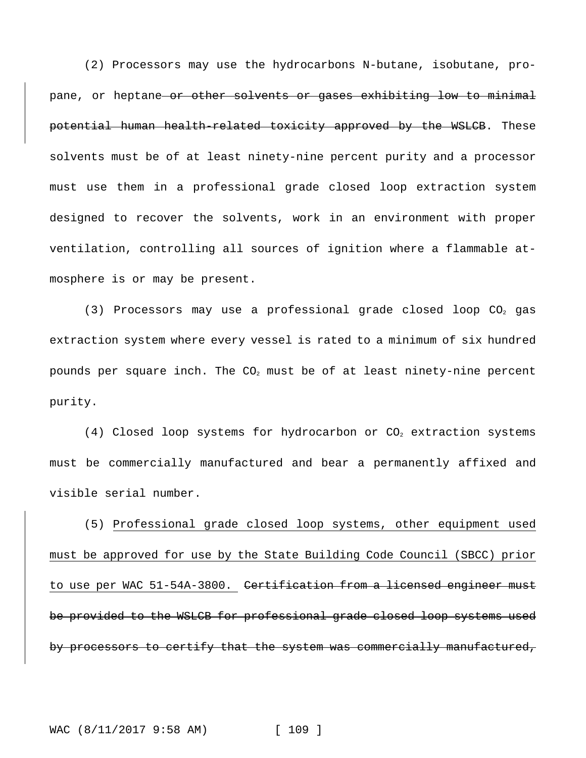(2) Processors may use the hydrocarbons N-butane, isobutane, propane, or heptane or other solvents or gases exhibiting low to minimal potential human health-related toxicity approved by the WSLCB. These solvents must be of at least ninety-nine percent purity and a processor must use them in a professional grade closed loop extraction system designed to recover the solvents, work in an environment with proper ventilation, controlling all sources of ignition where a flammable atmosphere is or may be present.

(3) Processors may use a professional grade closed loop  $CO<sub>2</sub>$  gas extraction system where every vessel is rated to a minimum of six hundred pounds per square inch. The  $CO<sub>2</sub>$  must be of at least ninety-nine percent purity.

(4) Closed loop systems for hydrocarbon or  $CO<sub>2</sub>$  extraction systems must be commercially manufactured and bear a permanently affixed and visible serial number.

(5) Professional grade closed loop systems, other equipment used must be approved for use by the State Building Code Council (SBCC) prior to use per WAC 51-54A-3800. Certification from a licensed engineer must be provided to the WSLCB for professional grade closed loop systems used by processors to certify that the system was commercially manufactured,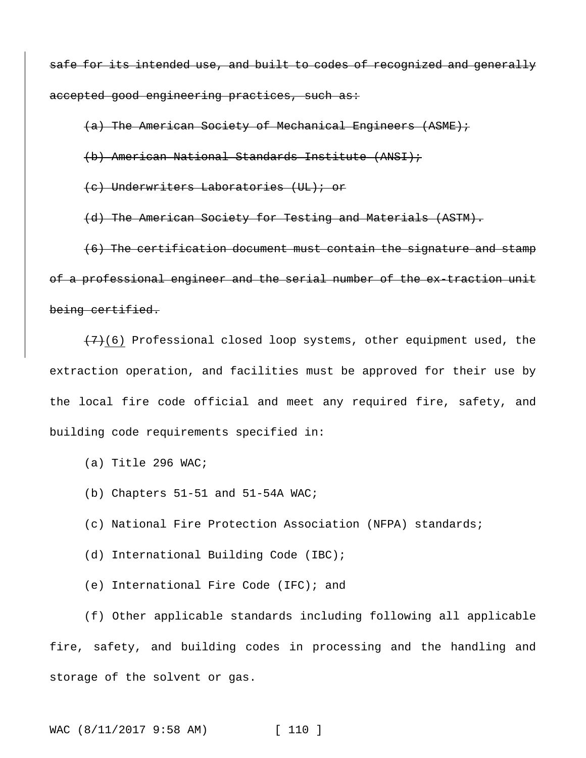safe for its intended use, and built to codes of recognized and generally accepted good engineering practices, such as:

(a) The American Society of Mechanical Engineers (ASME);

(b) American National Standards Institute (ANSI);

(c) Underwriters Laboratories (UL); or

(d) The American Society for Testing and Materials (ASTM).

(6) The certification document must contain the signature and stamp of a professional engineer and the serial number of the ex-traction unit being certified.

 $(7)$ (6) Professional closed loop systems, other equipment used, the extraction operation, and facilities must be approved for their use by the local fire code official and meet any required fire, safety, and building code requirements specified in:

- (a) Title 296 WAC;
- (b) Chapters 51-51 and 51-54A WAC;
- (c) National Fire Protection Association (NFPA) standards;
- (d) International Building Code (IBC);
- (e) International Fire Code (IFC); and

(f) Other applicable standards including following all applicable fire, safety, and building codes in processing and the handling and storage of the solvent or gas.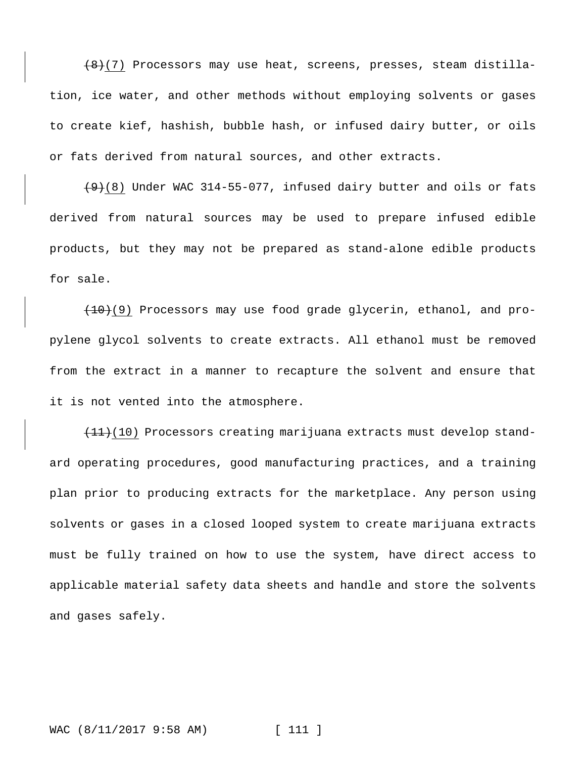$(8)(7)$  Processors may use heat, screens, presses, steam distillation, ice water, and other methods without employing solvents or gases to create kief, hashish, bubble hash, or infused dairy butter, or oils or fats derived from natural sources, and other extracts.

 $(9)$ (8) Under WAC 314-55-077, infused dairy butter and oils or fats derived from natural sources may be used to prepare infused edible products, but they may not be prepared as stand-alone edible products for sale.

(10)(9) Processors may use food grade glycerin, ethanol, and propylene glycol solvents to create extracts. All ethanol must be removed from the extract in a manner to recapture the solvent and ensure that it is not vented into the atmosphere.

 $(11)$ (10) Processors creating marijuana extracts must develop standard operating procedures, good manufacturing practices, and a training plan prior to producing extracts for the marketplace. Any person using solvents or gases in a closed looped system to create marijuana extracts must be fully trained on how to use the system, have direct access to applicable material safety data sheets and handle and store the solvents and gases safely.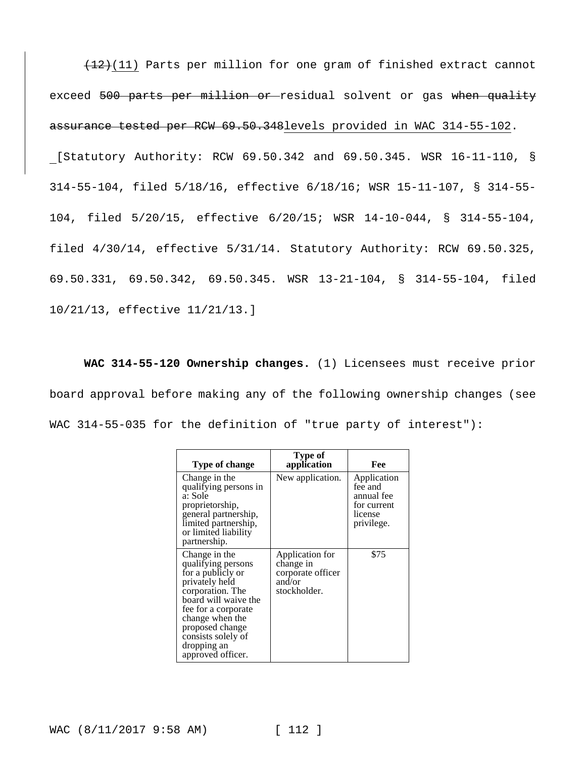$(12)(11)$  Parts per million for one gram of finished extract cannot exceed 500 parts per million or residual solvent or gas when quality assurance tested per RCW 69.50.348levels provided in WAC 314-55-102. [Statutory Authority: RCW 69.50.342 and 69.50.345. WSR 16-11-110, § 314-55-104, filed 5/18/16, effective 6/18/16; WSR 15-11-107, § 314-55- 104, filed 5/20/15, effective 6/20/15; WSR 14-10-044, § 314-55-104, filed 4/30/14, effective 5/31/14. Statutory Authority: RCW 69.50.325, 69.50.331, 69.50.342, 69.50.345. WSR 13-21-104, § 314-55-104, filed 10/21/13, effective 11/21/13.]

**WAC 314-55-120 Ownership changes.** (1) Licensees must receive prior board approval before making any of the following ownership changes (see WAC 314-55-035 for the definition of "true party of interest"):

| Type of change                                                                                                                                                                                                                                | Type of<br>application                                                      | Fee                                                                          |
|-----------------------------------------------------------------------------------------------------------------------------------------------------------------------------------------------------------------------------------------------|-----------------------------------------------------------------------------|------------------------------------------------------------------------------|
| Change in the<br>qualifying persons in<br>a: Sole<br>proprietorship,<br>general partnership,<br>limited partnership,<br>or limited liability<br>partnership.                                                                                  | New application.                                                            | Application<br>fee and<br>annual fee<br>for current<br>license<br>privilege. |
| Change in the<br>qualifying persons<br>for a publicly or<br>privately held<br>corporation. The<br>board will waive the<br>fee for a corporate<br>change when the<br>proposed change<br>consists solely of<br>dropping an<br>approved officer. | Application for<br>change in<br>corporate officer<br>and/or<br>stockholder. | \$75                                                                         |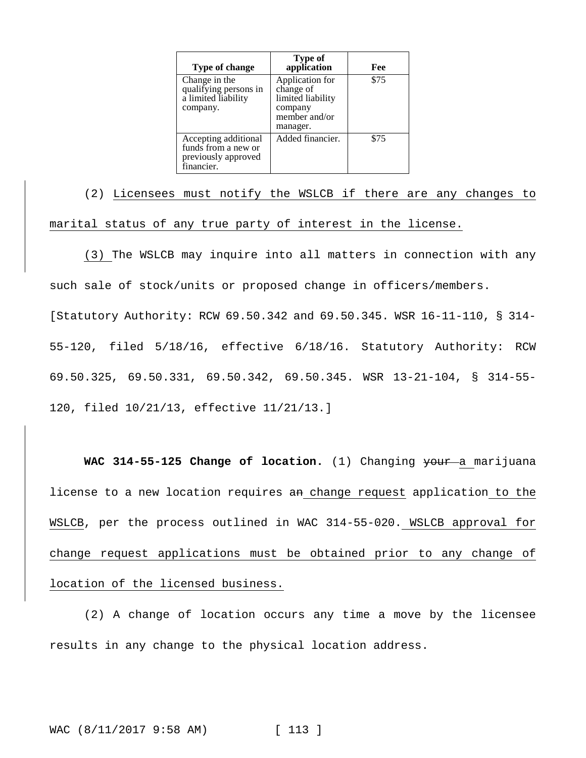| Type of change                                                                   | <b>Type of</b><br>application                                                             | Fee  |
|----------------------------------------------------------------------------------|-------------------------------------------------------------------------------------------|------|
| Change in the<br>qualifying persons in<br>a limited liability<br>company.        | Application for<br>change of<br>limited liability<br>company<br>member and/or<br>manager. | \$75 |
| Accepting additional<br>funds from a new or<br>previously approved<br>financier. | Added financier.                                                                          | \$75 |

(2) Licensees must notify the WSLCB if there are any changes to marital status of any true party of interest in the license.

(3) The WSLCB may inquire into all matters in connection with any such sale of stock/units or proposed change in officers/members. [Statutory Authority: RCW 69.50.342 and 69.50.345. WSR 16-11-110, § 314- 55-120, filed 5/18/16, effective 6/18/16. Statutory Authority: RCW 69.50.325, 69.50.331, 69.50.342, 69.50.345. WSR 13-21-104, § 314-55- 120, filed 10/21/13, effective 11/21/13.]

WAC 314-55-125 Change of location. (1) Changing your a marijuana license to a new location requires an change request application to the WSLCB, per the process outlined in WAC 314-55-020. WSLCB approval for change request applications must be obtained prior to any change of location of the licensed business.

(2) A change of location occurs any time a move by the licensee results in any change to the physical location address.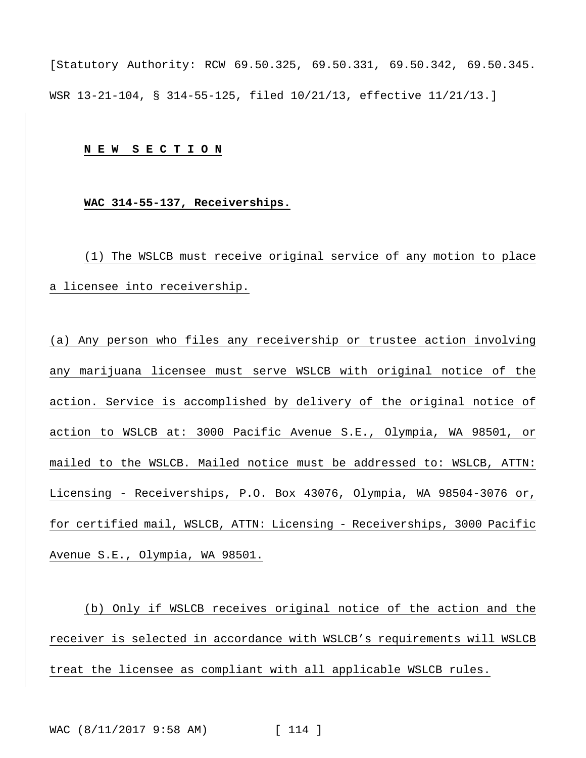[Statutory Authority: RCW 69.50.325, 69.50.331, 69.50.342, 69.50.345. WSR 13-21-104, § 314-55-125, filed 10/21/13, effective 11/21/13.]

## **N E W S E C T I O N**

## **WAC 314-55-137, Receiverships.**

(1) The WSLCB must receive original service of any motion to place a licensee into receivership.

(a) Any person who files any receivership or trustee action involving any marijuana licensee must serve WSLCB with original notice of the action. Service is accomplished by delivery of the original notice of action to WSLCB at: 3000 Pacific Avenue S.E., Olympia, WA 98501, or mailed to the WSLCB. Mailed notice must be addressed to: WSLCB, ATTN: Licensing - Receiverships, P.O. Box 43076, Olympia, WA 98504-3076 or, for certified mail, WSLCB, ATTN: Licensing - Receiverships, 3000 Pacific Avenue S.E., Olympia, WA 98501.

(b) Only if WSLCB receives original notice of the action and the receiver is selected in accordance with WSLCB's requirements will WSLCB treat the licensee as compliant with all applicable WSLCB rules.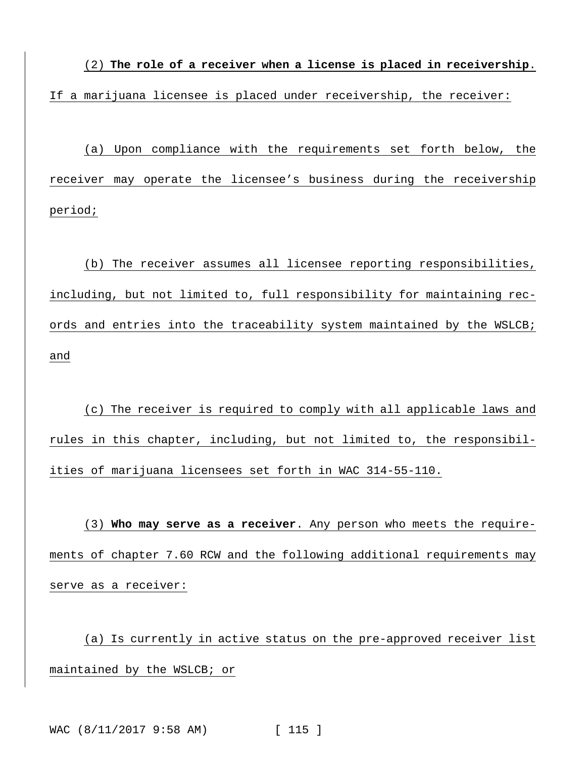(2) **The role of a receiver when a license is placed in receivership**. If a marijuana licensee is placed under receivership, the receiver:

(a) Upon compliance with the requirements set forth below, the receiver may operate the licensee's business during the receivership period;

(b) The receiver assumes all licensee reporting responsibilities, including, but not limited to, full responsibility for maintaining records and entries into the traceability system maintained by the WSLCB; and

(c) The receiver is required to comply with all applicable laws and rules in this chapter, including, but not limited to, the responsibilities of marijuana licensees set forth in WAC 314-55-110.

(3) **Who may serve as a receiver**. Any person who meets the requirements of chapter 7.60 RCW and the following additional requirements may serve as a receiver:

(a) Is currently in active status on the pre-approved receiver list maintained by the WSLCB; or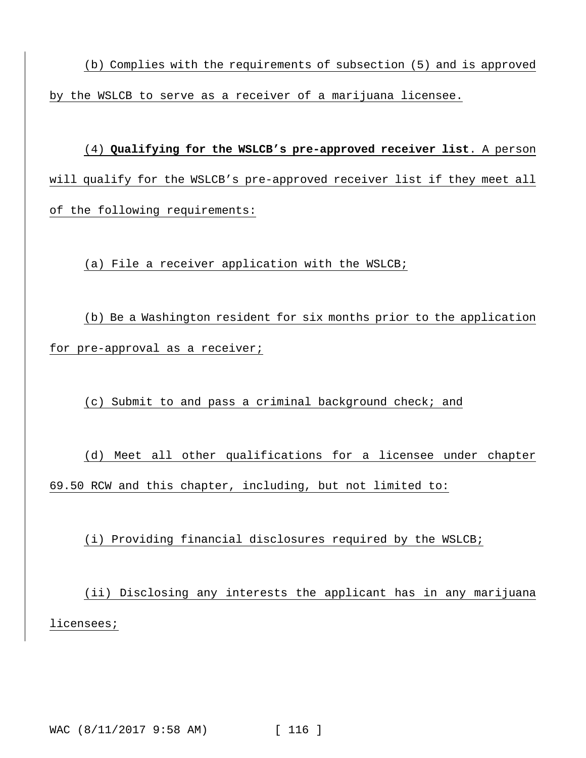(b) Complies with the requirements of subsection (5) and is approved by the WSLCB to serve as a receiver of a marijuana licensee.

(4) **Qualifying for the WSLCB's pre-approved receiver list**. A person will qualify for the WSLCB's pre-approved receiver list if they meet all of the following requirements:

(a) File a receiver application with the WSLCB;

(b) Be a Washington resident for six months prior to the application for pre-approval as a receiver;

(c) Submit to and pass a criminal background check; and

(d) Meet all other qualifications for a licensee under chapter 69.50 RCW and this chapter, including, but not limited to:

(i) Providing financial disclosures required by the WSLCB;

(ii) Disclosing any interests the applicant has in any marijuana licensees;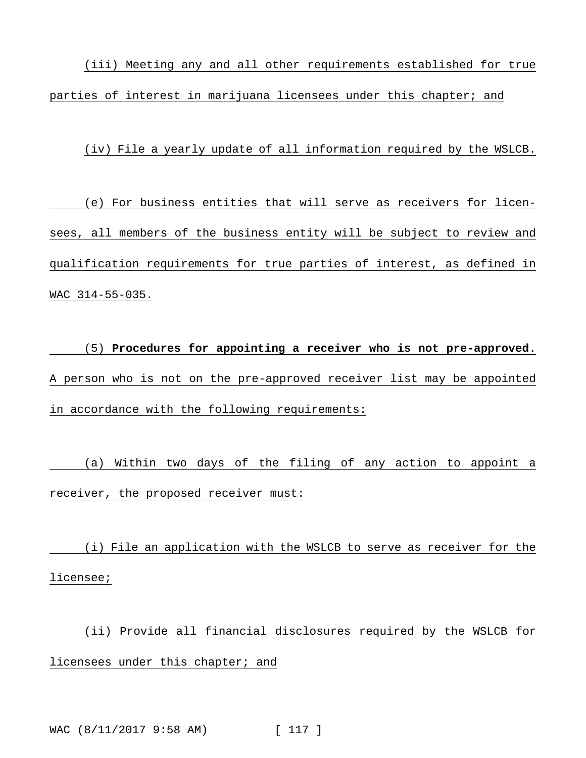(iii) Meeting any and all other requirements established for true parties of interest in marijuana licensees under this chapter; and

(iv) File a yearly update of all information required by the WSLCB.

(e) For business entities that will serve as receivers for licensees, all members of the business entity will be subject to review and qualification requirements for true parties of interest, as defined in WAC 314-55-035.

(5) **Procedures for appointing a receiver who is not pre-approved**. A person who is not on the pre-approved receiver list may be appointed in accordance with the following requirements:

(a) Within two days of the filing of any action to appoint a receiver, the proposed receiver must:

(i) File an application with the WSLCB to serve as receiver for the licensee;

(ii) Provide all financial disclosures required by the WSLCB for licensees under this chapter; and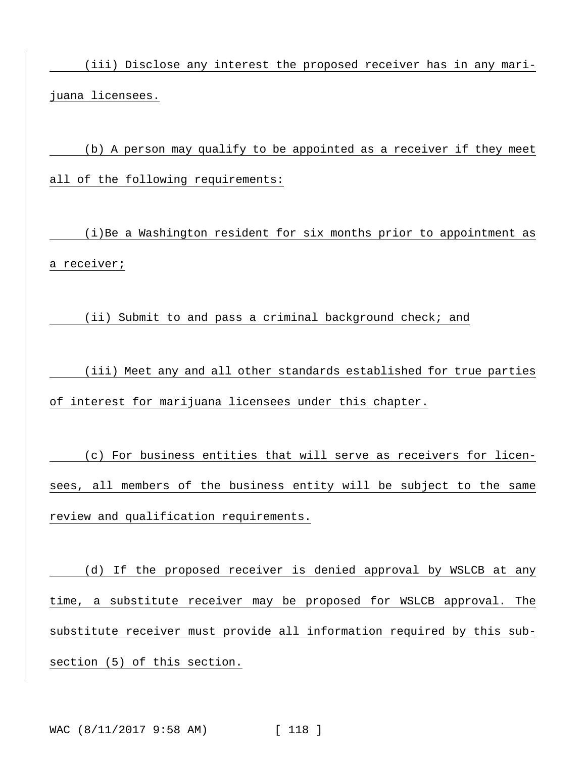(iii) Disclose any interest the proposed receiver has in any marijuana licensees.

(b) A person may qualify to be appointed as a receiver if they meet all of the following requirements:

(i)Be a Washington resident for six months prior to appointment as a receiver;

(ii) Submit to and pass a criminal background check; and

(iii) Meet any and all other standards established for true parties of interest for marijuana licensees under this chapter.

(c) For business entities that will serve as receivers for licensees, all members of the business entity will be subject to the same review and qualification requirements.

(d) If the proposed receiver is denied approval by WSLCB at any time, a substitute receiver may be proposed for WSLCB approval. The substitute receiver must provide all information required by this subsection (5) of this section.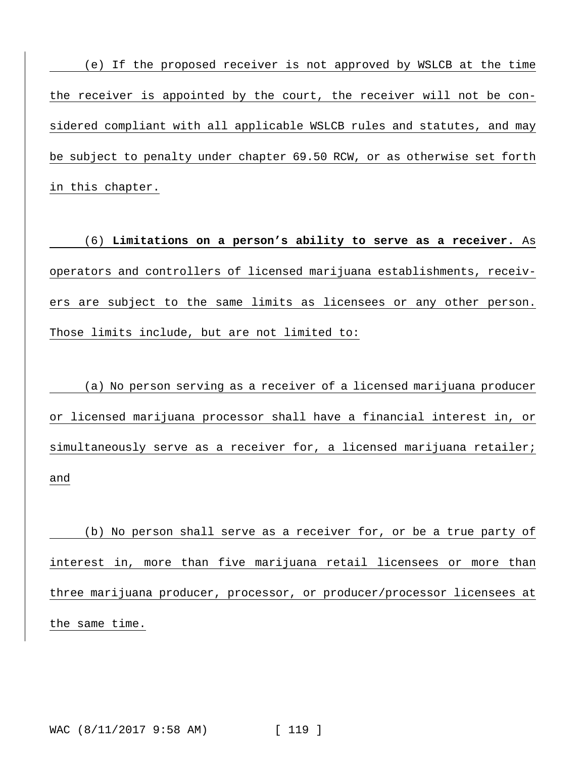(e) If the proposed receiver is not approved by WSLCB at the time the receiver is appointed by the court, the receiver will not be considered compliant with all applicable WSLCB rules and statutes, and may be subject to penalty under chapter 69.50 RCW, or as otherwise set forth in this chapter.

(6) **Limitations on a person's ability to serve as a receiver.** As operators and controllers of licensed marijuana establishments, receivers are subject to the same limits as licensees or any other person. Those limits include, but are not limited to:

(a) No person serving as a receiver of a licensed marijuana producer or licensed marijuana processor shall have a financial interest in, or simultaneously serve as a receiver for, a licensed marijuana retailer; and

(b) No person shall serve as a receiver for, or be a true party of interest in, more than five marijuana retail licensees or more than three marijuana producer, processor, or producer/processor licensees at the same time.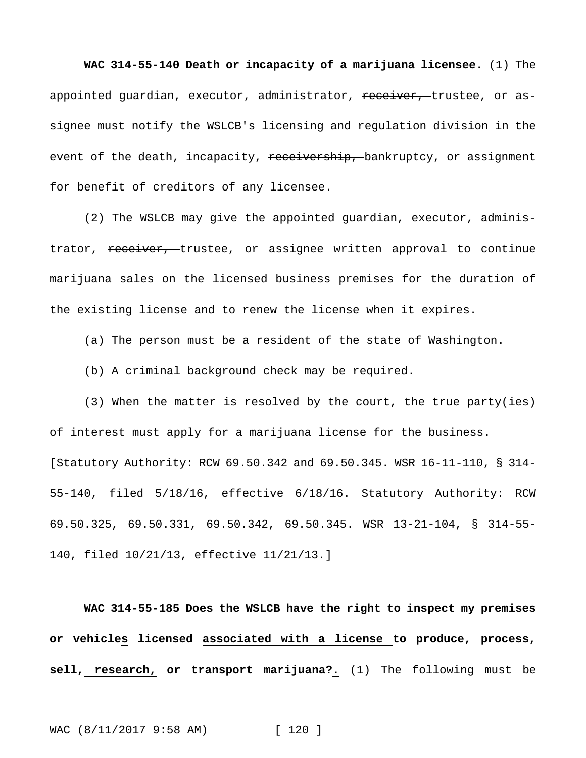**WAC 314-55-140 Death or incapacity of a marijuana licensee.** (1) The appointed quardian, executor, administrator, receiver, trustee, or assignee must notify the WSLCB's licensing and regulation division in the event of the death, incapacity, receivership, bankruptcy, or assignment for benefit of creditors of any licensee.

(2) The WSLCB may give the appointed guardian, executor, administrator, receiver, trustee, or assignee written approval to continue marijuana sales on the licensed business premises for the duration of the existing license and to renew the license when it expires.

(a) The person must be a resident of the state of Washington.

(b) A criminal background check may be required.

(3) When the matter is resolved by the court, the true party(ies) of interest must apply for a marijuana license for the business. [Statutory Authority: RCW 69.50.342 and 69.50.345. WSR 16-11-110, § 314- 55-140, filed 5/18/16, effective 6/18/16. Statutory Authority: RCW 69.50.325, 69.50.331, 69.50.342, 69.50.345. WSR 13-21-104, § 314-55- 140, filed 10/21/13, effective 11/21/13.]

**WAC 314-55-185 Does the WSLCB have the right to inspect my premises or vehicles licensed associated with a license to produce, process, sell, research, or transport marijuana?.** (1) The following must be

WAC (8/11/2017 9:58 AM) [ 120 ]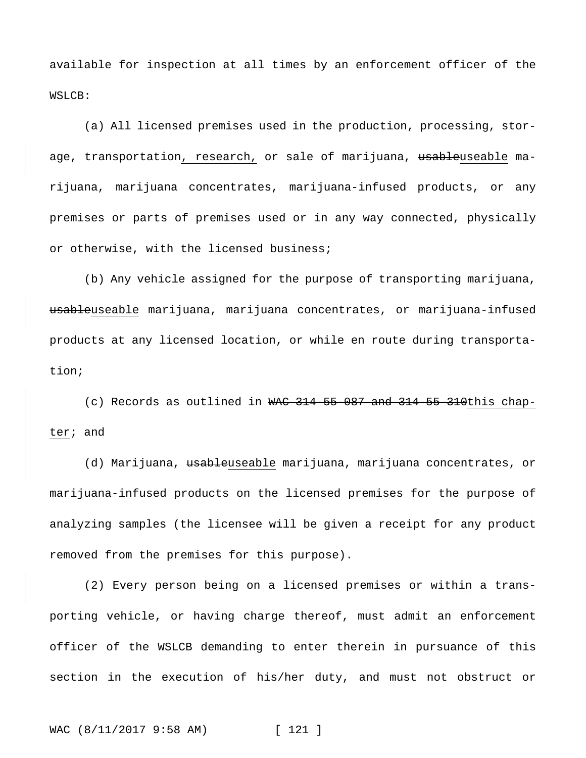available for inspection at all times by an enforcement officer of the WSLCB:

(a) All licensed premises used in the production, processing, storage, transportation, research, or sale of marijuana, usableuseable marijuana, marijuana concentrates, marijuana-infused products, or any premises or parts of premises used or in any way connected, physically or otherwise, with the licensed business;

(b) Any vehicle assigned for the purpose of transporting marijuana, usableuseable marijuana, marijuana concentrates, or marijuana-infused products at any licensed location, or while en route during transportation;

(c) Records as outlined in WAC 314-55-087 and 314-55-310this chapter; and

(d) Marijuana, usableuseable marijuana, marijuana concentrates, or marijuana-infused products on the licensed premises for the purpose of analyzing samples (the licensee will be given a receipt for any product removed from the premises for this purpose).

(2) Every person being on a licensed premises or within a transporting vehicle, or having charge thereof, must admit an enforcement officer of the WSLCB demanding to enter therein in pursuance of this section in the execution of his/her duty, and must not obstruct or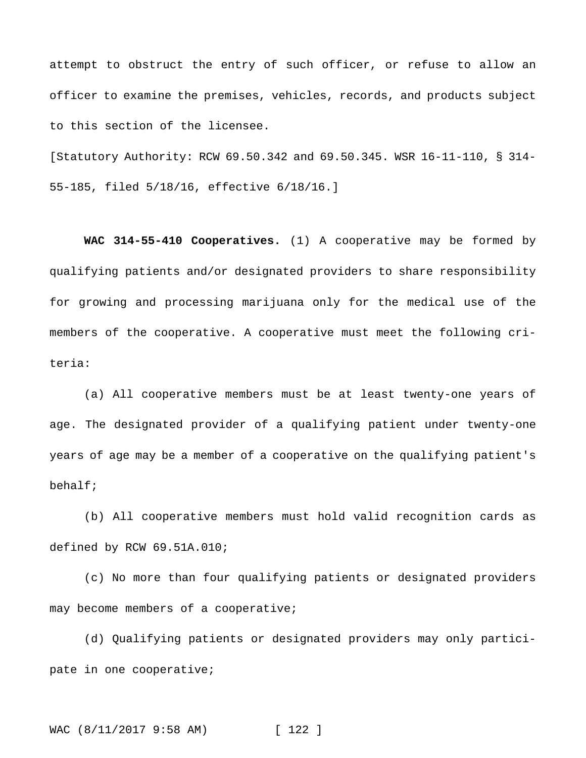attempt to obstruct the entry of such officer, or refuse to allow an officer to examine the premises, vehicles, records, and products subject to this section of the licensee.

[Statutory Authority: RCW 69.50.342 and 69.50.345. WSR 16-11-110, § 314- 55-185, filed 5/18/16, effective 6/18/16.]

**WAC 314-55-410 Cooperatives.** (1) A cooperative may be formed by qualifying patients and/or designated providers to share responsibility for growing and processing marijuana only for the medical use of the members of the cooperative. A cooperative must meet the following criteria:

(a) All cooperative members must be at least twenty-one years of age. The designated provider of a qualifying patient under twenty-one years of age may be a member of a cooperative on the qualifying patient's behalf;

(b) All cooperative members must hold valid recognition cards as defined by RCW 69.51A.010;

(c) No more than four qualifying patients or designated providers may become members of a cooperative;

(d) Qualifying patients or designated providers may only participate in one cooperative;

WAC (8/11/2017 9:58 AM) [ 122 ]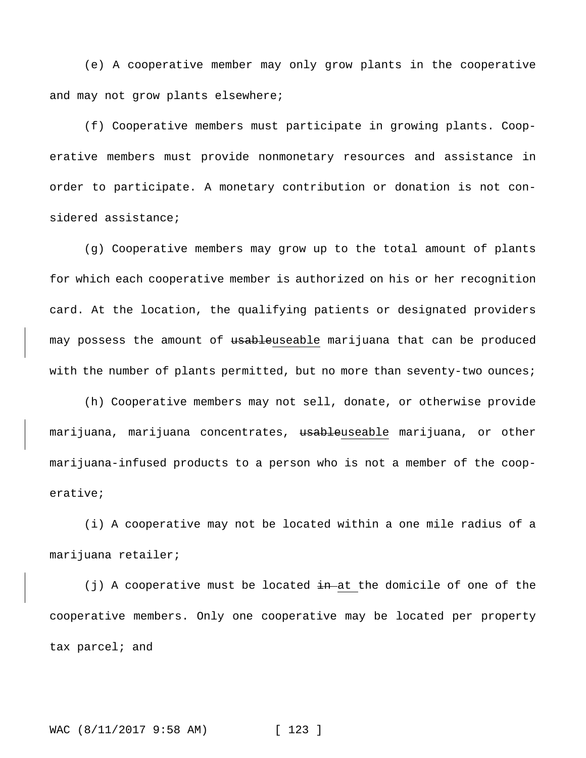(e) A cooperative member may only grow plants in the cooperative and may not grow plants elsewhere;

(f) Cooperative members must participate in growing plants. Cooperative members must provide nonmonetary resources and assistance in order to participate. A monetary contribution or donation is not considered assistance;

(g) Cooperative members may grow up to the total amount of plants for which each cooperative member is authorized on his or her recognition card. At the location, the qualifying patients or designated providers may possess the amount of usableuseable marijuana that can be produced with the number of plants permitted, but no more than seventy-two ounces;

(h) Cooperative members may not sell, donate, or otherwise provide marijuana, marijuana concentrates, usableuseable marijuana, or other marijuana-infused products to a person who is not a member of the cooperative;

(i) A cooperative may not be located within a one mile radius of a marijuana retailer;

(j) A cooperative must be located  $\frac{1}{2}$  at the domicile of one of the cooperative members. Only one cooperative may be located per property tax parcel; and

WAC (8/11/2017 9:58 AM) [ 123 ]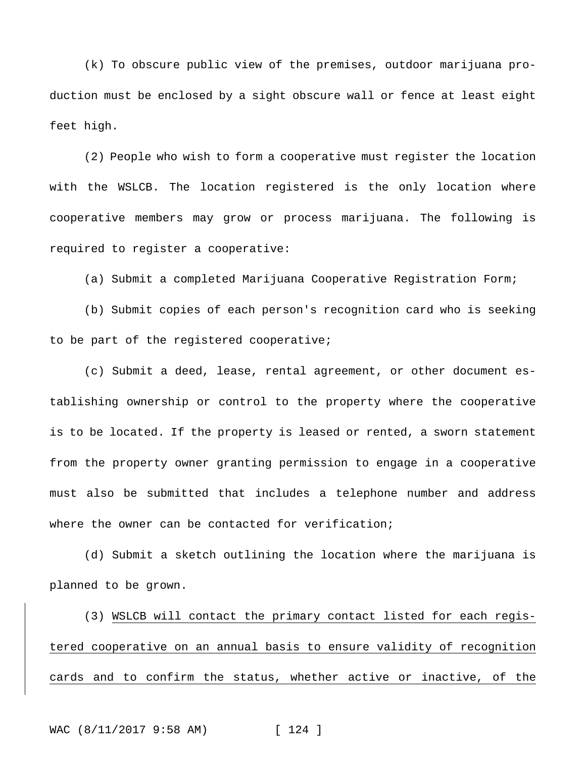(k) To obscure public view of the premises, outdoor marijuana production must be enclosed by a sight obscure wall or fence at least eight feet high.

(2) People who wish to form a cooperative must register the location with the WSLCB. The location registered is the only location where cooperative members may grow or process marijuana. The following is required to register a cooperative:

(a) Submit a completed Marijuana Cooperative Registration Form;

(b) Submit copies of each person's recognition card who is seeking to be part of the registered cooperative;

(c) Submit a deed, lease, rental agreement, or other document establishing ownership or control to the property where the cooperative is to be located. If the property is leased or rented, a sworn statement from the property owner granting permission to engage in a cooperative must also be submitted that includes a telephone number and address where the owner can be contacted for verification;

(d) Submit a sketch outlining the location where the marijuana is planned to be grown.

(3) WSLCB will contact the primary contact listed for each registered cooperative on an annual basis to ensure validity of recognition cards and to confirm the status, whether active or inactive, of the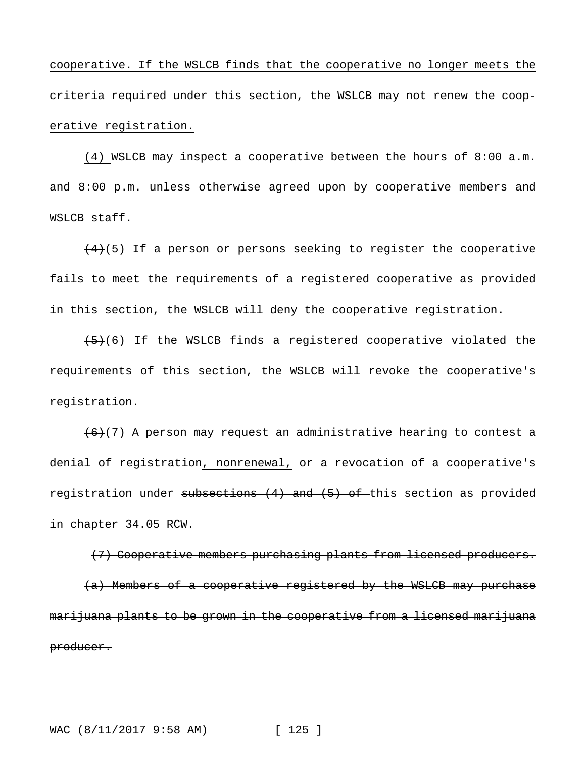cooperative. If the WSLCB finds that the cooperative no longer meets the criteria required under this section, the WSLCB may not renew the cooperative registration.

(4) WSLCB may inspect a cooperative between the hours of 8:00 a.m. and 8:00 p.m. unless otherwise agreed upon by cooperative members and WSLCB staff.

 $(4)(5)$  If a person or persons seeking to register the cooperative fails to meet the requirements of a registered cooperative as provided in this section, the WSLCB will deny the cooperative registration.

 $(5)$  (6) If the WSLCB finds a registered cooperative violated the requirements of this section, the WSLCB will revoke the cooperative's registration.

 $(6)(7)$  A person may request an administrative hearing to contest a denial of registration, nonrenewal, or a revocation of a cooperative's registration under subsections  $(4)$  and  $(5)$  of this section as provided in chapter 34.05 RCW.

(7) Cooperative members purchasing plants from licensed producers. (a) Members of a cooperative registered by the WSLCB may purchase marijuana plants to be grown in the cooperative from a licensed marijuana producer.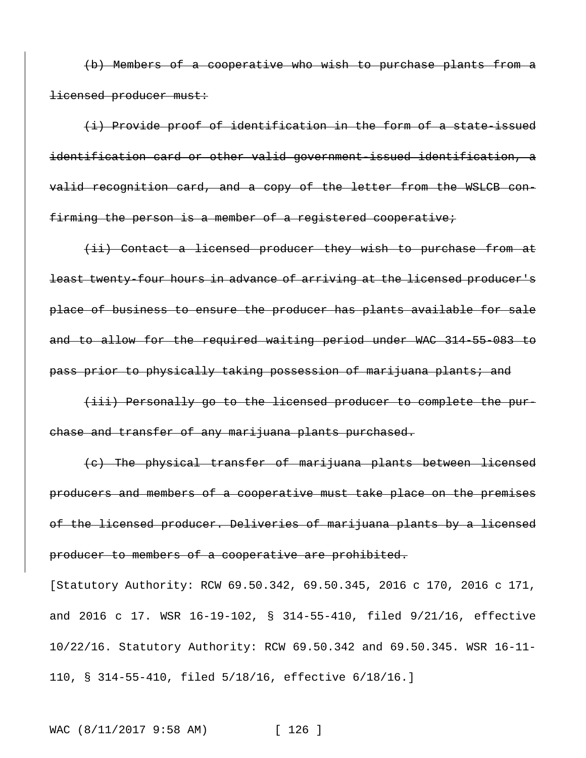(b) Members of a cooperative who wish to purchase plants from a licensed producer must:

(i) Provide proof of identification in the form of a state-issued identification card or other valid government-issued identification, a valid recognition card, and a copy of the letter from the WSLCB confirming the person is a member of a registered cooperative;

(ii) Contact a licensed producer they wish to purchase from at least twenty-four hours in advance of arriving at the licensed producer's place of business to ensure the producer has plants available for sale and to allow for the required waiting period under WAC 314-55-083 to pass prior to physically taking possession of marijuana plants; and

(iii) Personally go to the licensed producer to complete the purchase and transfer of any marijuana plants purchased.

(c) The physical transfer of marijuana plants between licensed producers and members of a cooperative must take place on the premises of the licensed producer. Deliveries of marijuana plants by a licensed producer to members of a cooperative are prohibited.

[Statutory Authority: RCW 69.50.342, 69.50.345, 2016 c 170, 2016 c 171, and 2016 c 17. WSR 16-19-102, § 314-55-410, filed 9/21/16, effective 10/22/16. Statutory Authority: RCW 69.50.342 and 69.50.345. WSR 16-11- 110, § 314-55-410, filed 5/18/16, effective 6/18/16.]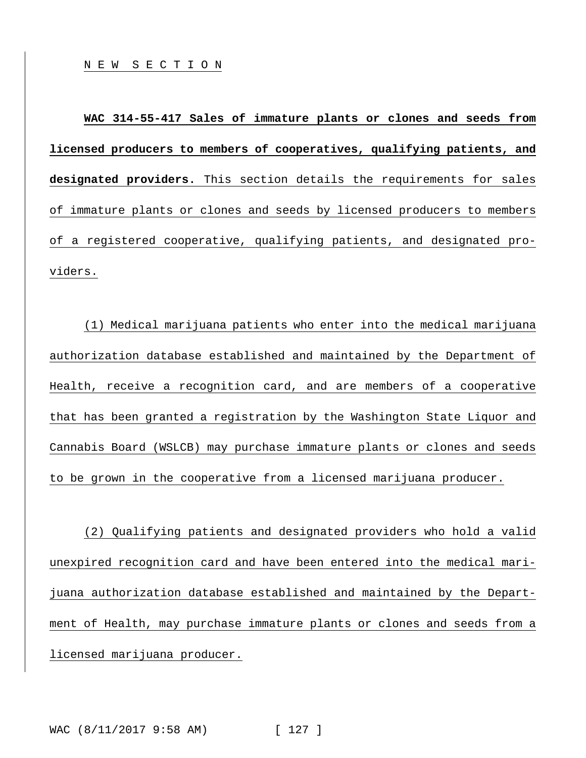**WAC 314-55-417 Sales of immature plants or clones and seeds from licensed producers to members of cooperatives, qualifying patients, and designated providers.** This section details the requirements for sales of immature plants or clones and seeds by licensed producers to members of a registered cooperative, qualifying patients, and designated providers.

(1) Medical marijuana patients who enter into the medical marijuana authorization database established and maintained by the Department of Health, receive a recognition card, and are members of a cooperative that has been granted a registration by the Washington State Liquor and Cannabis Board (WSLCB) may purchase immature plants or clones and seeds to be grown in the cooperative from a licensed marijuana producer.

(2) Qualifying patients and designated providers who hold a valid unexpired recognition card and have been entered into the medical marijuana authorization database established and maintained by the Department of Health, may purchase immature plants or clones and seeds from a licensed marijuana producer.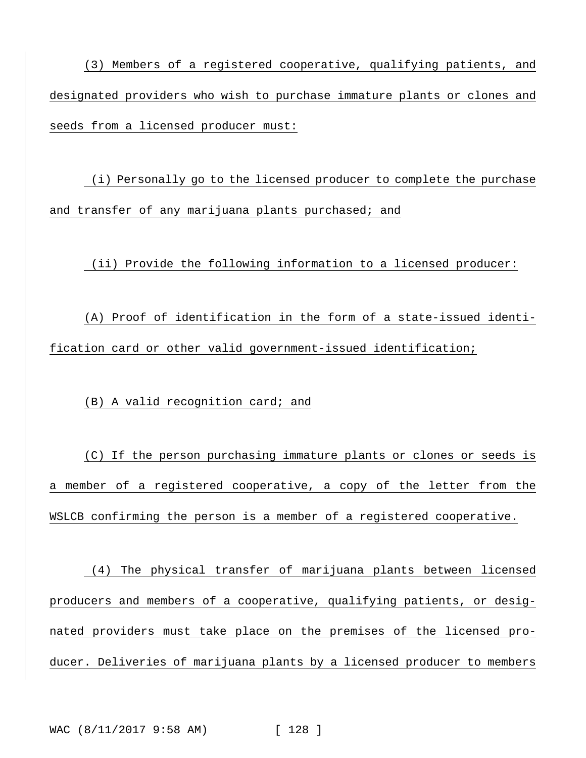(3) Members of a registered cooperative, qualifying patients, and designated providers who wish to purchase immature plants or clones and seeds from a licensed producer must:

(i) Personally go to the licensed producer to complete the purchase and transfer of any marijuana plants purchased; and

(ii) Provide the following information to a licensed producer:

(A) Proof of identification in the form of a state-issued identification card or other valid government-issued identification;

(B) A valid recognition card; and

(C) If the person purchasing immature plants or clones or seeds is a member of a registered cooperative, a copy of the letter from the WSLCB confirming the person is a member of a registered cooperative.

(4) The physical transfer of marijuana plants between licensed producers and members of a cooperative, qualifying patients, or designated providers must take place on the premises of the licensed producer. Deliveries of marijuana plants by a licensed producer to members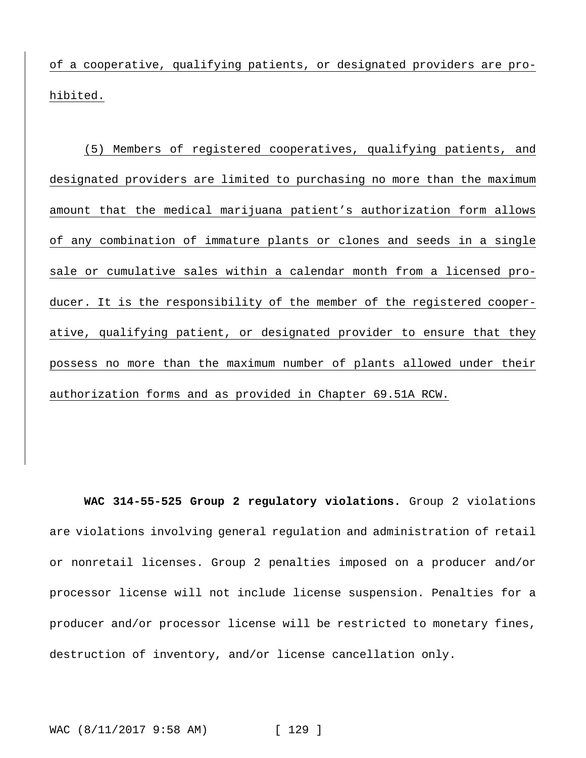of a cooperative, qualifying patients, or designated providers are prohibited.

(5) Members of registered cooperatives, qualifying patients, and designated providers are limited to purchasing no more than the maximum amount that the medical marijuana patient's authorization form allows of any combination of immature plants or clones and seeds in a single sale or cumulative sales within a calendar month from a licensed producer. It is the responsibility of the member of the registered cooperative, qualifying patient, or designated provider to ensure that they possess no more than the maximum number of plants allowed under their authorization forms and as provided in Chapter 69.51A RCW.

**WAC 314-55-525 Group 2 regulatory violations.** Group 2 violations are violations involving general regulation and administration of retail or nonretail licenses. Group 2 penalties imposed on a producer and/or processor license will not include license suspension. Penalties for a producer and/or processor license will be restricted to monetary fines, destruction of inventory, and/or license cancellation only.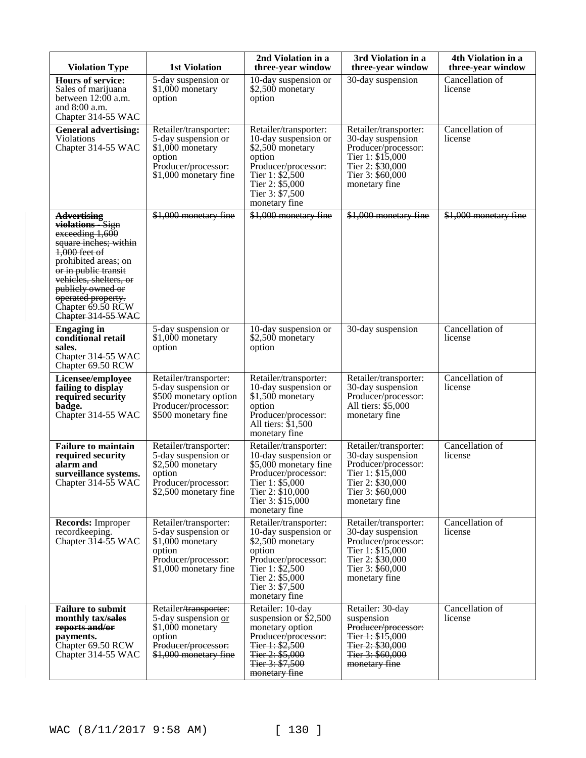| <b>Violation Type</b>                                                                                                                                                                                                                                                | <b>1st Violation</b>                                                                                                       | 2nd Violation in a<br>three-year window                                                                                                                                      | 3rd Violation in a<br>three-year window                                                                                                         | 4th Violation in a<br>three-year window |
|----------------------------------------------------------------------------------------------------------------------------------------------------------------------------------------------------------------------------------------------------------------------|----------------------------------------------------------------------------------------------------------------------------|------------------------------------------------------------------------------------------------------------------------------------------------------------------------------|-------------------------------------------------------------------------------------------------------------------------------------------------|-----------------------------------------|
| <b>Hours of service:</b><br>Sales of marijuana<br>between $12:00$ a.m.<br>and $8:00$ a.m.<br>Chapter 314-55 WAC                                                                                                                                                      | 5-day suspension or<br>\$1,000 monetary<br>option                                                                          | 10-day suspension or<br>\$2,500 monetary<br>option                                                                                                                           | 30-day suspension                                                                                                                               | Cancellation of<br>license              |
| <b>General advertising:</b><br>Violations<br>Chapter 314-55 WAC                                                                                                                                                                                                      | Retailer/transporter:<br>5-day suspension or<br>\$1,000 monetary<br>option<br>Producer/processor:<br>\$1,000 monetary fine | Retailer/transporter:<br>10-day suspension or<br>\$2,500 monetary<br>option<br>Producer/processor:<br>Tier 1: \$2,500<br>Tier 2: \$5,000<br>Tier 3: \$7,500<br>monetary fine | Retailer/transporter:<br>30-day suspension<br>Producer/processor:<br>Tier 1: $$15,000$<br>Tier 2: \$30,000<br>Tier 3: \$60,000<br>monetary fine | Cancellation of<br>license              |
| <b>Advertising</b><br>violations Sign<br>exceeding 1,600<br>square inches; within<br>$1,000$ feet of<br>prohibited areas; on<br>or in public transit<br>vehicles, shelters, or<br>publicly owned or<br>operated property.<br>Chapter 69.50 RCW<br>Chapter 314 55 WAC | \$1,000 monetary fine                                                                                                      | \$1,000 monetary fine                                                                                                                                                        | \$1,000 monetary fine                                                                                                                           | \$1,000 monetary fine                   |
| <b>Engaging in</b><br>conditional retail<br>sales.<br>Chapter 314-55 WAC<br>Chapter 69.50 RCW                                                                                                                                                                        | 5-day suspension or<br>\$1,000 monetary<br>option                                                                          | 10-day suspension or<br>\$2,500 monetary<br>option                                                                                                                           | 30-day suspension                                                                                                                               | Cancellation of<br>license              |
| Licensee/employee<br>failing to display<br>required security<br>badge.<br>Chapter 314-55 WAC                                                                                                                                                                         | Retailer/transporter:<br>5-day suspension or<br>\$500 monetary option<br>Producer/processor:<br>\$500 monetary fine        | Retailer/transporter:<br>10-day suspension or<br>\$1,500 monetary<br>option<br>Producer/processor:<br>All tiers: $$1,500$<br>monetary fine                                   | Retailer/transporter:<br>30-day suspension<br>Producer/processor:<br>All tiers: \$5,000<br>monetary fine                                        | Cancellation of<br>license              |
| <b>Failure to maintain</b><br>required security<br>alarm and<br>surveillance systems.<br>Chapter 314-55 WAC                                                                                                                                                          | Retailer/transporter:<br>5-day suspension or<br>\$2,500 monetary<br>option<br>Producer/processor:<br>\$2,500 monetary fine | Retailer/transporter:<br>10-day suspension or<br>\$5,000 monetary fine<br>Producer/processor:<br>Tier 1: \$5,000<br>Tier 2: \$10,000<br>Tier 3: \$15,000<br>monetary fine    | Retailer/transporter:<br>30-day suspension<br>Producer/processor:<br>Tier 1: \$15,000<br>Tier 2: \$30,000<br>Tier 3: \$60,000<br>monetary fine  | Cancellation of<br>license              |
| <b>Records:</b> Improper<br>recordkeeping.<br>Chapter 314-55 WAC                                                                                                                                                                                                     | Retailer/transporter:<br>5-day suspension or<br>\$1,000 monetary<br>option<br>Producer/processor:<br>\$1,000 monetary fine | Retailer/transporter:<br>10-day suspension or<br>\$2,500 monetary<br>option<br>Producer/processor:<br>Tier 1: \$2,500<br>Tier 2: \$5,000<br>Tier 3: \$7,500<br>monetary fine | Retailer/transporter:<br>30-day suspension<br>Producer/processor:<br>Tier 1: \$15,000<br>Tier 2: \$30,000<br>Tier 3: \$60,000<br>monetary fine  | Cancellation of<br>license              |
| <b>Failure to submit</b><br>monthly tax/sales<br>reports and/or<br>payments.<br>Chapter 69.50 RCW<br>Chapter 314-55 WAC                                                                                                                                              | Retailer/transporter:<br>5-day suspension or<br>\$1,000 monetary<br>option<br>Producer/processor:<br>\$1,000 monetary fine | Retailer: 10-day<br>suspension or $$2,500$<br>monetary option<br>Producer/processor:<br>Tier 1: \$2,500<br>Tier 2: \$5,000<br>Tier 3: \$7,500<br>monetary fine               | Retailer: 30-day<br>suspension<br>Producer/processor:<br>Tier 1: \$15,000<br>Tier 2: \$30,000<br>Tier 3: \$60,000<br>monetary fine              | Cancellation of<br>license              |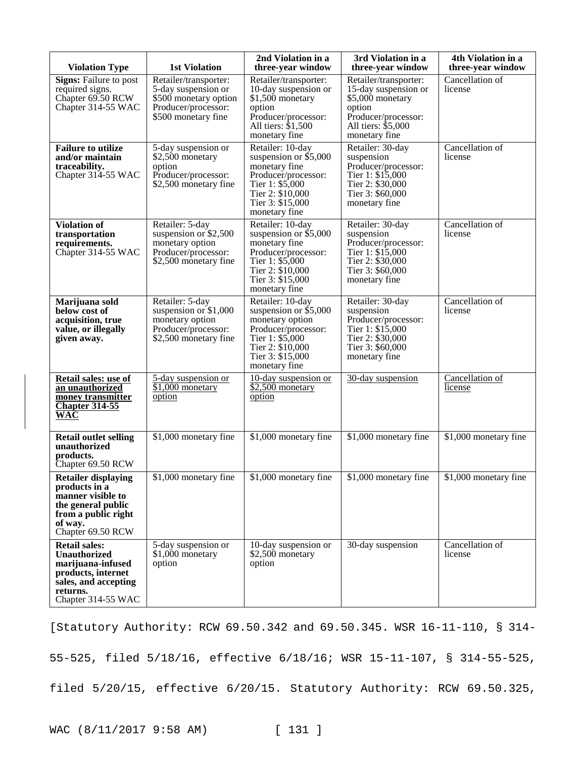| <b>Violation Type</b>                                                                                                                            | <b>1st Violation</b>                                                                                                | 2nd Violation in a<br>three-year window                                                                                                                          | 3rd Violation in a<br>three-year window                                                                                                        | 4th Violation in a<br>three-year window |
|--------------------------------------------------------------------------------------------------------------------------------------------------|---------------------------------------------------------------------------------------------------------------------|------------------------------------------------------------------------------------------------------------------------------------------------------------------|------------------------------------------------------------------------------------------------------------------------------------------------|-----------------------------------------|
| <b>Signs:</b> Failure to post<br>required signs.<br>Chapter 69.50 RCW<br>Chapter 314-55 WAC                                                      | Retailer/transporter:<br>5-day suspension or<br>\$500 monetary option<br>Producer/processor:<br>\$500 monetary fine | Retailer/transporter:<br>10-day suspension or<br>\$1,500 monetary<br>option<br>Producer/processor:<br>All tiers: \$1,500<br>monetary fine                        | Retailer/transporter:<br>15-day suspension or<br>\$5,000 monetary<br>option<br>Producer/processor:<br>All tiers: \$5,000<br>monetary fine      | Cancellation of<br>license              |
| <b>Failure to utilize</b><br>and/or maintain<br>traceability.<br>Chapter 314-55 WAC                                                              | 5-day suspension or<br>\$2,500 monetary<br>option<br>Producer/processor:<br>\$2,500 monetary fine                   | Retailer: 10-day<br>suspension or $$5,000$<br>monetary fine<br>Producer/processor:<br>Tier 1: \$5,000<br>Tier 2: \$10,000<br>Tier 3: \$15,000<br>monetary fine   | Retailer: 30-day<br>suspension<br>Producer/processor:<br>Tier 1: $$1\overline{5,000}$<br>Tier 2: \$30,000<br>Tier 3: \$60,000<br>monetary fine | Cancellation of<br>license              |
| <b>Violation of</b><br>transportation<br>requirements.<br>Chapter 314-55 WAC                                                                     | Retailer: 5-day<br>suspension or $$2,500$<br>monetary option<br>Producer/processor:<br>\$2,500 monetary fine        | Retailer: 10-day<br>suspension or $$5,000$<br>monetary fine<br>Producer/processor:<br>Tier 1: \$5,000<br>Tier 2: \$10,000<br>Tier 3: \$15,000<br>monetary fine   | Retailer: 30-day<br>suspension<br>Producer/processor:<br>Tier 1: \$15,000<br>Tier 2: \$30,000<br>Tier 3: \$60,000<br>monetary fine             | Cancellation of<br>license              |
| Marijuana sold<br>below cost of<br>acquisition, true<br>value, or illegally<br>given away.                                                       | Retailer: 5-day<br>suspension or $$1,000$<br>monetary option<br>Producer/processor:<br>\$2,500 monetary fine        | Retailer: 10-day<br>suspension or $$5,000$<br>monetary option<br>Producer/processor:<br>Tier 1: \$5,000<br>Tier 2: \$10,000<br>Tier 3: \$15,000<br>monetary fine | Retailer: 30-day<br>suspension<br>Producer/processor:<br>Tier 1: \$15,000<br>Tier 2: \$30,000<br>Tier 3: \$60,000<br>monetary fine             | Cancellation of<br>license              |
| <b>Retail sales: use of</b><br>an unauthorized<br>money transmitter<br><b>Chapter 314-55</b><br><b>WAC</b>                                       | 5-day suspension or<br>$$1,000$ monetary<br>option                                                                  | 10-day suspension or<br>$\overline{$2,500}$$ monetary<br>option                                                                                                  | 30-day suspension                                                                                                                              | Cancellation of<br>license              |
| <b>Retail outlet selling</b><br>unauthorized<br>products.<br>Chapter 69.50 RCW                                                                   | \$1,000 monetary fine                                                                                               | \$1,000 monetary fine                                                                                                                                            | \$1,000 monetary fine                                                                                                                          | \$1,000 monetary fine                   |
| <b>Retailer displaying</b><br>products in a<br>manner visible to<br>the general public<br>from a public right<br>of way.<br>Chapter 69.50 RCW    | \$1,000 monetary fine                                                                                               | \$1,000 monetary fine                                                                                                                                            | \$1,000 monetary fine                                                                                                                          | \$1,000 monetary fine                   |
| <b>Retail sales:</b><br><b>Unauthorized</b><br>marijuana-infused<br>products, internet<br>sales, and accepting<br>returns.<br>Chapter 314-55 WAC | 5-day suspension or<br>\$1,000 monetary<br>option                                                                   | 10-day suspension or<br>\$2,500 monetary<br>option                                                                                                               | 30-day suspension                                                                                                                              | Cancellation of<br>license              |

[Statutory Authority: RCW 69.50.342 and 69.50.345. WSR 16-11-110, § 314- 55-525, filed 5/18/16, effective 6/18/16; WSR 15-11-107, § 314-55-525, filed 5/20/15, effective 6/20/15. Statutory Authority: RCW 69.50.325,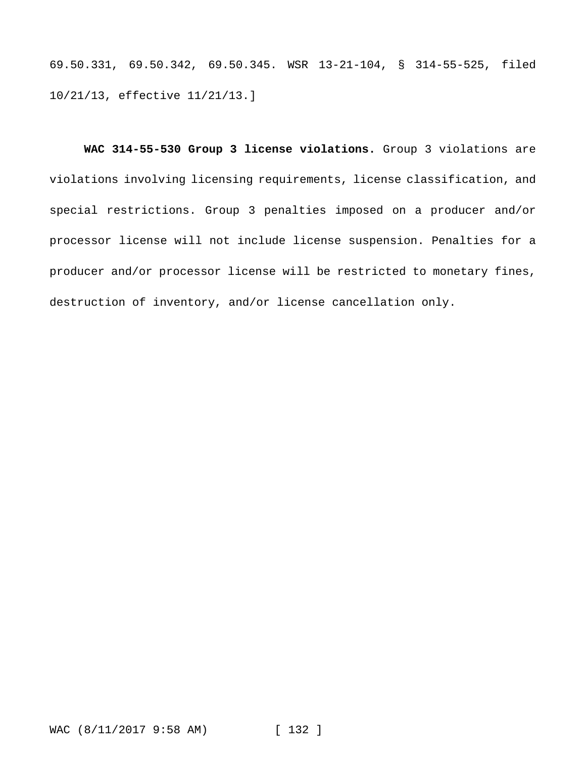69.50.331, 69.50.342, 69.50.345. WSR 13-21-104, § 314-55-525, filed 10/21/13, effective 11/21/13.]

**WAC 314-55-530 Group 3 license violations.** Group 3 violations are violations involving licensing requirements, license classification, and special restrictions. Group 3 penalties imposed on a producer and/or processor license will not include license suspension. Penalties for a producer and/or processor license will be restricted to monetary fines, destruction of inventory, and/or license cancellation only.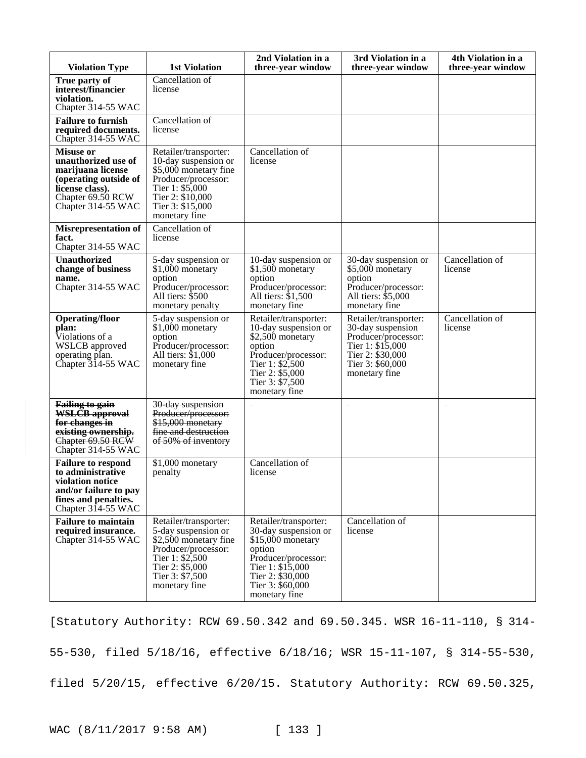| <b>Violation Type</b>                                                                                                                               | <b>1st Violation</b>                                                                                                                                                      | 2nd Violation in a<br>three-year window                                                                                                                                           | 3rd Violation in a<br>three-year window                                                                                                        | 4th Violation in a<br>three-year window |
|-----------------------------------------------------------------------------------------------------------------------------------------------------|---------------------------------------------------------------------------------------------------------------------------------------------------------------------------|-----------------------------------------------------------------------------------------------------------------------------------------------------------------------------------|------------------------------------------------------------------------------------------------------------------------------------------------|-----------------------------------------|
| True party of<br>interest/financier<br>violation.<br>Chapter 314-55 WAC                                                                             | Cancellation of<br>license                                                                                                                                                |                                                                                                                                                                                   |                                                                                                                                                |                                         |
| <b>Failure to furnish</b><br>required documents.<br>Chapter 314-55 WAC                                                                              | Cancellation of<br>license                                                                                                                                                |                                                                                                                                                                                   |                                                                                                                                                |                                         |
| <b>Misuse or</b><br>unauthorized use of<br>marijuana license<br>(operating outside of<br>license class).<br>Chapter 69.50 RCW<br>Chapter 314-55 WAC | Retailer/transporter:<br>10-day suspension or<br>\$5,000 monetary fine<br>Producer/processor:<br>Tier 1: \$5,000<br>Tier 2: \$10,000<br>Tier 3: \$15,000<br>monetary fine | Cancellation of<br>license                                                                                                                                                        |                                                                                                                                                |                                         |
| <b>Misrepresentation of</b><br>fact.<br>Chapter 314-55 WAC                                                                                          | Cancellation of<br>license                                                                                                                                                |                                                                                                                                                                                   |                                                                                                                                                |                                         |
| Unauthorized<br>change of business<br>name.<br>Chapter 314-55 WAC                                                                                   | 5-day suspension or<br>\$1,000 monetary<br>option<br>Producer/processor:<br>All tiers: \$500<br>monetary penalty                                                          | 10-day suspension or<br>\$1,500 monetary<br>option<br>Producer/processor:<br>All tiers: \$1,500<br>monetary fine                                                                  | 30-day suspension or<br>\$5,000 monetary<br>option<br>Producer/processor:<br>All tiers: \$5,000<br>monetary fine                               | Cancellation of<br>license              |
| <b>Operating/floor</b><br>plan:<br>Violations of a<br><b>WSLCB</b> approved<br>operating plan.<br>Chapter 314-55 WAC                                | 5-day suspension or<br>\$1,000 monetary<br>option<br>Producer/processor:<br>All tiers: \$1,000<br>monetary fine                                                           | Retailer/transporter:<br>10-day suspension or<br>\$2,500 monetary<br>option<br>Producer/processor:<br>Tier 1: \$2,500<br>Tier 2: \$5,000<br>Tier 3: \$7,500<br>monetary fine      | Retailer/transporter:<br>30-day suspension<br>Producer/processor:<br>Tier 1: \$15,000<br>Tier 2: \$30,000<br>Tier 3: \$60,000<br>monetary fine | Cancellation $of$<br>license            |
| <b>Failing to gain</b><br><b>WSLCB</b> approval<br>for changes in<br>existing ownership.<br>Chapter 69.50 RCW<br>Chapter 314 55 WAC                 | 30 day suspension<br>Producer/processor:<br>\$15,000 monetary<br>fine and destruction<br>of 50% of inventory                                                              |                                                                                                                                                                                   | $\sim$                                                                                                                                         | $\overline{a}$                          |
| <b>Failure to respond</b><br>to administrative<br>violation notice<br>and/or failure to pay<br>fines and penalties.<br>Chapter $314-55$ WAC         | \$1,000 monetary<br>penalty                                                                                                                                               | Cancellation of<br>license                                                                                                                                                        |                                                                                                                                                |                                         |
| <b>Failure to maintain</b><br>required insurance.<br>Chapter 314-55 WAC                                                                             | Retailer/transporter:<br>5-day suspension or<br>\$2,500 monetary fine<br>Producer/processor:<br>Tier 1: \$2,500<br>Tier 2: \$5,000<br>Tier 3: \$7,500<br>monetary fine    | Retailer/transporter:<br>30-day suspension or<br>$$15,000$ monetary<br>option<br>Producer/processor:<br>Tier 1: \$15,000<br>Tier 2: \$30,000<br>Tier 3: \$60,000<br>monetary fine | Cancellation of<br>license                                                                                                                     |                                         |

[Statutory Authority: RCW 69.50.342 and 69.50.345. WSR 16-11-110, § 314- 55-530, filed 5/18/16, effective 6/18/16; WSR 15-11-107, § 314-55-530, filed 5/20/15, effective 6/20/15. Statutory Authority: RCW 69.50.325,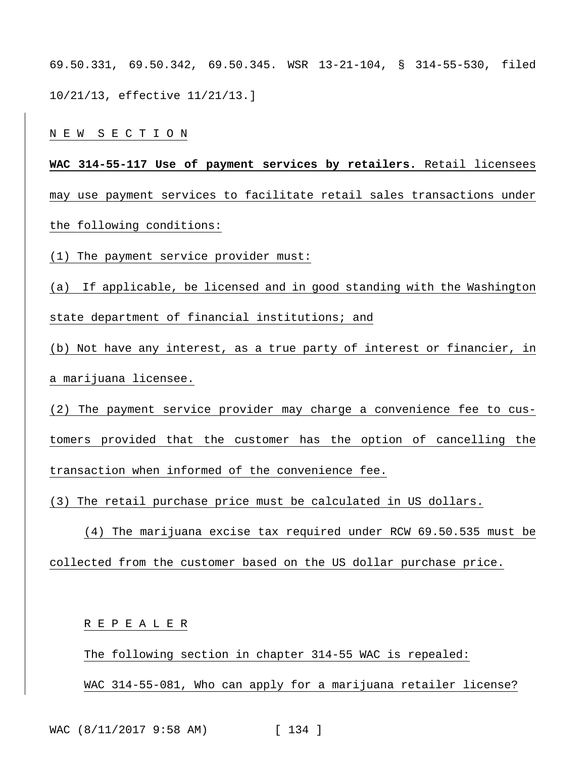69.50.331, 69.50.342, 69.50.345. WSR 13-21-104, § 314-55-530, filed 10/21/13, effective 11/21/13.]

N E W S E C T I O N

**WAC 314-55-117 Use of payment services by retailers.** Retail licensees may use payment services to facilitate retail sales transactions under the following conditions:

(1) The payment service provider must:

(a) If applicable, be licensed and in good standing with the Washington state department of financial institutions; and

(b) Not have any interest, as a true party of interest or financier, in a marijuana licensee.

(2) The payment service provider may charge a convenience fee to customers provided that the customer has the option of cancelling the transaction when informed of the convenience fee.

(3) The retail purchase price must be calculated in US dollars.

(4) The marijuana excise tax required under RCW 69.50.535 must be collected from the customer based on the US dollar purchase price.

R E P E A L E R

The following section in chapter 314-55 WAC is repealed: WAC 314-55-081, Who can apply for a marijuana retailer license?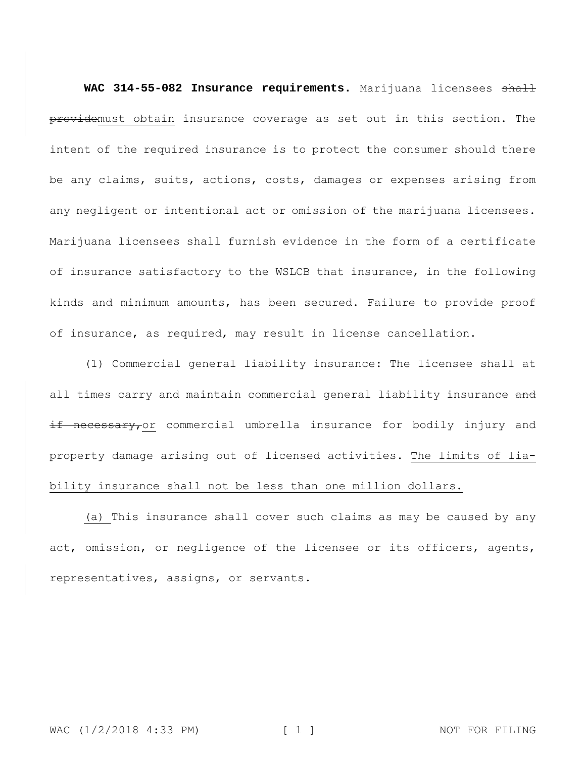WAC 314-55-082 Insurance requirements. Marijuana licensees shall providemust obtain insurance coverage as set out in this section. The intent of the required insurance is to protect the consumer should there be any claims, suits, actions, costs, damages or expenses arising from any negligent or intentional act or omission of the marijuana licensees. Marijuana licensees shall furnish evidence in the form of a certificate of insurance satisfactory to the WSLCB that insurance, in the following kinds and minimum amounts, has been secured. Failure to provide proof of insurance, as required, may result in license cancellation.

(1) Commercial general liability insurance: The licensee shall at all times carry and maintain commercial general liability insurance and if necessary, or commercial umbrella insurance for bodily injury and property damage arising out of licensed activities. The limits of liability insurance shall not be less than one million dollars.

(a) This insurance shall cover such claims as may be caused by any act, omission, or negligence of the licensee or its officers, agents, representatives, assigns, or servants.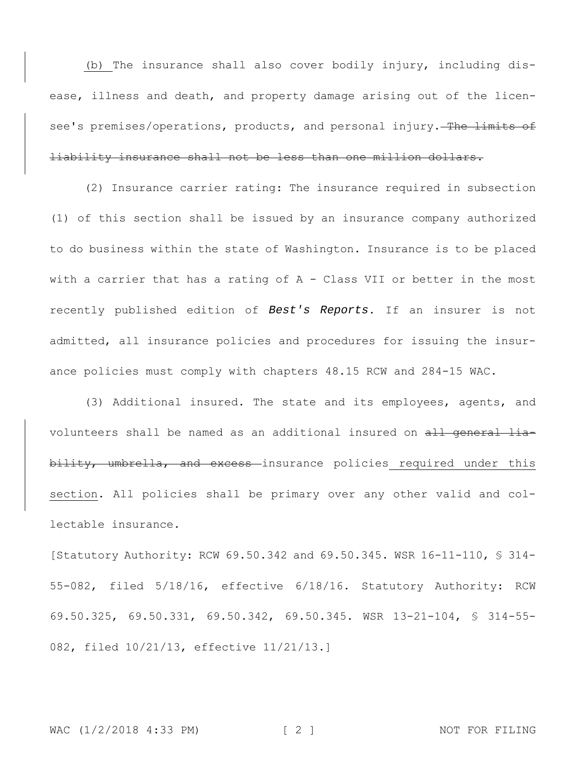(b) The insurance shall also cover bodily injury, including disease, illness and death, and property damage arising out of the licensee's premises/operations, products, and personal injury. The limits of liability insurance shall not be less than one million dollars.

(2) Insurance carrier rating: The insurance required in subsection (1) of this section shall be issued by an insurance company authorized to do business within the state of Washington. Insurance is to be placed with a carrier that has a rating of A - Class VII or better in the most recently published edition of *Best's Reports*. If an insurer is not admitted, all insurance policies and procedures for issuing the insurance policies must comply with chapters 48.15 RCW and 284-15 WAC.

(3) Additional insured. The state and its employees, agents, and volunteers shall be named as an additional insured on all general liability, umbrella, and excess insurance policies required under this section. All policies shall be primary over any other valid and collectable insurance.

[Statutory Authority: RCW 69.50.342 and 69.50.345. WSR 16-11-110, § 314- 55-082, filed 5/18/16, effective 6/18/16. Statutory Authority: RCW 69.50.325, 69.50.331, 69.50.342, 69.50.345. WSR 13-21-104, § 314-55- 082, filed 10/21/13, effective 11/21/13.]

WAC (1/2/2018 4:33 PM) [ 2 ] NOT FOR FILING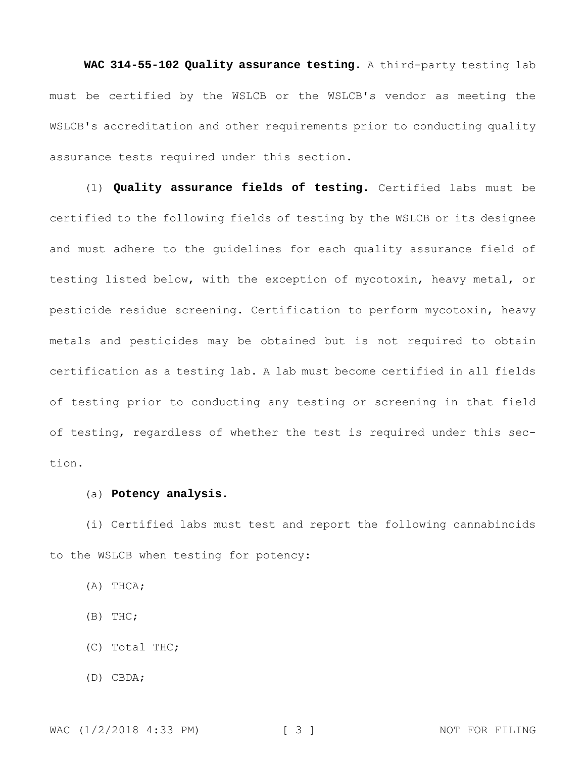**WAC 314-55-102 Quality assurance testing.** A third-party testing lab must be certified by the WSLCB or the WSLCB's vendor as meeting the WSLCB's accreditation and other requirements prior to conducting quality assurance tests required under this section.

(1) **Quality assurance fields of testing.** Certified labs must be certified to the following fields of testing by the WSLCB or its designee and must adhere to the guidelines for each quality assurance field of testing listed below, with the exception of mycotoxin, heavy metal, or pesticide residue screening. Certification to perform mycotoxin, heavy metals and pesticides may be obtained but is not required to obtain certification as a testing lab. A lab must become certified in all fields of testing prior to conducting any testing or screening in that field of testing, regardless of whether the test is required under this section.

## (a) **Potency analysis.**

(i) Certified labs must test and report the following cannabinoids to the WSLCB when testing for potency:

(A) THCA;

(B) THC;

- (C) Total THC;
- (D) CBDA;

WAC (1/2/2018 4:33 PM) [ 3 ] NOT FOR FILING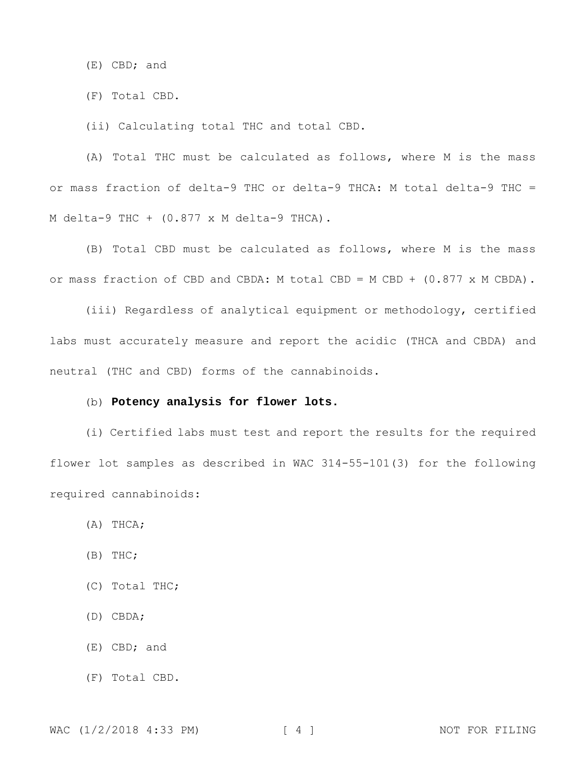(E) CBD; and

(F) Total CBD.

(ii) Calculating total THC and total CBD.

(A) Total THC must be calculated as follows, where M is the mass or mass fraction of delta-9 THC or delta-9 THCA: M total delta-9 THC = M delta-9 THC + (0.877 x M delta-9 THCA).

(B) Total CBD must be calculated as follows, where M is the mass or mass fraction of CBD and CBDA: M total CBD = M CBD + (0.877 x M CBDA).

(iii) Regardless of analytical equipment or methodology, certified labs must accurately measure and report the acidic (THCA and CBDA) and neutral (THC and CBD) forms of the cannabinoids.

## (b) **Potency analysis for flower lots.**

(i) Certified labs must test and report the results for the required flower lot samples as described in WAC 314-55-101(3) for the following required cannabinoids:

(A) THCA;

(B) THC;

(C) Total THC;

(D) CBDA;

(E) CBD; and

(F) Total CBD.

WAC (1/2/2018 4:33 PM) [ 4 ] NOT FOR FILING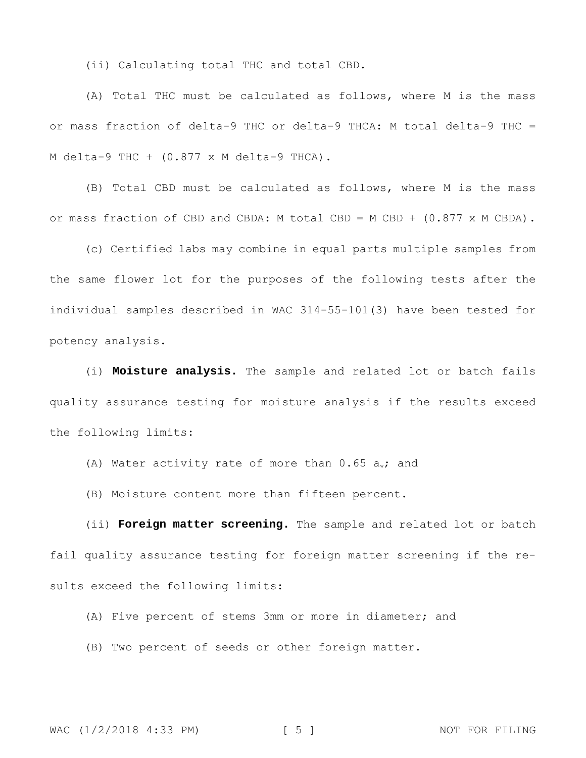(ii) Calculating total THC and total CBD.

(A) Total THC must be calculated as follows, where M is the mass or mass fraction of delta-9 THC or delta-9 THCA: M total delta-9 THC = M delta-9 THC + (0.877 x M delta-9 THCA).

(B) Total CBD must be calculated as follows, where M is the mass or mass fraction of CBD and CBDA: M total CBD = M CBD +  $(0.877 \times M \text{ CBDA})$ .

(c) Certified labs may combine in equal parts multiple samples from the same flower lot for the purposes of the following tests after the individual samples described in WAC 314-55-101(3) have been tested for potency analysis.

(i) **Moisture analysis.** The sample and related lot or batch fails quality assurance testing for moisture analysis if the results exceed the following limits:

(A) Water activity rate of more than  $0.65$  aw; and

(B) Moisture content more than fifteen percent.

(ii) **Foreign matter screening.** The sample and related lot or batch fail quality assurance testing for foreign matter screening if the results exceed the following limits:

(A) Five percent of stems 3mm or more in diameter; and

(B) Two percent of seeds or other foreign matter.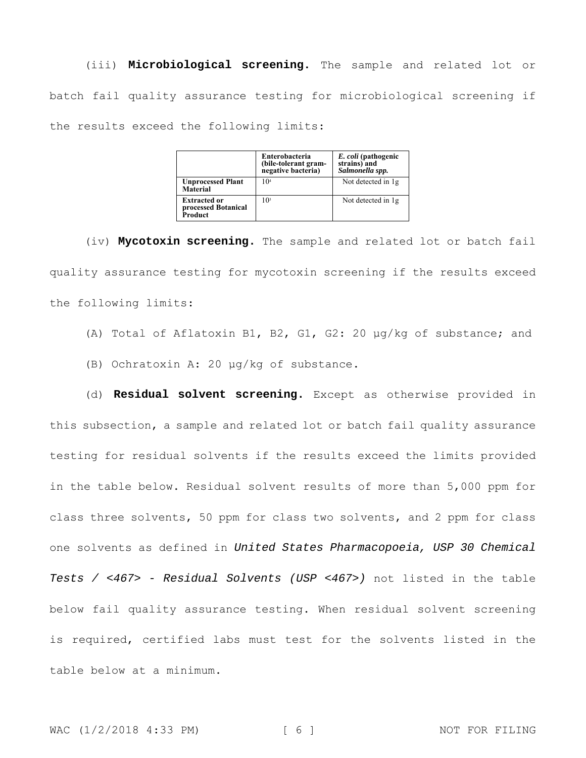(iii) **Microbiological screening.** The sample and related lot or batch fail quality assurance testing for microbiological screening if the results exceed the following limits:

|                                                       | Enterobacteria<br>(bile-tolerant gram-<br>negative bacteria) | E. coli (pathogenic<br>strains) and<br>Salmonella spp. |
|-------------------------------------------------------|--------------------------------------------------------------|--------------------------------------------------------|
| <b>Unprocessed Plant</b><br>Material                  | 10 <sup>4</sup>                                              | Not detected in 1g                                     |
| <b>Extracted or</b><br>processed Botanical<br>Product | 10 <sup>3</sup>                                              | Not detected in 1g                                     |

(iv) **Mycotoxin screening.** The sample and related lot or batch fail quality assurance testing for mycotoxin screening if the results exceed the following limits:

(A) Total of Aflatoxin B1, B2, G1, G2: 20 μg/kg of substance; and

(B) Ochratoxin A: 20 μg/kg of substance.

(d) **Residual solvent screening.** Except as otherwise provided in this subsection, a sample and related lot or batch fail quality assurance testing for residual solvents if the results exceed the limits provided in the table below. Residual solvent results of more than 5,000 ppm for class three solvents, 50 ppm for class two solvents, and 2 ppm for class one solvents as defined in *United States Pharmacopoeia, USP 30 Chemical Tests / <467> - Residual Solvents (USP <467>)* not listed in the table below fail quality assurance testing. When residual solvent screening is required, certified labs must test for the solvents listed in the table below at a minimum.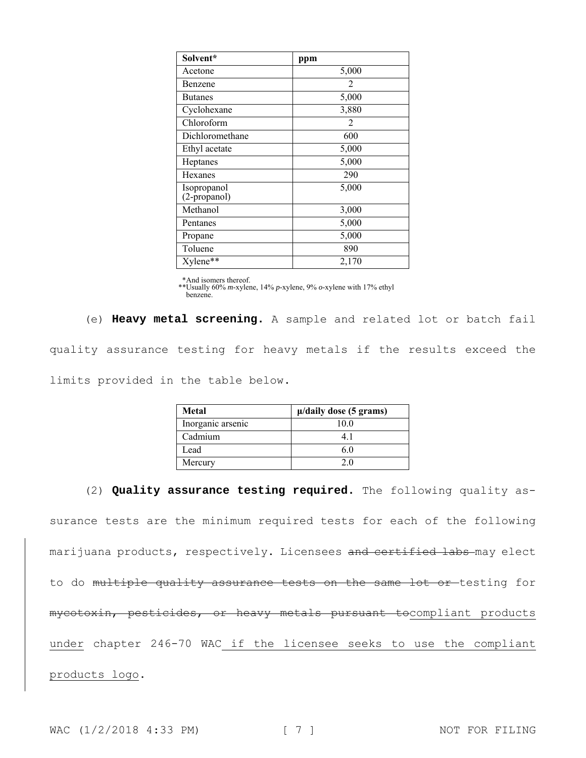| Solvent*                    | ppm            |
|-----------------------------|----------------|
| Acetone                     | 5,000          |
| Benzene                     | $\mathfrak{D}$ |
| <b>Butanes</b>              | 5,000          |
| Cyclohexane                 | 3,880          |
| Chloroform                  | $\mathfrak{D}$ |
| Dichloromethane             | 600            |
| Ethyl acetate               | 5,000          |
| Heptanes                    | 5,000          |
| Hexanes                     | 290            |
| Isopropanol<br>(2-propanol) | 5,000          |
| Methanol                    | 3,000          |
| Pentanes                    | 5,000          |
| Propane                     | 5,000          |
| Toluene                     | 890            |
| Xylene**                    | 2,170          |

\*And isomers thereof. \*\*Usually 60% *m*-xylene, 14% *p*-xylene, 9% *o*-xylene with 17% ethyl benzene.

(e) **Heavy metal screening.** A sample and related lot or batch fail quality assurance testing for heavy metals if the results exceed the limits provided in the table below.

| Metal             | $\mu$ /daily dose (5 grams) |
|-------------------|-----------------------------|
| Inorganic arsenic | 10.0                        |
| Cadmium           |                             |
| Lead              |                             |
| Mercury           |                             |

(2) **Quality assurance testing required.** The following quality assurance tests are the minimum required tests for each of the following marijuana products, respectively. Licensees and certified labs-may elect to do multiple quality assurance tests on the same lot or testing for mycotoxin, pesticides, or heavy metals pursuant tocompliant products under chapter 246-70 WAC if the licensee seeks to use the compliant products logo.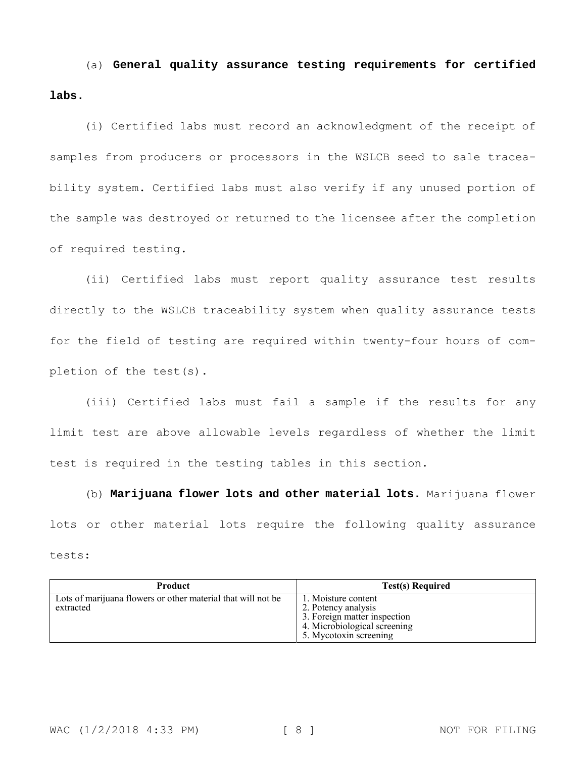(a) **General quality assurance testing requirements for certified labs.**

(i) Certified labs must record an acknowledgment of the receipt of samples from producers or processors in the WSLCB seed to sale traceability system. Certified labs must also verify if any unused portion of the sample was destroyed or returned to the licensee after the completion of required testing.

(ii) Certified labs must report quality assurance test results directly to the WSLCB traceability system when quality assurance tests for the field of testing are required within twenty-four hours of completion of the test(s).

(iii) Certified labs must fail a sample if the results for any limit test are above allowable levels regardless of whether the limit test is required in the testing tables in this section.

(b) **Marijuana flower lots and other material lots.** Marijuana flower lots or other material lots require the following quality assurance tests:

| <b>Product</b>                                                            | <b>Test(s) Required</b>                                                                                                              |
|---------------------------------------------------------------------------|--------------------------------------------------------------------------------------------------------------------------------------|
| Lots of marijuana flowers or other material that will not be<br>extracted | 1. Moisture content<br>2. Potency analysis<br>3. Foreign matter inspection<br>4. Microbiological screening<br>5. Mycotoxin screening |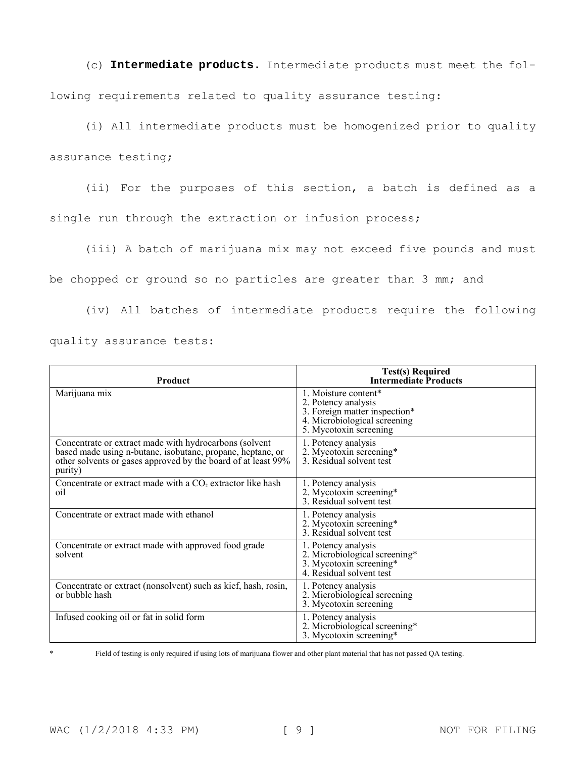(c) **Intermediate products.** Intermediate products must meet the following requirements related to quality assurance testing:

(i) All intermediate products must be homogenized prior to quality assurance testing;

(ii) For the purposes of this section, a batch is defined as a

single run through the extraction or infusion process;

(iii) A batch of marijuana mix may not exceed five pounds and must

be chopped or ground so no particles are greater than 3 mm; and

(iv) All batches of intermediate products require the following

|  | quality assurance tests: |  |
|--|--------------------------|--|
|--|--------------------------|--|

| <b>Product</b>                                                                                                                                                                                   | <b>Test(s) Required</b><br><b>Intermediate Products</b>                                                                                |
|--------------------------------------------------------------------------------------------------------------------------------------------------------------------------------------------------|----------------------------------------------------------------------------------------------------------------------------------------|
| Marijuana mix                                                                                                                                                                                    | 1. Moisture content*<br>2. Potency analysis<br>3. Foreign matter inspection*<br>4. Microbiological screening<br>5. Mycotoxin screening |
| Concentrate or extract made with hydrocarbons (solvent<br>based made using n-butane, isobutane, propane, heptane, or<br>other solvents or gases approved by the board of at least 99%<br>purity) | 1. Potency analysis<br>2. Mycotoxin screening*<br>3. Residual solvent test                                                             |
| Concentrate or extract made with a CO <sub>2</sub> extractor like hash<br>oil                                                                                                                    | 1. Potency analysis<br>2. Mycotoxin screening*<br>3. Residual solvent test                                                             |
| Concentrate or extract made with ethanol                                                                                                                                                         | 1. Potency analysis<br>2. Mycotoxin screening*<br>3. Residual solvent test                                                             |
| Concentrate or extract made with approved food grade<br>solvent                                                                                                                                  | 1. Potency analysis<br>2. Microbiological screening*<br>3. Mycotoxin screening*<br>4. Residual solvent test                            |
| Concentrate or extract (nonsolvent) such as kief, hash, rosin,<br>or bubble hash                                                                                                                 | 1. Potency analysis<br>2. Microbiological screening<br>3. Mycotoxin screening                                                          |
| Infused cooking oil or fat in solid form                                                                                                                                                         | 1. Potency analysis<br>2. Microbiological screening*<br>3. Mycotoxin screening*                                                        |

Field of testing is only required if using lots of marijuana flower and other plant material that has not passed QA testing.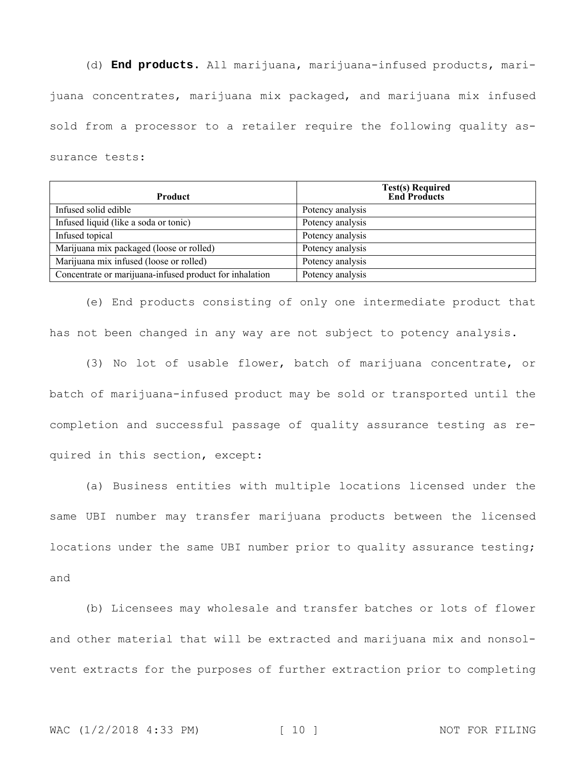(d) **End products.** All marijuana, marijuana-infused products, marijuana concentrates, marijuana mix packaged, and marijuana mix infused sold from a processor to a retailer require the following quality assurance tests:

| <b>Product</b>                                          | <b>Test(s) Required</b><br><b>End Products</b> |
|---------------------------------------------------------|------------------------------------------------|
| Infused solid edible                                    | Potency analysis                               |
| Infused liquid (like a soda or tonic)                   | Potency analysis                               |
| Infused topical                                         | Potency analysis                               |
| Marijuana mix packaged (loose or rolled)                | Potency analysis                               |
| Marijuana mix infused (loose or rolled)                 | Potency analysis                               |
| Concentrate or marijuana-infused product for inhalation | Potency analysis                               |

(e) End products consisting of only one intermediate product that has not been changed in any way are not subject to potency analysis.

(3) No lot of usable flower, batch of marijuana concentrate, or batch of marijuana-infused product may be sold or transported until the completion and successful passage of quality assurance testing as required in this section, except:

(a) Business entities with multiple locations licensed under the same UBI number may transfer marijuana products between the licensed locations under the same UBI number prior to quality assurance testing; and

(b) Licensees may wholesale and transfer batches or lots of flower and other material that will be extracted and marijuana mix and nonsolvent extracts for the purposes of further extraction prior to completing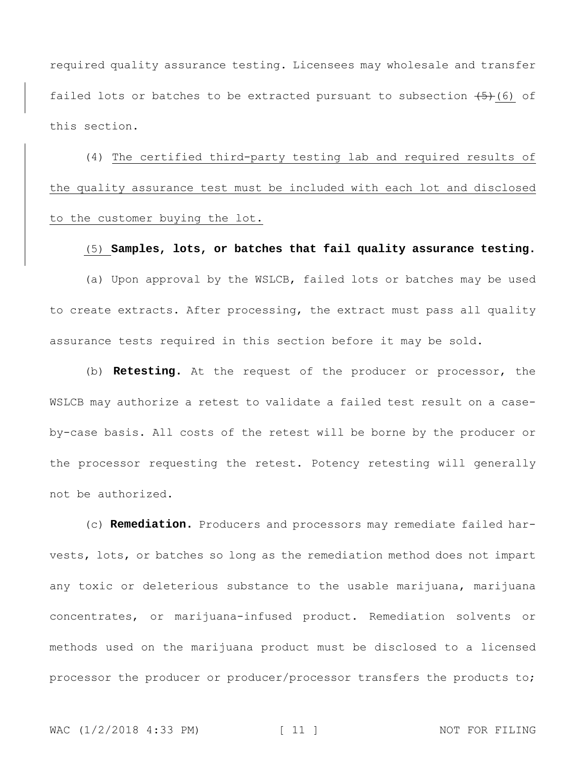required quality assurance testing. Licensees may wholesale and transfer failed lots or batches to be extracted pursuant to subsection  $(5)$  (6) of this section.

(4) The certified third-party testing lab and required results of the quality assurance test must be included with each lot and disclosed to the customer buying the lot.

## (5) **Samples, lots, or batches that fail quality assurance testing.**

(a) Upon approval by the WSLCB, failed lots or batches may be used to create extracts. After processing, the extract must pass all quality assurance tests required in this section before it may be sold.

(b) **Retesting.** At the request of the producer or processor, the WSLCB may authorize a retest to validate a failed test result on a caseby-case basis. All costs of the retest will be borne by the producer or the processor requesting the retest. Potency retesting will generally not be authorized.

(c) **Remediation.** Producers and processors may remediate failed harvests, lots, or batches so long as the remediation method does not impart any toxic or deleterious substance to the usable marijuana, marijuana concentrates, or marijuana-infused product. Remediation solvents or methods used on the marijuana product must be disclosed to a licensed processor the producer or producer/processor transfers the products to;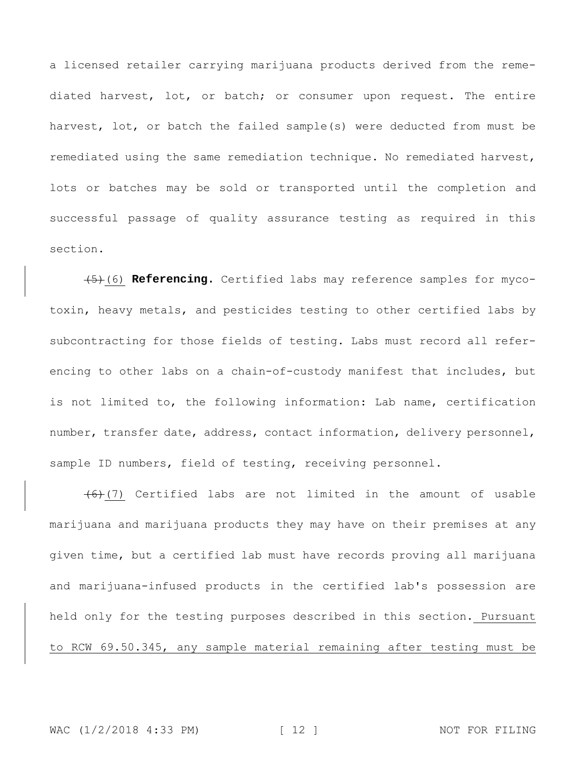a licensed retailer carrying marijuana products derived from the remediated harvest, lot, or batch; or consumer upon request. The entire harvest, lot, or batch the failed sample(s) were deducted from must be remediated using the same remediation technique. No remediated harvest, lots or batches may be sold or transported until the completion and successful passage of quality assurance testing as required in this section.

(5)(6) **Referencing.** Certified labs may reference samples for mycotoxin, heavy metals, and pesticides testing to other certified labs by subcontracting for those fields of testing. Labs must record all referencing to other labs on a chain-of-custody manifest that includes, but is not limited to, the following information: Lab name, certification number, transfer date, address, contact information, delivery personnel, sample ID numbers, field of testing, receiving personnel.

 $(6)$  (7) Certified labs are not limited in the amount of usable marijuana and marijuana products they may have on their premises at any given time, but a certified lab must have records proving all marijuana and marijuana-infused products in the certified lab's possession are held only for the testing purposes described in this section. Pursuant to RCW 69.50.345, any sample material remaining after testing must be